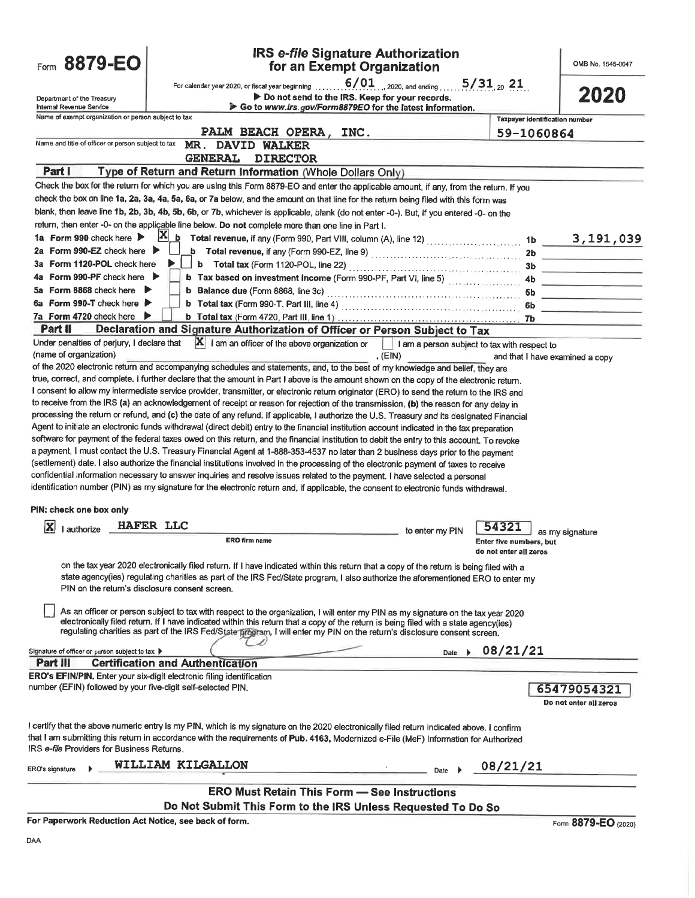| Form 8879-EO                                                                     | <b>IRS e-file Signature Authorization</b><br>for an Exempt Organization                                                                                                                                                                                                                                                                                                                                                                                                                                                                                                                                                                                                                                                                                                                                                                                                                                                                                                                                                                                                                                                                                                                                                                                                                                                                                                                                                                                                                                                                                                                                                                                                                                                                                                                                                                                                                                                                                                                                                                                                                                                                                                                                                                        |                                                            | OMB No. 1545-0047                                 |
|----------------------------------------------------------------------------------|------------------------------------------------------------------------------------------------------------------------------------------------------------------------------------------------------------------------------------------------------------------------------------------------------------------------------------------------------------------------------------------------------------------------------------------------------------------------------------------------------------------------------------------------------------------------------------------------------------------------------------------------------------------------------------------------------------------------------------------------------------------------------------------------------------------------------------------------------------------------------------------------------------------------------------------------------------------------------------------------------------------------------------------------------------------------------------------------------------------------------------------------------------------------------------------------------------------------------------------------------------------------------------------------------------------------------------------------------------------------------------------------------------------------------------------------------------------------------------------------------------------------------------------------------------------------------------------------------------------------------------------------------------------------------------------------------------------------------------------------------------------------------------------------------------------------------------------------------------------------------------------------------------------------------------------------------------------------------------------------------------------------------------------------------------------------------------------------------------------------------------------------------------------------------------------------------------------------------------------------|------------------------------------------------------------|---------------------------------------------------|
| Department of the Treasury                                                       | $6/01$ , 2020, and ending<br>For calendar year 2020, or fiscal year beginning<br>Do not send to the IRS. Keep for your records.                                                                                                                                                                                                                                                                                                                                                                                                                                                                                                                                                                                                                                                                                                                                                                                                                                                                                                                                                                                                                                                                                                                                                                                                                                                                                                                                                                                                                                                                                                                                                                                                                                                                                                                                                                                                                                                                                                                                                                                                                                                                                                                | $5/31_{20}$ 21                                             | 2020                                              |
| Internal Revenue Service<br>Name of exempt organization or person subject to tax | Go to www.irs.gov/Form8879EO for the latest information.                                                                                                                                                                                                                                                                                                                                                                                                                                                                                                                                                                                                                                                                                                                                                                                                                                                                                                                                                                                                                                                                                                                                                                                                                                                                                                                                                                                                                                                                                                                                                                                                                                                                                                                                                                                                                                                                                                                                                                                                                                                                                                                                                                                       | <b>Taxpayer identification number</b>                      |                                                   |
|                                                                                  | PALM BEACH OPERA, INC.                                                                                                                                                                                                                                                                                                                                                                                                                                                                                                                                                                                                                                                                                                                                                                                                                                                                                                                                                                                                                                                                                                                                                                                                                                                                                                                                                                                                                                                                                                                                                                                                                                                                                                                                                                                                                                                                                                                                                                                                                                                                                                                                                                                                                         | 59-1060864                                                 |                                                   |
| Name and title of officer or person subject to tax                               | MR. DAVID WALKER                                                                                                                                                                                                                                                                                                                                                                                                                                                                                                                                                                                                                                                                                                                                                                                                                                                                                                                                                                                                                                                                                                                                                                                                                                                                                                                                                                                                                                                                                                                                                                                                                                                                                                                                                                                                                                                                                                                                                                                                                                                                                                                                                                                                                               |                                                            |                                                   |
|                                                                                  | <b>GENERAL</b><br><b>DIRECTOR</b>                                                                                                                                                                                                                                                                                                                                                                                                                                                                                                                                                                                                                                                                                                                                                                                                                                                                                                                                                                                                                                                                                                                                                                                                                                                                                                                                                                                                                                                                                                                                                                                                                                                                                                                                                                                                                                                                                                                                                                                                                                                                                                                                                                                                              |                                                            |                                                   |
| Part I                                                                           | Type of Return and Return Information (Whole Dollars Only)                                                                                                                                                                                                                                                                                                                                                                                                                                                                                                                                                                                                                                                                                                                                                                                                                                                                                                                                                                                                                                                                                                                                                                                                                                                                                                                                                                                                                                                                                                                                                                                                                                                                                                                                                                                                                                                                                                                                                                                                                                                                                                                                                                                     |                                                            |                                                   |
|                                                                                  | Check the box for the return for which you are using this Form 8879-EO and enter the applicable amount, if any, from the return. If you<br>check the box on line 1a, 2a, 3a, 4a, 5a, 6a, or 7a below, and the amount on that line for the return being filed with this form was                                                                                                                                                                                                                                                                                                                                                                                                                                                                                                                                                                                                                                                                                                                                                                                                                                                                                                                                                                                                                                                                                                                                                                                                                                                                                                                                                                                                                                                                                                                                                                                                                                                                                                                                                                                                                                                                                                                                                                |                                                            |                                                   |
|                                                                                  | blank, then leave line 1b, 2b, 3b, 4b, 5b, 6b, or 7b, whichever is applicable, blank (do not enter -0-). But, if you entered -0- on the                                                                                                                                                                                                                                                                                                                                                                                                                                                                                                                                                                                                                                                                                                                                                                                                                                                                                                                                                                                                                                                                                                                                                                                                                                                                                                                                                                                                                                                                                                                                                                                                                                                                                                                                                                                                                                                                                                                                                                                                                                                                                                        |                                                            |                                                   |
|                                                                                  | return, then enter -0- on the applicable line below. Do not complete more than one line in Part I.                                                                                                                                                                                                                                                                                                                                                                                                                                                                                                                                                                                                                                                                                                                                                                                                                                                                                                                                                                                                                                                                                                                                                                                                                                                                                                                                                                                                                                                                                                                                                                                                                                                                                                                                                                                                                                                                                                                                                                                                                                                                                                                                             |                                                            |                                                   |
| 1a Form 990 check here                                                           | $ {\bf X} $<br>$\underline{\textbf{b}}$ Total revenue, if any (Form 990, Part VIII, column (A), line 12) $\ldots\ldots\ldots\ldots\ldots\ldots\ldots$                                                                                                                                                                                                                                                                                                                                                                                                                                                                                                                                                                                                                                                                                                                                                                                                                                                                                                                                                                                                                                                                                                                                                                                                                                                                                                                                                                                                                                                                                                                                                                                                                                                                                                                                                                                                                                                                                                                                                                                                                                                                                          |                                                            | $1b$ 3, 191, 039                                  |
| Form 990-EZ check here $\blacktriangleright$<br>2a                               |                                                                                                                                                                                                                                                                                                                                                                                                                                                                                                                                                                                                                                                                                                                                                                                                                                                                                                                                                                                                                                                                                                                                                                                                                                                                                                                                                                                                                                                                                                                                                                                                                                                                                                                                                                                                                                                                                                                                                                                                                                                                                                                                                                                                                                                | 2b.                                                        |                                                   |
| Form 1120-POL check here<br>За                                                   |                                                                                                                                                                                                                                                                                                                                                                                                                                                                                                                                                                                                                                                                                                                                                                                                                                                                                                                                                                                                                                                                                                                                                                                                                                                                                                                                                                                                                                                                                                                                                                                                                                                                                                                                                                                                                                                                                                                                                                                                                                                                                                                                                                                                                                                | 3b                                                         | <u> 1989 - Andrea State Barbara, amerikan</u>     |
| Form 990-PF check here $\blacktriangleright$<br>4а                               | b Tax based on investment income (Form 990-PF, Part VI, line 5)                                                                                                                                                                                                                                                                                                                                                                                                                                                                                                                                                                                                                                                                                                                                                                                                                                                                                                                                                                                                                                                                                                                                                                                                                                                                                                                                                                                                                                                                                                                                                                                                                                                                                                                                                                                                                                                                                                                                                                                                                                                                                                                                                                                |                                                            | <u> 1989 - Andrea Andrew Maria Barbara, man</u>   |
| 5a Form 8868 check here ▶                                                        |                                                                                                                                                                                                                                                                                                                                                                                                                                                                                                                                                                                                                                                                                                                                                                                                                                                                                                                                                                                                                                                                                                                                                                                                                                                                                                                                                                                                                                                                                                                                                                                                                                                                                                                                                                                                                                                                                                                                                                                                                                                                                                                                                                                                                                                |                                                            | <u> La Carlo Carlo Carlo Carlo Carlo Carlo Ca</u> |
| 6a Form 990-T check here $\blacktriangleright$                                   |                                                                                                                                                                                                                                                                                                                                                                                                                                                                                                                                                                                                                                                                                                                                                                                                                                                                                                                                                                                                                                                                                                                                                                                                                                                                                                                                                                                                                                                                                                                                                                                                                                                                                                                                                                                                                                                                                                                                                                                                                                                                                                                                                                                                                                                | 6b                                                         |                                                   |
| 7a Form 4720 check here ▶                                                        |                                                                                                                                                                                                                                                                                                                                                                                                                                                                                                                                                                                                                                                                                                                                                                                                                                                                                                                                                                                                                                                                                                                                                                                                                                                                                                                                                                                                                                                                                                                                                                                                                                                                                                                                                                                                                                                                                                                                                                                                                                                                                                                                                                                                                                                |                                                            |                                                   |
| Part II<br>Under penalties of perjury, I declare that                            | Declaration and Signature Authorization of Officer or Person Subject to Tax<br>$ \mathbf{X} $ I am an officer of the above organization or                                                                                                                                                                                                                                                                                                                                                                                                                                                                                                                                                                                                                                                                                                                                                                                                                                                                                                                                                                                                                                                                                                                                                                                                                                                                                                                                                                                                                                                                                                                                                                                                                                                                                                                                                                                                                                                                                                                                                                                                                                                                                                     |                                                            |                                                   |
| (name of organization)                                                           | I am a person subject to tax with respect to<br>, $(EIN)$                                                                                                                                                                                                                                                                                                                                                                                                                                                                                                                                                                                                                                                                                                                                                                                                                                                                                                                                                                                                                                                                                                                                                                                                                                                                                                                                                                                                                                                                                                                                                                                                                                                                                                                                                                                                                                                                                                                                                                                                                                                                                                                                                                                      |                                                            | and that I have examined a copy                   |
| PIN: check one box only<br>$ \mathbf{x} $<br>I authorize                         | true, correct, and complete. I further declare that the amount in Part I above is the amount shown on the copy of the electronic return.<br>I consent to allow my intermediate service provider, transmitter, or electronic return originator (ERO) to send the return to the IRS and<br>to receive from the IRS (a) an acknowledgement of receipt or reason for rejection of the transmission, (b) the reason for any delay in<br>processing the return or refund, and (c) the date of any refund. If applicable, I authorize the U.S. Treasury and its designated Financial<br>Agent to initiate an electronic funds withdrawal (direct debit) entry to the financial institution account indicated in the tax preparation<br>software for payment of the federal taxes owed on this return, and the financial institution to debit the entry to this account. To revoke<br>a payment, I must contact the U.S. Treasury Financial Agent at 1-888-353-4537 no later than 2 business days prior to the payment<br>(settlement) date. I also authorize the financial institutions involved in the processing of the electronic payment of taxes to receive<br>confidential information necessary to answer inquiries and resolve issues related to the payment. I have selected a personal<br>identification number (PIN) as my signature for the electronic return and, if applicable, the consent to electronic funds withdrawal.<br><b>HAFER LLC</b><br>to enter my PIN<br><b>ERO firm name</b><br>on the tax year 2020 electronically filed return. If I have indicated within this return that a copy of the return is being filed with a<br>state agency(ies) regulating charities as part of the IRS Fed/State program, I also authorize the aforementioned ERO to enter my<br>PIN on the return's disclosure consent screen.<br>As an officer or person subject to tax with respect to the organization, I will enter my PIN as my signature on the tax year 2020<br>electronically filed return. If I have indicated within this return that a copy of the return is being filed with a state agency(ies)<br>regulating charities as part of the IRS Fed/State program, I will enter my PIN on the return's disclosure consent screen. | 54321<br>Enter five numbers, but<br>do not enter all zeros | as my signature                                   |
| Signature of officer or person subject to tax >                                  | Date                                                                                                                                                                                                                                                                                                                                                                                                                                                                                                                                                                                                                                                                                                                                                                                                                                                                                                                                                                                                                                                                                                                                                                                                                                                                                                                                                                                                                                                                                                                                                                                                                                                                                                                                                                                                                                                                                                                                                                                                                                                                                                                                                                                                                                           | 08/21/21                                                   |                                                   |
| Part III                                                                         | <b>Certification and Authentication</b>                                                                                                                                                                                                                                                                                                                                                                                                                                                                                                                                                                                                                                                                                                                                                                                                                                                                                                                                                                                                                                                                                                                                                                                                                                                                                                                                                                                                                                                                                                                                                                                                                                                                                                                                                                                                                                                                                                                                                                                                                                                                                                                                                                                                        |                                                            |                                                   |
| number (EFIN) followed by your five-digit self-selected PIN.                     | ERO's EFIN/PIN. Enter your six-digit electronic filing identification                                                                                                                                                                                                                                                                                                                                                                                                                                                                                                                                                                                                                                                                                                                                                                                                                                                                                                                                                                                                                                                                                                                                                                                                                                                                                                                                                                                                                                                                                                                                                                                                                                                                                                                                                                                                                                                                                                                                                                                                                                                                                                                                                                          |                                                            | 65479054321<br>Do not enter all zeros             |
| IRS e-file Providers for Business Returns.                                       | I certify that the above numeric entry is my PIN, which is my signature on the 2020 electronically filed return indicated above. I confirm<br>that I am submitting this return in accordance with the requirements of Pub. 4163, Modernized e-File (MeF) Information for Authorized                                                                                                                                                                                                                                                                                                                                                                                                                                                                                                                                                                                                                                                                                                                                                                                                                                                                                                                                                                                                                                                                                                                                                                                                                                                                                                                                                                                                                                                                                                                                                                                                                                                                                                                                                                                                                                                                                                                                                            |                                                            |                                                   |
| ERO's signature                                                                  | WILLIAM KILGALLON<br>Date                                                                                                                                                                                                                                                                                                                                                                                                                                                                                                                                                                                                                                                                                                                                                                                                                                                                                                                                                                                                                                                                                                                                                                                                                                                                                                                                                                                                                                                                                                                                                                                                                                                                                                                                                                                                                                                                                                                                                                                                                                                                                                                                                                                                                      | 08/21/21                                                   |                                                   |
|                                                                                  |                                                                                                                                                                                                                                                                                                                                                                                                                                                                                                                                                                                                                                                                                                                                                                                                                                                                                                                                                                                                                                                                                                                                                                                                                                                                                                                                                                                                                                                                                                                                                                                                                                                                                                                                                                                                                                                                                                                                                                                                                                                                                                                                                                                                                                                |                                                            |                                                   |
|                                                                                  | <b>ERO Must Retain This Form - See Instructions</b><br>Do Not Submit This Form to the IRS Unless Requested To Do So                                                                                                                                                                                                                                                                                                                                                                                                                                                                                                                                                                                                                                                                                                                                                                                                                                                                                                                                                                                                                                                                                                                                                                                                                                                                                                                                                                                                                                                                                                                                                                                                                                                                                                                                                                                                                                                                                                                                                                                                                                                                                                                            |                                                            |                                                   |
| For Paperwork Reduction Act Notice, see back of form.                            |                                                                                                                                                                                                                                                                                                                                                                                                                                                                                                                                                                                                                                                                                                                                                                                                                                                                                                                                                                                                                                                                                                                                                                                                                                                                                                                                                                                                                                                                                                                                                                                                                                                                                                                                                                                                                                                                                                                                                                                                                                                                                                                                                                                                                                                |                                                            |                                                   |
|                                                                                  |                                                                                                                                                                                                                                                                                                                                                                                                                                                                                                                                                                                                                                                                                                                                                                                                                                                                                                                                                                                                                                                                                                                                                                                                                                                                                                                                                                                                                                                                                                                                                                                                                                                                                                                                                                                                                                                                                                                                                                                                                                                                                                                                                                                                                                                |                                                            | Form 8879-EO (2020)                               |
| DAA                                                                              |                                                                                                                                                                                                                                                                                                                                                                                                                                                                                                                                                                                                                                                                                                                                                                                                                                                                                                                                                                                                                                                                                                                                                                                                                                                                                                                                                                                                                                                                                                                                                                                                                                                                                                                                                                                                                                                                                                                                                                                                                                                                                                                                                                                                                                                |                                                            |                                                   |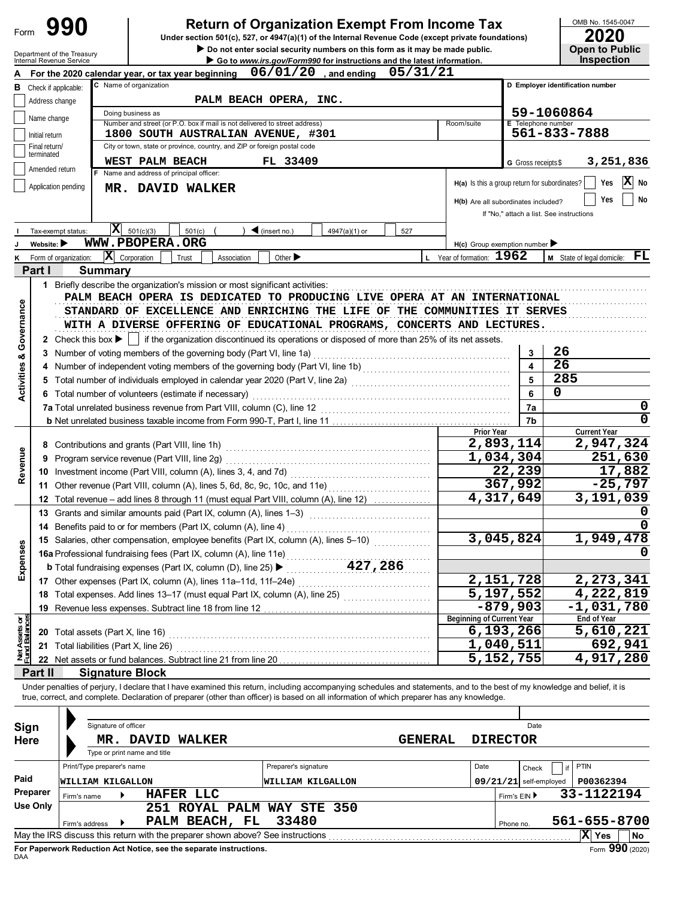| Form                       |                                |                                                                                      | <b>Return of Organization Exempt From Income Tax</b><br>Under section 501(c), 527, or 4947(a)(1) of the Internal Revenue Code (except private foundations)                 |                                                                        |                                               |                              | OMB No. 1545-0047<br>2020                  |
|----------------------------|--------------------------------|--------------------------------------------------------------------------------------|----------------------------------------------------------------------------------------------------------------------------------------------------------------------------|------------------------------------------------------------------------|-----------------------------------------------|------------------------------|--------------------------------------------|
|                            |                                | Department of the Treasury<br>Internal Revenue Service                               | Do not enter social security numbers on this form as it may be made public.                                                                                                | Go to www.irs.gov/Form990 for instructions and the latest information. |                                               |                              | <b>Open to Public</b><br><b>Inspection</b> |
|                            |                                |                                                                                      | For the 2020 calendar year, or tax year beginning $06/01/20$ , and ending                                                                                                  | 05/31/21                                                               |                                               |                              |                                            |
| в                          |                                | Check if applicable:                                                                 | C Name of organization                                                                                                                                                     |                                                                        |                                               |                              | D Employer identification number           |
|                            | Address change                 |                                                                                      | PALM BEACH OPERA, INC.                                                                                                                                                     |                                                                        |                                               |                              |                                            |
|                            | Name change                    |                                                                                      | Doing business as<br>Number and street (or P.O. box if mail is not delivered to street address)                                                                            |                                                                        |                                               | E Telephone number           | 59-1060864                                 |
|                            | Initial return                 |                                                                                      | 1800 SOUTH AUSTRALIAN AVENUE, #301                                                                                                                                         |                                                                        | Room/suite                                    |                              | 561-833-7888                               |
|                            | Final return/                  |                                                                                      | City or town, state or province, country, and ZIP or foreign postal code                                                                                                   |                                                                        |                                               |                              |                                            |
|                            | terminated                     |                                                                                      | WEST PALM BEACH<br>FL 33409                                                                                                                                                |                                                                        |                                               | G Gross receipts \$          | 3,251,836                                  |
|                            | Amended return                 |                                                                                      | Name and address of principal officer:                                                                                                                                     |                                                                        |                                               |                              |                                            |
|                            |                                | Application pending                                                                  | MR. DAVID WALKER                                                                                                                                                           |                                                                        | H(a) Is this a group return for subordinates? |                              | X<br>Yes<br>No                             |
|                            |                                |                                                                                      |                                                                                                                                                                            |                                                                        | H(b) Are all subordinates included?           |                              | Yes<br>No                                  |
|                            |                                |                                                                                      |                                                                                                                                                                            |                                                                        |                                               |                              | If "No," attach a list. See instructions   |
|                            |                                | Tax-exempt status:                                                                   | $ \mathbf{X} $<br>501(c)(3)<br>$\blacktriangleleft$ (insert no.)<br>501(c)                                                                                                 | 4947(a)(1) or<br>527                                                   |                                               |                              |                                            |
|                            | Website: $\blacktriangleright$ |                                                                                      | WWW.PBOPERA.ORG                                                                                                                                                            |                                                                        | $H(c)$ Group exemption number                 |                              |                                            |
|                            |                                | Form of organization:                                                                | $ \mathbf{\overline{X}} $ Corporation<br>Association<br>Other $\blacktriangleright$<br>Trust                                                                               |                                                                        | L Year of formation: 1962                     |                              | FL<br>M State of legal domicile:           |
|                            | Part I                         | Summary                                                                              |                                                                                                                                                                            |                                                                        |                                               |                              |                                            |
|                            |                                |                                                                                      | 1 Briefly describe the organization's mission or most significant activities:                                                                                              |                                                                        |                                               |                              |                                            |
|                            |                                |                                                                                      | PALM BEACH OPERA IS DEDICATED TO PRODUCING LIVE OPERA AT AN INTERNATIONAL                                                                                                  |                                                                        |                                               |                              |                                            |
| Governance                 |                                |                                                                                      | STANDARD OF EXCELLENCE AND ENRICHING THE LIFE OF THE COMMUNITIES IT SERVES                                                                                                 |                                                                        |                                               |                              |                                            |
|                            |                                |                                                                                      | WITH A DIVERSE OFFERING OF EDUCATIONAL PROGRAMS, CONCERTS AND LECTURES.                                                                                                    |                                                                        |                                               |                              |                                            |
|                            |                                | 2 Check this box $\blacktriangleright$                                               | if the organization discontinued its operations or disposed of more than 25% of its net assets.                                                                            |                                                                        |                                               |                              |                                            |
| න්                         |                                |                                                                                      | 3 Number of voting members of the governing body (Part VI, line 1a)                                                                                                        |                                                                        |                                               | 3                            | 26<br>26                                   |
|                            |                                |                                                                                      |                                                                                                                                                                            |                                                                        |                                               | $\overline{\mathbf{A}}$<br>5 | 285                                        |
| <b>Activities</b>          |                                |                                                                                      | 5 Total number of individuals employed in calendar year 2020 (Part V, line 2a) [[[[[[[[[[[[[[[[[[[[[[[[[[[[[[[                                                             |                                                                        |                                               | 6                            | 0                                          |
|                            |                                |                                                                                      | 6 Total number of volunteers (estimate if necessary)                                                                                                                       |                                                                        |                                               |                              | 0                                          |
|                            |                                |                                                                                      |                                                                                                                                                                            |                                                                        |                                               | 7a<br>7b                     | 0                                          |
|                            |                                |                                                                                      |                                                                                                                                                                            |                                                                        | <b>Prior Year</b>                             |                              | <b>Current Year</b>                        |
|                            |                                |                                                                                      | 8 Contributions and grants (Part VIII, line 1h)                                                                                                                            |                                                                        |                                               | 2,893,114                    | 2,947,324                                  |
|                            |                                |                                                                                      | 9 Program service revenue (Part VIII, line 2g)                                                                                                                             |                                                                        |                                               | 1,034,304                    | 251,630                                    |
| Revenue                    |                                |                                                                                      |                                                                                                                                                                            |                                                                        |                                               | 22,239                       | 17,882                                     |
|                            |                                |                                                                                      | 11 Other revenue (Part VIII, column (A), lines 5, 6d, 8c, 9c, 10c, and 11e)                                                                                                |                                                                        |                                               | 367,992                      | $-25,797$                                  |
|                            |                                |                                                                                      | 12 Total revenue - add lines 8 through 11 (must equal Part VIII, column (A), line 12)                                                                                      |                                                                        |                                               | 4,317,649                    | 3,191,039                                  |
|                            |                                |                                                                                      | 13 Grants and similar amounts paid (Part IX, column (A), lines 1-3)                                                                                                        |                                                                        |                                               |                              | 0                                          |
|                            |                                |                                                                                      | 14 Benefits paid to or for members (Part IX, column (A), line 4)                                                                                                           |                                                                        |                                               |                              | 0                                          |
|                            |                                | 15 Salaries, other compensation, employee benefits (Part IX, column (A), lines 5-10) |                                                                                                                                                                            | 3,045,824                                                              | 1,949,478                                     |                              |                                            |
|                            |                                |                                                                                      | 16a Professional fundraising fees (Part IX, column (A), line 11e)                                                                                                          |                                                                        |                                               |                              |                                            |
| Expenses                   |                                |                                                                                      | <b>b</b> Total fundraising expenses (Part IX, column (D), line 25) ▶                                                                                                       | 427,286                                                                |                                               |                              |                                            |
|                            |                                |                                                                                      | 17 Other expenses (Part IX, column (A), lines 11a-11d, 11f-24e)                                                                                                            |                                                                        |                                               | 2,151,728                    | 2,273,341                                  |
|                            |                                |                                                                                      | 18 Total expenses. Add lines 13-17 (must equal Part IX, column (A), line 25) [[[[[[[[[[[[[[[[[[[[[[[[[[[[[[[[                                                              |                                                                        |                                               | 5,197,552                    | 4,222,819                                  |
|                            |                                |                                                                                      |                                                                                                                                                                            |                                                                        | Beginning of Current Year                     | $-879,903$                   | $-1,031,780$<br><b>End of Year</b>         |
| t Assets or<br>nd Balances |                                |                                                                                      |                                                                                                                                                                            |                                                                        |                                               | 6,193,266                    | 5,610,221                                  |
|                            |                                |                                                                                      | 21 Total liabilities (Part X, line 26)                                                                                                                                     |                                                                        |                                               | 1,040,511                    | 692,941                                    |
| <b>Met</b><br>Func         |                                |                                                                                      |                                                                                                                                                                            |                                                                        |                                               | 5,152,755                    | $\overline{4}$ , 917, 280                  |
|                            | Part II                        |                                                                                      | <b>Signature Block</b>                                                                                                                                                     |                                                                        |                                               |                              |                                            |
|                            |                                |                                                                                      | Under penalties of perjury, I declare that I have examined this return, including accompanying schedules and statements, and to the best of my knowledge and belief, it is |                                                                        |                                               |                              |                                            |
|                            |                                |                                                                                      | true, correct, and complete. Declaration of preparer (other than officer) is based on all information of which preparer has any knowledge.                                 |                                                                        |                                               |                              |                                            |
|                            |                                |                                                                                      |                                                                                                                                                                            |                                                                        |                                               |                              |                                            |
| Sign                       |                                |                                                                                      | Signature of officer                                                                                                                                                       |                                                                        |                                               | Date                         |                                            |
| Here                       |                                |                                                                                      | MR. DAVID<br><b>WALKER</b>                                                                                                                                                 |                                                                        | <b>GENERAL</b>                                | <b>DIRECTOR</b>              |                                            |
|                            |                                |                                                                                      | Type or print name and title                                                                                                                                               |                                                                        |                                               |                              |                                            |
|                            |                                | Print/Type preparer's name                                                           | Preparer's signature                                                                                                                                                       |                                                                        | Date                                          | Check                        | PTIN<br>if                                 |
| Paid                       |                                | WILLIAM KILGALLON                                                                    | WILLIAM KILGALLON                                                                                                                                                          |                                                                        |                                               | $09/21/21$ self-employed     | P00362394                                  |
|                            | Preparer                       | Firm's name                                                                          | HAFER LLC                                                                                                                                                                  |                                                                        |                                               | Firm's EIN ▶                 | 33-1122194                                 |
|                            | <b>Use Only</b>                |                                                                                      | 251 ROYAL PALM WAY STE 350                                                                                                                                                 |                                                                        |                                               |                              |                                            |
|                            |                                | Firm's address                                                                       | 33480<br>PALM BEACH, FL                                                                                                                                                    |                                                                        |                                               | Phone no.                    | 561-655-8700                               |
|                            |                                |                                                                                      |                                                                                                                                                                            |                                                                        |                                               |                              | X Yes<br>No                                |

| Sign                    |                            | Signature of officer |                                                                                 |                        |                |      |              | Date                     |                 |    |
|-------------------------|----------------------------|----------------------|---------------------------------------------------------------------------------|------------------------|----------------|------|--------------|--------------------------|-----------------|----|
| <b>Here</b>             |                            | MR.                  | <b>DAVID</b><br><b>WALKER</b>                                                   |                        | <b>GENERAL</b> |      |              | <b>DIRECTOR</b>          |                 |    |
|                         |                            |                      | Type or print name and title                                                    |                        |                |      |              |                          |                 |    |
|                         | Print/Type preparer's name |                      |                                                                                 | Preparer's signature   |                | Date |              | Check                    | <b>PTIN</b>     |    |
| Paid                    | WILLIAM KILGALLON          |                      |                                                                                 | WILLIAM KILGALLON      |                |      |              | $09/21/21$ self-employed | P00362394       |    |
| Preparer<br>Firm's name |                            |                      | HAFER LLC                                                                       |                        |                |      | Firm's EIN ▶ |                          | 33-1122194      |    |
| Use Only                |                            |                      | 251                                                                             | ROYAL PALM WAY STE 350 |                |      |              |                          |                 |    |
|                         | Firm's address             |                      | PALM BEACH, FL                                                                  | 33480                  |                |      | Phone no.    |                          | 561-655-8700    |    |
|                         |                            |                      | May the IRS discuss this return with the preparer shown above? See instructions |                        |                |      |              |                          | X<br><b>Yes</b> | No |
| <b>DAA</b>              |                            |                      | For Paperwork Reduction Act Notice, see the separate instructions.              |                        |                |      |              |                          | Form 990 (2020) |    |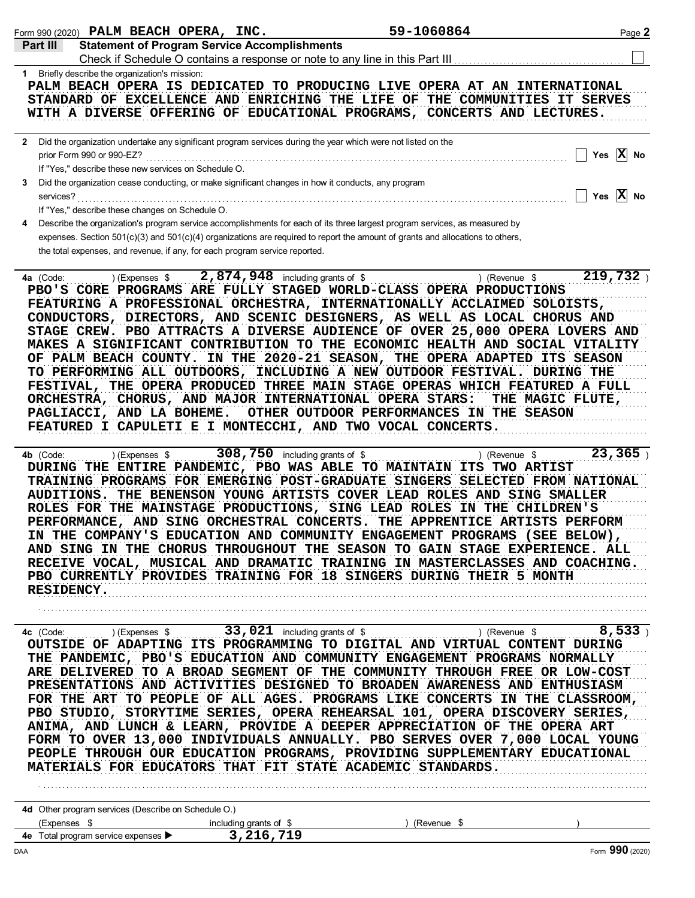| <b>Statement of Program Service Accomplishments</b><br>1 Briefly describe the organization's mission:<br>PALM BEACH OPERA IS DEDICATED TO PRODUCING LIVE OPERA AT AN INTERNATIONAL<br>STANDARD OF EXCELLENCE AND ENRICHING THE LIFE OF THE COMMUNITIES IT SERVES<br>WITH A DIVERSE OFFERING OF EDUCATIONAL PROGRAMS, CONCERTS AND LECTURES.<br>2 Did the organization undertake any significant program services during the year which were not listed on the<br>Yes $X$ No<br>prior Form 990 or 990-EZ?<br>If "Yes," describe these new services on Schedule O.<br>Did the organization cease conducting, or make significant changes in how it conducts, any program<br>3<br>Yes $\overline{X}$ No<br>services?<br>If "Yes," describe these changes on Schedule O.<br>Describe the organization's program service accomplishments for each of its three largest program services, as measured by<br>expenses. Section 501(c)(3) and 501(c)(4) organizations are required to report the amount of grants and allocations to others,<br>the total expenses, and revenue, if any, for each program service reported.<br>219,732<br>2,874,948 including grants of \$<br>) (Expenses \$<br>) (Revenue \$<br>PBO'S CORE PROGRAMS ARE FULLY STAGED WORLD-CLASS OPERA PRODUCTIONS<br>FEATURING A PROFESSIONAL ORCHESTRA, INTERNATIONALLY ACCLAIMED SOLOISTS,<br>CONDUCTORS, DIRECTORS, AND SCENIC DESIGNERS, AS WELL AS LOCAL CHORUS AND<br>STAGE CREW. PBO ATTRACTS A DIVERSE AUDIENCE OF OVER 25,000 OPERA LOVERS AND<br>MAKES A SIGNIFICANT CONTRIBUTION TO THE ECONOMIC HEALTH AND SOCIAL VITALITY<br>OF PALM BEACH COUNTY. IN THE 2020-21 SEASON, THE OPERA ADAPTED ITS SEASON<br>TO PERFORMING ALL OUTDOORS, INCLUDING A NEW OUTDOOR FESTIVAL. DURING THE<br>FESTIVAL, THE OPERA PRODUCED THREE MAIN STAGE OPERAS WHICH FEATURED A FULL<br>ORCHESTRA, CHORUS, AND MAJOR INTERNATIONAL OPERA STARS:<br>THE MAGIC FLUTE,<br>OTHER OUTDOOR PERFORMANCES IN THE SEASON<br>PAGLIACCI, AND LA BOHEME.<br>FEATURED I CAPULETI E I MONTECCHI, AND TWO VOCAL CONCERTS.<br>308,750 including grants of \$<br>23,365<br>4b (Code:<br>$(Express$ \$<br>) (Revenue \$<br>DURING THE ENTIRE PANDEMIC, PBO WAS ABLE TO MAINTAIN ITS TWO ARTIST<br>TRAINING PROGRAMS FOR EMERGING POST-GRADUATE SINGERS SELECTED FROM NATIONAL<br>AUDITIONS. THE BENENSON YOUNG ARTISTS COVER LEAD ROLES AND SING SMALLER<br>ROLES FOR THE MAINSTAGE PRODUCTIONS, SING LEAD ROLES IN THE CHILDREN'S<br>PERFORMANCE, AND SING ORCHESTRAL CONCERTS. THE APPRENTICE ARTISTS PERFORM<br>IN THE COMPANY'S EDUCATION AND COMMUNITY ENGAGEMENT PROGRAMS (SEE BELOW),<br>AND SING IN THE CHORUS THROUGHOUT THE SEASON TO GAIN STAGE EXPERIENCE. ALL<br>RECEIVE VOCAL, MUSICAL AND DRAMATIC TRAINING IN MASTERCLASSES AND COACHING.<br>PBO CURRENTLY PROVIDES TRAINING FOR 18 SINGERS DURING THEIR 5 MONTH<br>RESIDENCY.<br>OUTSIDE OF ADAPTING ITS PROGRAMMING TO DIGITAL AND VIRTUAL CONTENT DURING<br>THE PANDEMIC, PBO'S EDUCATION AND COMMUNITY ENGAGEMENT PROGRAMS NORMALLY<br>ARE DELIVERED TO A BROAD SEGMENT OF THE COMMUNITY THROUGH FREE OR LOW-COST<br>PRESENTATIONS AND ACTIVITIES DESIGNED TO BROADEN AWARENESS AND ENTHUSIASM<br>FOR THE ART TO PEOPLE OF ALL AGES. PROGRAMS LIKE CONCERTS IN THE CLASSROOM,<br>PBO STUDIO, STORYTIME SERIES, OPERA REHEARSAL 101, OPERA DISCOVERY SERIES,<br>ANIMA, AND LUNCH & LEARN, PROVIDE A DEEPER APPRECIATION OF THE OPERA ART<br>FORM TO OVER 13,000 INDIVIDUALS ANNUALLY. PBO SERVES OVER 7,000 LOCAL YOUNG<br>PEOPLE THROUGH OUR EDUCATION PROGRAMS, PROVIDING SUPPLEMENTARY EDUCATIONAL<br>MATERIALS FOR EDUCATORS THAT FIT STATE ACADEMIC STANDARDS.<br>4d Other program services (Describe on Schedule O.)<br>(Expenses \$<br>including grants of \$<br>(Revenue \$<br>3,216,719<br>4e Total program service expenses > |           | Form 990 (2020) PALM BEACH OPERA, INC. | 59-1060864 | Page 2          |
|---------------------------------------------------------------------------------------------------------------------------------------------------------------------------------------------------------------------------------------------------------------------------------------------------------------------------------------------------------------------------------------------------------------------------------------------------------------------------------------------------------------------------------------------------------------------------------------------------------------------------------------------------------------------------------------------------------------------------------------------------------------------------------------------------------------------------------------------------------------------------------------------------------------------------------------------------------------------------------------------------------------------------------------------------------------------------------------------------------------------------------------------------------------------------------------------------------------------------------------------------------------------------------------------------------------------------------------------------------------------------------------------------------------------------------------------------------------------------------------------------------------------------------------------------------------------------------------------------------------------------------------------------------------------------------------------------------------------------------------------------------------------------------------------------------------------------------------------------------------------------------------------------------------------------------------------------------------------------------------------------------------------------------------------------------------------------------------------------------------------------------------------------------------------------------------------------------------------------------------------------------------------------------------------------------------------------------------------------------------------------------------------------------------------------------------------------------------------------------------------------------------------------------------------------------------------------------------------------------------------------------------------------------------------------------------------------------------------------------------------------------------------------------------------------------------------------------------------------------------------------------------------------------------------------------------------------------------------------------------------------------------------------------------------------------------------------------------------------------------------------------------------------------------------------------------------------------------------------------------------------------------------------------------------------------------------------------------------------------------------------------------------------------------------------------------------------------------------------------------------------------------------------------------------------------------------------------------------------------------------------------------------------------------------------------------------------------------------------------------------------------------------------------------------------------------------------------------------|-----------|----------------------------------------|------------|-----------------|
|                                                                                                                                                                                                                                                                                                                                                                                                                                                                                                                                                                                                                                                                                                                                                                                                                                                                                                                                                                                                                                                                                                                                                                                                                                                                                                                                                                                                                                                                                                                                                                                                                                                                                                                                                                                                                                                                                                                                                                                                                                                                                                                                                                                                                                                                                                                                                                                                                                                                                                                                                                                                                                                                                                                                                                                                                                                                                                                                                                                                                                                                                                                                                                                                                                                                                                                                                                                                                                                                                                                                                                                                                                                                                                                                                                                                                                             | Part III  |                                        |            |                 |
|                                                                                                                                                                                                                                                                                                                                                                                                                                                                                                                                                                                                                                                                                                                                                                                                                                                                                                                                                                                                                                                                                                                                                                                                                                                                                                                                                                                                                                                                                                                                                                                                                                                                                                                                                                                                                                                                                                                                                                                                                                                                                                                                                                                                                                                                                                                                                                                                                                                                                                                                                                                                                                                                                                                                                                                                                                                                                                                                                                                                                                                                                                                                                                                                                                                                                                                                                                                                                                                                                                                                                                                                                                                                                                                                                                                                                                             |           |                                        |            |                 |
|                                                                                                                                                                                                                                                                                                                                                                                                                                                                                                                                                                                                                                                                                                                                                                                                                                                                                                                                                                                                                                                                                                                                                                                                                                                                                                                                                                                                                                                                                                                                                                                                                                                                                                                                                                                                                                                                                                                                                                                                                                                                                                                                                                                                                                                                                                                                                                                                                                                                                                                                                                                                                                                                                                                                                                                                                                                                                                                                                                                                                                                                                                                                                                                                                                                                                                                                                                                                                                                                                                                                                                                                                                                                                                                                                                                                                                             |           |                                        |            |                 |
|                                                                                                                                                                                                                                                                                                                                                                                                                                                                                                                                                                                                                                                                                                                                                                                                                                                                                                                                                                                                                                                                                                                                                                                                                                                                                                                                                                                                                                                                                                                                                                                                                                                                                                                                                                                                                                                                                                                                                                                                                                                                                                                                                                                                                                                                                                                                                                                                                                                                                                                                                                                                                                                                                                                                                                                                                                                                                                                                                                                                                                                                                                                                                                                                                                                                                                                                                                                                                                                                                                                                                                                                                                                                                                                                                                                                                                             |           |                                        |            |                 |
|                                                                                                                                                                                                                                                                                                                                                                                                                                                                                                                                                                                                                                                                                                                                                                                                                                                                                                                                                                                                                                                                                                                                                                                                                                                                                                                                                                                                                                                                                                                                                                                                                                                                                                                                                                                                                                                                                                                                                                                                                                                                                                                                                                                                                                                                                                                                                                                                                                                                                                                                                                                                                                                                                                                                                                                                                                                                                                                                                                                                                                                                                                                                                                                                                                                                                                                                                                                                                                                                                                                                                                                                                                                                                                                                                                                                                                             |           |                                        |            |                 |
|                                                                                                                                                                                                                                                                                                                                                                                                                                                                                                                                                                                                                                                                                                                                                                                                                                                                                                                                                                                                                                                                                                                                                                                                                                                                                                                                                                                                                                                                                                                                                                                                                                                                                                                                                                                                                                                                                                                                                                                                                                                                                                                                                                                                                                                                                                                                                                                                                                                                                                                                                                                                                                                                                                                                                                                                                                                                                                                                                                                                                                                                                                                                                                                                                                                                                                                                                                                                                                                                                                                                                                                                                                                                                                                                                                                                                                             |           |                                        |            |                 |
|                                                                                                                                                                                                                                                                                                                                                                                                                                                                                                                                                                                                                                                                                                                                                                                                                                                                                                                                                                                                                                                                                                                                                                                                                                                                                                                                                                                                                                                                                                                                                                                                                                                                                                                                                                                                                                                                                                                                                                                                                                                                                                                                                                                                                                                                                                                                                                                                                                                                                                                                                                                                                                                                                                                                                                                                                                                                                                                                                                                                                                                                                                                                                                                                                                                                                                                                                                                                                                                                                                                                                                                                                                                                                                                                                                                                                                             |           |                                        |            |                 |
|                                                                                                                                                                                                                                                                                                                                                                                                                                                                                                                                                                                                                                                                                                                                                                                                                                                                                                                                                                                                                                                                                                                                                                                                                                                                                                                                                                                                                                                                                                                                                                                                                                                                                                                                                                                                                                                                                                                                                                                                                                                                                                                                                                                                                                                                                                                                                                                                                                                                                                                                                                                                                                                                                                                                                                                                                                                                                                                                                                                                                                                                                                                                                                                                                                                                                                                                                                                                                                                                                                                                                                                                                                                                                                                                                                                                                                             |           |                                        |            |                 |
|                                                                                                                                                                                                                                                                                                                                                                                                                                                                                                                                                                                                                                                                                                                                                                                                                                                                                                                                                                                                                                                                                                                                                                                                                                                                                                                                                                                                                                                                                                                                                                                                                                                                                                                                                                                                                                                                                                                                                                                                                                                                                                                                                                                                                                                                                                                                                                                                                                                                                                                                                                                                                                                                                                                                                                                                                                                                                                                                                                                                                                                                                                                                                                                                                                                                                                                                                                                                                                                                                                                                                                                                                                                                                                                                                                                                                                             |           |                                        |            |                 |
|                                                                                                                                                                                                                                                                                                                                                                                                                                                                                                                                                                                                                                                                                                                                                                                                                                                                                                                                                                                                                                                                                                                                                                                                                                                                                                                                                                                                                                                                                                                                                                                                                                                                                                                                                                                                                                                                                                                                                                                                                                                                                                                                                                                                                                                                                                                                                                                                                                                                                                                                                                                                                                                                                                                                                                                                                                                                                                                                                                                                                                                                                                                                                                                                                                                                                                                                                                                                                                                                                                                                                                                                                                                                                                                                                                                                                                             |           |                                        |            |                 |
|                                                                                                                                                                                                                                                                                                                                                                                                                                                                                                                                                                                                                                                                                                                                                                                                                                                                                                                                                                                                                                                                                                                                                                                                                                                                                                                                                                                                                                                                                                                                                                                                                                                                                                                                                                                                                                                                                                                                                                                                                                                                                                                                                                                                                                                                                                                                                                                                                                                                                                                                                                                                                                                                                                                                                                                                                                                                                                                                                                                                                                                                                                                                                                                                                                                                                                                                                                                                                                                                                                                                                                                                                                                                                                                                                                                                                                             | 4a (Code: |                                        |            |                 |
|                                                                                                                                                                                                                                                                                                                                                                                                                                                                                                                                                                                                                                                                                                                                                                                                                                                                                                                                                                                                                                                                                                                                                                                                                                                                                                                                                                                                                                                                                                                                                                                                                                                                                                                                                                                                                                                                                                                                                                                                                                                                                                                                                                                                                                                                                                                                                                                                                                                                                                                                                                                                                                                                                                                                                                                                                                                                                                                                                                                                                                                                                                                                                                                                                                                                                                                                                                                                                                                                                                                                                                                                                                                                                                                                                                                                                                             |           |                                        |            |                 |
|                                                                                                                                                                                                                                                                                                                                                                                                                                                                                                                                                                                                                                                                                                                                                                                                                                                                                                                                                                                                                                                                                                                                                                                                                                                                                                                                                                                                                                                                                                                                                                                                                                                                                                                                                                                                                                                                                                                                                                                                                                                                                                                                                                                                                                                                                                                                                                                                                                                                                                                                                                                                                                                                                                                                                                                                                                                                                                                                                                                                                                                                                                                                                                                                                                                                                                                                                                                                                                                                                                                                                                                                                                                                                                                                                                                                                                             |           |                                        |            |                 |
|                                                                                                                                                                                                                                                                                                                                                                                                                                                                                                                                                                                                                                                                                                                                                                                                                                                                                                                                                                                                                                                                                                                                                                                                                                                                                                                                                                                                                                                                                                                                                                                                                                                                                                                                                                                                                                                                                                                                                                                                                                                                                                                                                                                                                                                                                                                                                                                                                                                                                                                                                                                                                                                                                                                                                                                                                                                                                                                                                                                                                                                                                                                                                                                                                                                                                                                                                                                                                                                                                                                                                                                                                                                                                                                                                                                                                                             |           |                                        |            |                 |
|                                                                                                                                                                                                                                                                                                                                                                                                                                                                                                                                                                                                                                                                                                                                                                                                                                                                                                                                                                                                                                                                                                                                                                                                                                                                                                                                                                                                                                                                                                                                                                                                                                                                                                                                                                                                                                                                                                                                                                                                                                                                                                                                                                                                                                                                                                                                                                                                                                                                                                                                                                                                                                                                                                                                                                                                                                                                                                                                                                                                                                                                                                                                                                                                                                                                                                                                                                                                                                                                                                                                                                                                                                                                                                                                                                                                                                             |           |                                        |            |                 |
|                                                                                                                                                                                                                                                                                                                                                                                                                                                                                                                                                                                                                                                                                                                                                                                                                                                                                                                                                                                                                                                                                                                                                                                                                                                                                                                                                                                                                                                                                                                                                                                                                                                                                                                                                                                                                                                                                                                                                                                                                                                                                                                                                                                                                                                                                                                                                                                                                                                                                                                                                                                                                                                                                                                                                                                                                                                                                                                                                                                                                                                                                                                                                                                                                                                                                                                                                                                                                                                                                                                                                                                                                                                                                                                                                                                                                                             |           |                                        |            |                 |
|                                                                                                                                                                                                                                                                                                                                                                                                                                                                                                                                                                                                                                                                                                                                                                                                                                                                                                                                                                                                                                                                                                                                                                                                                                                                                                                                                                                                                                                                                                                                                                                                                                                                                                                                                                                                                                                                                                                                                                                                                                                                                                                                                                                                                                                                                                                                                                                                                                                                                                                                                                                                                                                                                                                                                                                                                                                                                                                                                                                                                                                                                                                                                                                                                                                                                                                                                                                                                                                                                                                                                                                                                                                                                                                                                                                                                                             | DAA       |                                        |            | Form 990 (2020) |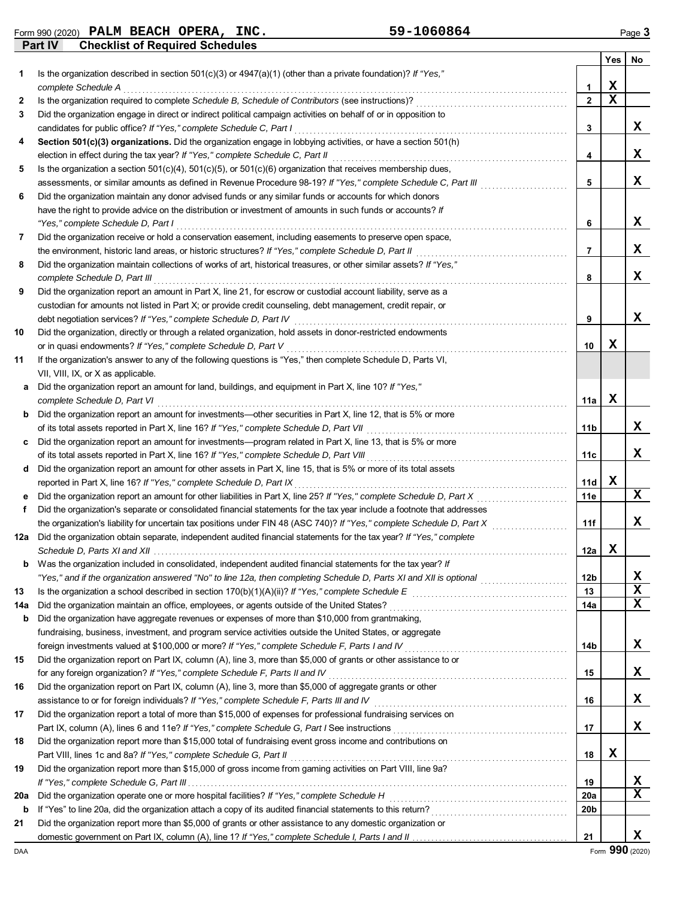**Part IV Checklist of Required Schedules** Form 990 (2020) Page **3 PALM BEACH OPERA, INC. 59-1060864**

|     |                                                                                                                                                                                                             |              | Yes | No |
|-----|-------------------------------------------------------------------------------------------------------------------------------------------------------------------------------------------------------------|--------------|-----|----|
| 1   | Is the organization described in section $501(c)(3)$ or $4947(a)(1)$ (other than a private foundation)? If "Yes,"                                                                                           |              |     |    |
|     | complete Schedule A                                                                                                                                                                                         | 1            | х   |    |
| 2   | Is the organization required to complete Schedule B, Schedule of Contributors (see instructions)?                                                                                                           | $\mathbf{2}$ | X   |    |
| 3   | Did the organization engage in direct or indirect political campaign activities on behalf of or in opposition to                                                                                            |              |     |    |
|     | candidates for public office? If "Yes," complete Schedule C, Part I                                                                                                                                         | 3            |     | X  |
| 4   | Section 501(c)(3) organizations. Did the organization engage in lobbying activities, or have a section 501(h)                                                                                               | 4            |     | X  |
| 5   | election in effect during the tax year? If "Yes," complete Schedule C, Part II<br>Is the organization a section $501(c)(4)$ , $501(c)(5)$ , or $501(c)(6)$ organization that receives membership dues,      |              |     |    |
|     | assessments, or similar amounts as defined in Revenue Procedure 98-19? If "Yes," complete Schedule C, Part III                                                                                              | 5            |     | x  |
| 6   | Did the organization maintain any donor advised funds or any similar funds or accounts for which donors                                                                                                     |              |     |    |
|     | have the right to provide advice on the distribution or investment of amounts in such funds or accounts? If                                                                                                 |              |     |    |
|     | "Yes," complete Schedule D, Part I                                                                                                                                                                          | 6            |     | X  |
| 7   | Did the organization receive or hold a conservation easement, including easements to preserve open space,                                                                                                   |              |     |    |
|     | the environment, historic land areas, or historic structures? If "Yes," complete Schedule D, Part II                                                                                                        | 7            |     | x  |
| 8   | Did the organization maintain collections of works of art, historical treasures, or other similar assets? If "Yes,"                                                                                         |              |     |    |
|     | complete Schedule D, Part III                                                                                                                                                                               | 8            |     | x  |
| 9   | Did the organization report an amount in Part X, line 21, for escrow or custodial account liability, serve as a                                                                                             |              |     |    |
|     | custodian for amounts not listed in Part X; or provide credit counseling, debt management, credit repair, or                                                                                                |              |     |    |
|     | debt negotiation services? If "Yes," complete Schedule D, Part IV                                                                                                                                           | 9            |     | x  |
| 10  | Did the organization, directly or through a related organization, hold assets in donor-restricted endowments                                                                                                |              |     |    |
|     | or in quasi endowments? If "Yes," complete Schedule D, Part V                                                                                                                                               | 10           | х   |    |
| 11  | If the organization's answer to any of the following questions is "Yes," then complete Schedule D, Parts VI,                                                                                                |              |     |    |
|     | VII, VIII, IX, or X as applicable.                                                                                                                                                                          |              |     |    |
| a   | Did the organization report an amount for land, buildings, and equipment in Part X, line 10? If "Yes,"                                                                                                      |              |     |    |
|     | complete Schedule D, Part VI                                                                                                                                                                                | 11a          | х   |    |
| b   | Did the organization report an amount for investments—other securities in Part X, line 12, that is 5% or more                                                                                               |              |     | x  |
|     | of its total assets reported in Part X, line 16? If "Yes," complete Schedule D, Part VII                                                                                                                    | 11b          |     |    |
| C   | Did the organization report an amount for investments—program related in Part X, line 13, that is 5% or more<br>of its total assets reported in Part X, line 16? If "Yes," complete Schedule D, Part VIII   | 11с          |     | x  |
| d   | Did the organization report an amount for other assets in Part X, line 15, that is 5% or more of its total assets                                                                                           |              |     |    |
|     | reported in Part X, line 16? If "Yes," complete Schedule D, Part IX                                                                                                                                         | 11d          | X   |    |
| е   | Did the organization report an amount for other liabilities in Part X, line 25? If "Yes," complete Schedule D, Part X                                                                                       | 11e          |     | X  |
| f   | Did the organization's separate or consolidated financial statements for the tax year include a footnote that addresses                                                                                     |              |     |    |
|     | the organization's liability for uncertain tax positions under FIN 48 (ASC 740)? If "Yes," complete Schedule D, Part X                                                                                      | 11f          |     | x  |
|     | 12a Did the organization obtain separate, independent audited financial statements for the tax year? If "Yes," complete                                                                                     |              |     |    |
|     |                                                                                                                                                                                                             | 12a          | X   |    |
|     | Was the organization included in consolidated, independent audited financial statements for the tax year? If                                                                                                |              |     |    |
|     | "Yes," and if the organization answered "No" to line 12a, then completing Schedule D, Parts XI and XII is optional <i>manumanners</i>                                                                       | 12b          |     | Х  |
| 13  | Is the organization a school described in section 170(b)(1)(A)(ii)? If "Yes," complete Schedule E                                                                                                           | 13           |     | X  |
| 14a | Did the organization maintain an office, employees, or agents outside of the United States?                                                                                                                 | 14a          |     | X  |
| b   | Did the organization have aggregate revenues or expenses of more than \$10,000 from grantmaking,                                                                                                            |              |     |    |
|     | fundraising, business, investment, and program service activities outside the United States, or aggregate                                                                                                   |              |     |    |
|     | foreign investments valued at \$100,000 or more? If "Yes," complete Schedule F, Parts I and IV [[[[[[[[[[[[[[[[                                                                                             | 14b          |     | X  |
| 15  | Did the organization report on Part IX, column (A), line 3, more than \$5,000 of grants or other assistance to or                                                                                           |              |     |    |
|     | for any foreign organization? If "Yes," complete Schedule F, Parts II and IV                                                                                                                                | 15           |     | x  |
| 16  | Did the organization report on Part IX, column (A), line 3, more than \$5,000 of aggregate grants or other                                                                                                  |              |     | x  |
|     | assistance to or for foreign individuals? If "Yes," complete Schedule F, Parts III and IV<br>Did the organization report a total of more than \$15,000 of expenses for professional fundraising services on | 16           |     |    |
| 17  | Part IX, column (A), lines 6 and 11e? If "Yes," complete Schedule G, Part I See instructions                                                                                                                | 17           |     | x  |
| 18  | Did the organization report more than \$15,000 total of fundraising event gross income and contributions on                                                                                                 |              |     |    |
|     | Part VIII, lines 1c and 8a? If "Yes," complete Schedule G, Part II                                                                                                                                          | 18           | X   |    |
| 19  | Did the organization report more than \$15,000 of gross income from gaming activities on Part VIII, line 9a?                                                                                                |              |     |    |
|     |                                                                                                                                                                                                             | 19           |     | x  |
| 20a | Did the organization operate one or more hospital facilities? If "Yes," complete Schedule H                                                                                                                 | 20a          |     | x  |
| b   |                                                                                                                                                                                                             | 20b          |     |    |
| 21  | Did the organization report more than \$5,000 of grants or other assistance to any domestic organization or                                                                                                 |              |     |    |
|     |                                                                                                                                                                                                             | 21           |     | x  |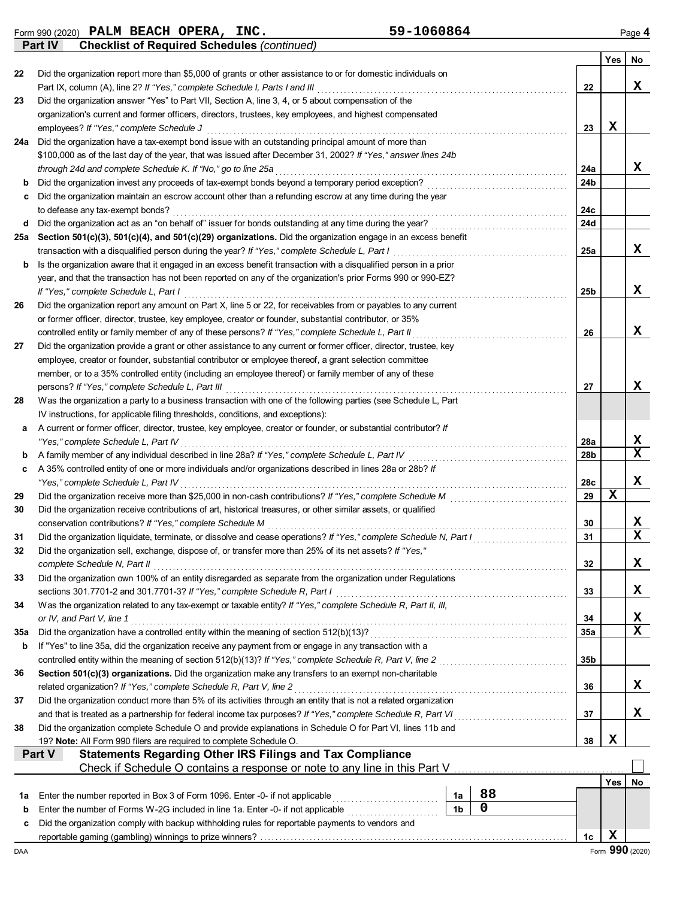Form 990 (2020) Page **4 PALM BEACH OPERA, INC.** 59-1060864

**Part IV Checklist of Required Schedules** *(continued)*

|             |                                                                                                                                                                                                                               |            | <b>Yes</b>      | <b>No</b>    |
|-------------|-------------------------------------------------------------------------------------------------------------------------------------------------------------------------------------------------------------------------------|------------|-----------------|--------------|
| 22          | Did the organization report more than \$5,000 of grants or other assistance to or for domestic individuals on                                                                                                                 |            |                 |              |
|             |                                                                                                                                                                                                                               | 22         |                 | $\mathbf x$  |
| 23          | Did the organization answer "Yes" to Part VII, Section A, line 3, 4, or 5 about compensation of the                                                                                                                           |            |                 |              |
|             | organization's current and former officers, directors, trustees, key employees, and highest compensated                                                                                                                       |            |                 |              |
|             | employees? If "Yes," complete Schedule J                                                                                                                                                                                      | 23         | х               |              |
| 24a         | Did the organization have a tax-exempt bond issue with an outstanding principal amount of more than                                                                                                                           |            |                 |              |
|             | \$100,000 as of the last day of the year, that was issued after December 31, 2002? If "Yes," answer lines 24b                                                                                                                 |            |                 |              |
|             | through 24d and complete Schedule K. If "No," go to line 25a<br>Did the organization invest any proceeds of tax-exempt bonds beyond a temporary period exception?                                                             | 24a<br>24b |                 | x            |
| b<br>c      | Did the organization maintain an escrow account other than a refunding escrow at any time during the year                                                                                                                     |            |                 |              |
|             | to defease any tax-exempt bonds?                                                                                                                                                                                              | 24c        |                 |              |
| d           |                                                                                                                                                                                                                               | 24d        |                 |              |
| 25a         | Section 501(c)(3), 501(c)(4), and 501(c)(29) organizations. Did the organization engage in an excess benefit                                                                                                                  |            |                 |              |
|             | transaction with a disqualified person during the year? If "Yes," complete Schedule L, Part I                                                                                                                                 | 25a        |                 | x            |
| b           | Is the organization aware that it engaged in an excess benefit transaction with a disqualified person in a prior                                                                                                              |            |                 |              |
|             | year, and that the transaction has not been reported on any of the organization's prior Forms 990 or 990-EZ?                                                                                                                  |            |                 |              |
|             | If "Yes," complete Schedule L, Part I                                                                                                                                                                                         | 25b        |                 | x            |
| 26          | Did the organization report any amount on Part X, line 5 or 22, for receivables from or payables to any current                                                                                                               |            |                 |              |
|             | or former officer, director, trustee, key employee, creator or founder, substantial contributor, or 35%                                                                                                                       |            |                 |              |
|             | controlled entity or family member of any of these persons? If "Yes," complete Schedule L, Part II                                                                                                                            | 26         |                 | x            |
| 27          | Did the organization provide a grant or other assistance to any current or former officer, director, trustee, key                                                                                                             |            |                 |              |
|             | employee, creator or founder, substantial contributor or employee thereof, a grant selection committee                                                                                                                        |            |                 |              |
|             | member, or to a 35% controlled entity (including an employee thereof) or family member of any of these                                                                                                                        |            |                 |              |
|             | persons? If "Yes," complete Schedule L, Part III                                                                                                                                                                              | 27         |                 | x            |
| 28          | Was the organization a party to a business transaction with one of the following parties (see Schedule L, Part                                                                                                                |            |                 |              |
|             | IV instructions, for applicable filing thresholds, conditions, and exceptions):                                                                                                                                               |            |                 |              |
| а           | A current or former officer, director, trustee, key employee, creator or founder, or substantial contributor? If                                                                                                              |            |                 |              |
|             | "Yes," complete Schedule L, Part IV                                                                                                                                                                                           | 28a        |                 | x            |
| b           | A family member of any individual described in line 28a? If "Yes," complete Schedule L, Part IV                                                                                                                               | 28b        |                 | $\mathbf x$  |
| c           | A 35% controlled entity of one or more individuals and/or organizations described in lines 28a or 28b? If                                                                                                                     |            |                 |              |
|             | "Yes," complete Schedule L, Part IV                                                                                                                                                                                           | 28c        | $\mathbf x$     | x            |
| 29          |                                                                                                                                                                                                                               | 29         |                 |              |
| 30          | Did the organization receive contributions of art, historical treasures, or other similar assets, or qualified                                                                                                                |            |                 | x            |
|             | conservation contributions? If "Yes," complete Schedule M                                                                                                                                                                     | 30<br>31   |                 | $\mathbf{x}$ |
| 31          | Did the organization liquidate, terminate, or dissolve and cease operations? If "Yes," complete Schedule N, Part I<br>Did the organization sell, exchange, dispose of, or transfer more than 25% of its net assets? If "Yes," |            |                 |              |
| 32          |                                                                                                                                                                                                                               |            |                 |              |
| 33          | complete Schedule N, Part II<br>Did the organization own 100% of an entity disregarded as separate from the organization under Regulations                                                                                    | 32         |                 | X,           |
|             |                                                                                                                                                                                                                               | 33         |                 | x            |
| 34          | Was the organization related to any tax-exempt or taxable entity? If "Yes," complete Schedule R, Part II, III,                                                                                                                |            |                 |              |
|             | or IV, and Part V, line 1                                                                                                                                                                                                     | 34         |                 | X            |
| 35a         |                                                                                                                                                                                                                               | 35a        |                 | X            |
| b           | If "Yes" to line 35a, did the organization receive any payment from or engage in any transaction with a                                                                                                                       |            |                 |              |
|             | controlled entity within the meaning of section 512(b)(13)? If "Yes," complete Schedule R, Part V, line 2                                                                                                                     | 35b        |                 |              |
| 36          | Section 501(c)(3) organizations. Did the organization make any transfers to an exempt non-charitable                                                                                                                          |            |                 |              |
|             | related organization? If "Yes," complete Schedule R, Part V, line 2                                                                                                                                                           | 36         |                 | x            |
| 37          | Did the organization conduct more than 5% of its activities through an entity that is not a related organization                                                                                                              |            |                 |              |
|             | and that is treated as a partnership for federal income tax purposes? If "Yes," complete Schedule R, Part VI                                                                                                                  | 37         |                 | х            |
| 38          | Did the organization complete Schedule O and provide explanations in Schedule O for Part VI, lines 11b and                                                                                                                    |            |                 |              |
|             | 19? Note: All Form 990 filers are required to complete Schedule O.                                                                                                                                                            | 38         | X               |              |
|             | <b>Statements Regarding Other IRS Filings and Tax Compliance</b><br>Part V                                                                                                                                                    |            |                 |              |
|             | Check if Schedule O contains a response or note to any line in this Part V                                                                                                                                                    |            |                 |              |
|             |                                                                                                                                                                                                                               |            | Yes             | No           |
| 1a          | 88<br>Enter the number reported in Box 3 of Form 1096. Enter -0- if not applicable<br>1a                                                                                                                                      |            |                 |              |
| $\mathbf b$ | 0<br>1 <sub>b</sub><br>Enter the number of Forms W-2G included in line 1a. Enter -0- if not applicable [[[[[[[[[[[[[[[[[[[[[[[[[[[[[                                                                                          |            |                 |              |
| C           | Did the organization comply with backup withholding rules for reportable payments to vendors and                                                                                                                              |            |                 |              |
|             |                                                                                                                                                                                                                               | 1c         | X               |              |
| DAA         |                                                                                                                                                                                                                               |            | Form 990 (2020) |              |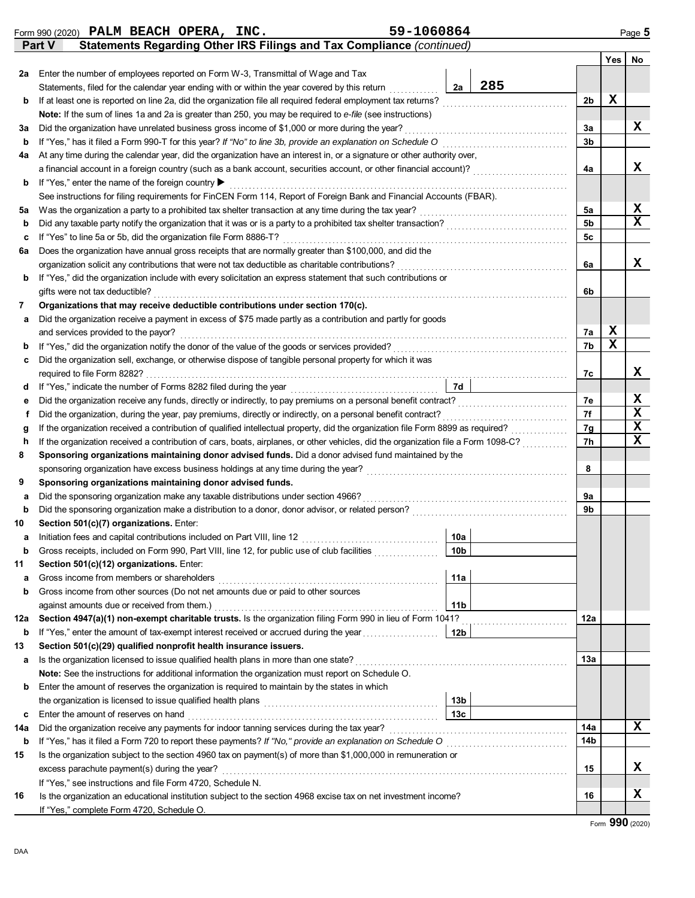|     | 59-1060864<br>Form 990 (2020) PALM BEACH OPERA, INC.                                                                                                                                       |                 |     |                |   | Page 5 |  |  |  |
|-----|--------------------------------------------------------------------------------------------------------------------------------------------------------------------------------------------|-----------------|-----|----------------|---|--------|--|--|--|
|     | Statements Regarding Other IRS Filings and Tax Compliance (continued)<br>Part V                                                                                                            |                 |     |                |   |        |  |  |  |
|     |                                                                                                                                                                                            |                 |     |                |   | Yes No |  |  |  |
| 2a  | Enter the number of employees reported on Form W-3, Transmittal of Wage and Tax                                                                                                            |                 |     |                |   |        |  |  |  |
|     | Statements, filed for the calendar year ending with or within the year covered by this return                                                                                              | 2a              | 285 |                |   |        |  |  |  |
| b   | If at least one is reported on line 2a, did the organization file all required federal employment tax returns?                                                                             |                 |     | 2b             | X |        |  |  |  |
|     | Note: If the sum of lines 1a and 2a is greater than 250, you may be required to e-file (see instructions)                                                                                  |                 |     |                |   |        |  |  |  |
| За  | Did the organization have unrelated business gross income of \$1,000 or more during the year?                                                                                              |                 |     | За             |   | x      |  |  |  |
| b   | If "Yes," has it filed a Form 990-T for this year? If "No" to line 3b, provide an explanation on Schedule O                                                                                |                 |     | 3b             |   |        |  |  |  |
| 4a  | At any time during the calendar year, did the organization have an interest in, or a signature or other authority over,                                                                    |                 |     |                |   |        |  |  |  |
|     | a financial account in a foreign country (such as a bank account, securities account, or other financial account)?                                                                         |                 |     | 4a             |   | x      |  |  |  |
| b   | If "Yes," enter the name of the foreign country ▶                                                                                                                                          |                 |     |                |   |        |  |  |  |
|     | See instructions for filing requirements for FinCEN Form 114, Report of Foreign Bank and Financial Accounts (FBAR).                                                                        |                 |     |                |   |        |  |  |  |
| 5a  | Was the organization a party to a prohibited tax shelter transaction at any time during the tax year?                                                                                      |                 |     | 5a             |   | X      |  |  |  |
| b   | Did any taxable party notify the organization that it was or is a party to a prohibited tax shelter transaction?                                                                           |                 |     | 5 <sub>b</sub> |   | X      |  |  |  |
| c   | If "Yes" to line 5a or 5b, did the organization file Form 8886-T?                                                                                                                          |                 |     | 5c             |   |        |  |  |  |
| 6а  | Does the organization have annual gross receipts that are normally greater than \$100,000, and did the                                                                                     |                 |     |                |   |        |  |  |  |
|     | organization solicit any contributions that were not tax deductible as charitable contributions?                                                                                           |                 |     | 6a             |   | x      |  |  |  |
| b   | If "Yes," did the organization include with every solicitation an express statement that such contributions or                                                                             |                 |     |                |   |        |  |  |  |
|     | gifts were not tax deductible?                                                                                                                                                             |                 |     | 6b             |   |        |  |  |  |
| 7   | Organizations that may receive deductible contributions under section 170(c).                                                                                                              |                 |     |                |   |        |  |  |  |
| а   | Did the organization receive a payment in excess of \$75 made partly as a contribution and partly for goods                                                                                |                 |     |                |   |        |  |  |  |
|     | and services provided to the payor?                                                                                                                                                        |                 |     | 7a             | X |        |  |  |  |
| b   | If "Yes," did the organization notify the donor of the value of the goods or services provided?                                                                                            |                 |     | 7b             | X |        |  |  |  |
| c   | Did the organization sell, exchange, or otherwise dispose of tangible personal property for which it was                                                                                   |                 |     |                |   |        |  |  |  |
|     | required to file Form 8282?                                                                                                                                                                |                 |     | 7с             |   | x      |  |  |  |
| d   |                                                                                                                                                                                            | <b>7d</b>       |     |                |   | x      |  |  |  |
| е   | Did the organization receive any funds, directly or indirectly, to pay premiums on a personal benefit contract?                                                                            |                 |     | 7e<br>7f       |   | X      |  |  |  |
|     | Did the organization, during the year, pay premiums, directly or indirectly, on a personal benefit contract?<br>f                                                                          |                 |     |                |   |        |  |  |  |
|     | If the organization received a contribution of qualified intellectual property, did the organization file Form 8899 as required?<br>g                                                      |                 |     |                |   |        |  |  |  |
| h   | If the organization received a contribution of cars, boats, airplanes, or other vehicles, did the organization file a Form 1098-C?                                                         |                 |     | 7h             |   | x      |  |  |  |
| 8   | Sponsoring organizations maintaining donor advised funds. Did a donor advised fund maintained by the<br>sponsoring organization have excess business holdings at any time during the year? |                 |     | 8              |   |        |  |  |  |
| 9   | Sponsoring organizations maintaining donor advised funds.                                                                                                                                  |                 |     |                |   |        |  |  |  |
| а   | Did the sponsoring organization make any taxable distributions under section 4966?                                                                                                         |                 |     | 9a             |   |        |  |  |  |
| b   | Did the sponsoring organization make a distribution to a donor, donor advisor, or related person?                                                                                          |                 |     | 9b             |   |        |  |  |  |
| 10  | Section 501(c)(7) organizations. Enter:                                                                                                                                                    |                 |     |                |   |        |  |  |  |
| а   | Initiation fees and capital contributions included on Part VIII, line 12                                                                                                                   | 10a             |     |                |   |        |  |  |  |
| b   | Gross receipts, included on Form 990, Part VIII, line 12, for public use of club facilities                                                                                                | 10b             |     |                |   |        |  |  |  |
| 11  | Section 501(c)(12) organizations. Enter:                                                                                                                                                   |                 |     |                |   |        |  |  |  |
| а   | Gross income from members or shareholders                                                                                                                                                  | 11a             |     |                |   |        |  |  |  |
| b   | Gross income from other sources (Do not net amounts due or paid to other sources                                                                                                           |                 |     |                |   |        |  |  |  |
|     | against amounts due or received from them.)                                                                                                                                                | 11 <sub>b</sub> |     |                |   |        |  |  |  |
| 12a | Section 4947(a)(1) non-exempt charitable trusts. Is the organization filing Form 990 in lieu of Form 1041?                                                                                 |                 |     | 12a            |   |        |  |  |  |
| b   | If "Yes," enter the amount of tax-exempt interest received or accrued during the year                                                                                                      | 12 <sub>b</sub> |     |                |   |        |  |  |  |
| 13  | Section 501(c)(29) qualified nonprofit health insurance issuers.                                                                                                                           |                 |     |                |   |        |  |  |  |
| а   | Is the organization licensed to issue qualified health plans in more than one state?                                                                                                       |                 |     | 13а            |   |        |  |  |  |
|     | Note: See the instructions for additional information the organization must report on Schedule O.                                                                                          |                 |     |                |   |        |  |  |  |
| b   | Enter the amount of reserves the organization is required to maintain by the states in which                                                                                               |                 |     |                |   |        |  |  |  |
|     |                                                                                                                                                                                            | 13 <sub>b</sub> |     |                |   |        |  |  |  |
| c   | Enter the amount of reserves on hand                                                                                                                                                       | 13 <sub>c</sub> |     |                |   |        |  |  |  |
| 14a | Did the organization receive any payments for indoor tanning services during the tax year?                                                                                                 |                 |     | 14a            |   | X      |  |  |  |
| b   | If "Yes," has it filed a Form 720 to report these payments? If "No," provide an explanation on Schedule O                                                                                  |                 |     | 14b            |   |        |  |  |  |
| 15  | Is the organization subject to the section 4960 tax on payment(s) of more than \$1,000,000 in remuneration or                                                                              |                 |     |                |   |        |  |  |  |
|     | excess parachute payment(s) during the year?                                                                                                                                               |                 |     | 15             |   | x      |  |  |  |
|     | If "Yes," see instructions and file Form 4720, Schedule N.                                                                                                                                 |                 |     |                |   |        |  |  |  |
| 16  | Is the organization an educational institution subject to the section 4968 excise tax on net investment income?                                                                            |                 |     | 16             |   | x      |  |  |  |
|     | If "Yes," complete Form 4720, Schedule O.                                                                                                                                                  |                 |     |                |   |        |  |  |  |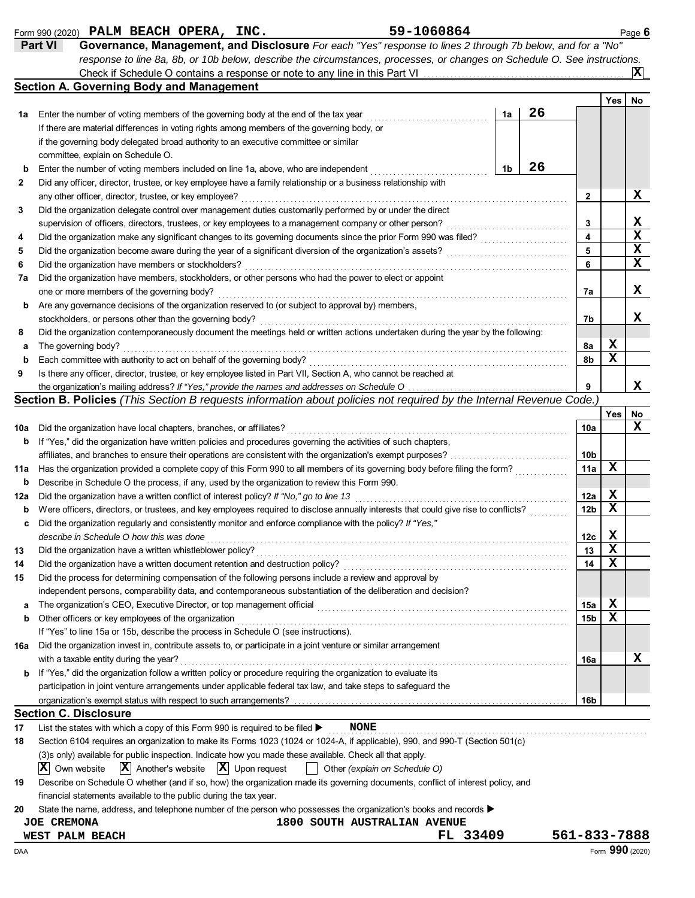| INC. |
|------|
|------|

|             | 59-1060864<br>Form 990 (2020) PALM BEACH OPERA, INC.                                                                                 |    |    |                 |   |     | Page 6      |
|-------------|--------------------------------------------------------------------------------------------------------------------------------------|----|----|-----------------|---|-----|-------------|
|             | Part VI<br>Governance, Management, and Disclosure For each "Yes" response to lines 2 through 7b below, and for a "No"                |    |    |                 |   |     |             |
|             | response to line 8a, 8b, or 10b below, describe the circumstances, processes, or changes on Schedule O. See instructions.            |    |    |                 |   |     |             |
|             |                                                                                                                                      |    |    |                 |   |     | X           |
|             | <b>Section A. Governing Body and Management</b>                                                                                      |    |    |                 |   |     |             |
|             |                                                                                                                                      |    |    |                 |   | Yes | No          |
| 1a          | Enter the number of voting members of the governing body at the end of the tax year                                                  | 1a | 26 |                 |   |     |             |
|             | If there are material differences in voting rights among members of the governing body, or                                           |    |    |                 |   |     |             |
|             | if the governing body delegated broad authority to an executive committee or similar                                                 |    |    |                 |   |     |             |
|             | committee, explain on Schedule O.                                                                                                    |    |    |                 |   |     |             |
| b           | Enter the number of voting members included on line 1a, above, who are independent                                                   | 1b | 26 |                 |   |     |             |
| 2           | Did any officer, director, trustee, or key employee have a family relationship or a business relationship with                       |    |    |                 |   |     |             |
|             | any other officer, director, trustee, or key employee?                                                                               |    |    | $\mathbf{2}$    |   |     | х           |
| 3           | Did the organization delegate control over management duties customarily performed by or under the direct                            |    |    |                 |   |     |             |
|             | supervision of officers, directors, trustees, or key employees to a management company or other person?                              |    |    | 3               |   |     | X           |
| 4           | Did the organization make any significant changes to its governing documents since the prior Form 990 was filed?                     |    |    | 4               |   |     | $\mathbf x$ |
|             |                                                                                                                                      |    |    | 5               |   |     | $\mathbf x$ |
| 5           | Did the organization become aware during the year of a significant diversion of the organization's assets?                           |    |    | 6               |   |     | x           |
| 6           | Did the organization have members or stockholders?                                                                                   |    |    |                 |   |     |             |
| 7а          | Did the organization have members, stockholders, or other persons who had the power to elect or appoint                              |    |    |                 |   |     |             |
|             | one or more members of the governing body?                                                                                           |    |    | 7a              |   |     | x           |
| b           | Are any governance decisions of the organization reserved to (or subject to approval by) members,                                    |    |    |                 |   |     |             |
|             | stockholders, or persons other than the governing body?                                                                              |    |    | 7b              |   |     | x           |
| 8           | Did the organization contemporaneously document the meetings held or written actions undertaken during the year by the following:    |    |    |                 |   |     |             |
| а           | The governing body?                                                                                                                  |    |    | 8а              |   | X   |             |
| b           | Each committee with authority to act on behalf of the governing body?                                                                |    |    | 8b              |   | X   |             |
| 9           | Is there any officer, director, trustee, or key employee listed in Part VII, Section A, who cannot be reached at                     |    |    |                 |   |     |             |
|             | the organization's mailing address? If "Yes," provide the names and addresses on Schedule O                                          |    |    | 9               |   |     | x           |
|             | Section B. Policies (This Section B requests information about policies not required by the Internal Revenue Code.)                  |    |    |                 |   |     |             |
|             |                                                                                                                                      |    |    |                 |   | Yes | No          |
| 10a         | Did the organization have local chapters, branches, or affiliates?                                                                   |    |    | 10a             |   |     | x           |
| b           | If "Yes," did the organization have written policies and procedures governing the activities of such chapters,                       |    |    |                 |   |     |             |
|             | affiliates, and branches to ensure their operations are consistent with the organization's exempt purposes?                          |    |    | 10b             |   |     |             |
| 11a         | Has the organization provided a complete copy of this Form 990 to all members of its governing body before filing the form?          |    |    | 11a             |   | х   |             |
| $\mathbf b$ | Describe in Schedule O the process, if any, used by the organization to review this Form 990.                                        |    |    |                 |   |     |             |
| 12a         | Did the organization have a written conflict of interest policy? If "No," go to line 13                                              |    |    | 12a             | X |     |             |
|             | Were officers, directors, or trustees, and key employees required to disclose annually interests that could give rise to conflicts?  |    |    | 12 <sub>b</sub> |   | x   |             |
| b           |                                                                                                                                      |    |    |                 |   |     |             |
| c           | Did the organization regularly and consistently monitor and enforce compliance with the policy? If "Yes,"                            |    |    |                 | X |     |             |
|             | describe in Schedule O how this was done                                                                                             |    |    | 12c             |   |     |             |
| 13          | Did the organization have a written whistleblower policy?                                                                            |    |    | 13              |   | х   |             |
| 14          | Did the organization have a written document retention and destruction policy?                                                       |    |    | 14              |   | х   |             |
| 15          | Did the process for determining compensation of the following persons include a review and approval by                               |    |    |                 |   |     |             |
|             | independent persons, comparability data, and contemporaneous substantiation of the deliberation and decision?                        |    |    |                 |   |     |             |
| а           | The organization's CEO, Executive Director, or top management official                                                               |    |    | 15a             | X |     |             |
| b           | Other officers or key employees of the organization                                                                                  |    |    | 15 <sub>b</sub> | х |     |             |
|             | If "Yes" to line 15a or 15b, describe the process in Schedule O (see instructions).                                                  |    |    |                 |   |     |             |
| 16a         | Did the organization invest in, contribute assets to, or participate in a joint venture or similar arrangement                       |    |    |                 |   |     |             |
|             | with a taxable entity during the year?                                                                                               |    |    | 16a             |   |     | x           |
| b           | If "Yes," did the organization follow a written policy or procedure requiring the organization to evaluate its                       |    |    |                 |   |     |             |
|             | participation in joint venture arrangements under applicable federal tax law, and take steps to safeguard the                        |    |    |                 |   |     |             |
|             | organization's exempt status with respect to such arrangements?                                                                      |    |    | 16 <sub>b</sub> |   |     |             |
|             | <b>Section C. Disclosure</b>                                                                                                         |    |    |                 |   |     |             |
| 17          | List the states with which a copy of this Form 990 is required to be filed ><br><b>NONE</b>                                          |    |    |                 |   |     |             |
|             |                                                                                                                                      |    |    |                 |   |     |             |
| 18          | Section 6104 requires an organization to make its Forms 1023 (1024 or 1024-A, if applicable), 990, and 990-T (Section 501(c)         |    |    |                 |   |     |             |
|             | (3)s only) available for public inspection. Indicate how you made these available. Check all that apply.                             |    |    |                 |   |     |             |
|             | $ \mathbf{X} $ Upon request<br>$ \mathbf{X} $ Another's website<br>$ \mathbf{X} $ Own website<br>Other (explain on Schedule O)       |    |    |                 |   |     |             |
| 19          | Describe on Schedule O whether (and if so, how) the organization made its governing documents, conflict of interest policy, and      |    |    |                 |   |     |             |
|             | financial statements available to the public during the tax year.                                                                    |    |    |                 |   |     |             |
| 20          | State the name, address, and telephone number of the person who possesses the organization's books and records $\blacktriangleright$ |    |    |                 |   |     |             |
|             | <b>JOE CREMONA</b><br><b>1800 SOUTH AUSTRALIAN AVENUE</b>                                                                            |    |    |                 |   |     |             |
|             | FL 33409<br>WEST PALM BEACH                                                                                                          |    |    | 561-833-7888    |   |     |             |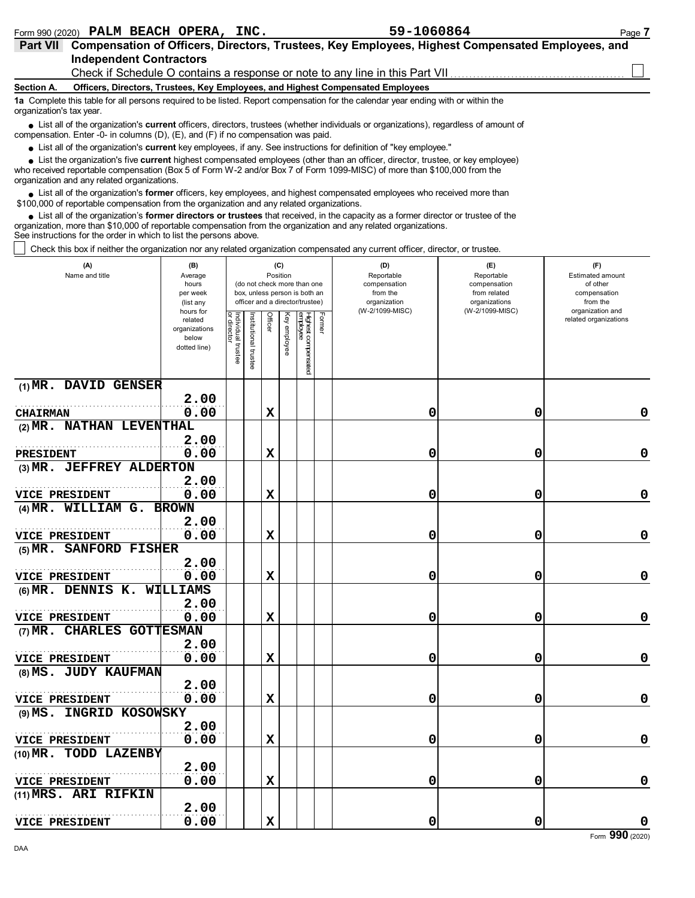| 59-1060864<br>PALM BEACH OPERA,<br>INC.<br>Form 990 (2020) | Page |  |
|------------------------------------------------------------|------|--|
|------------------------------------------------------------|------|--|

|                          | .990                                                                                                                                                                                                                                                                                                     |
|--------------------------|----------------------------------------------------------------------------------------------------------------------------------------------------------------------------------------------------------------------------------------------------------------------------------------------------------|
| <b>Part VII</b>          | Compensation of Officers, Directors, Trustees, Key Employees, Highest Compensated Employees, and<br><b>Independent Contractors</b>                                                                                                                                                                       |
|                          | Check if Schedule O contains a response or note to any line in this Part VII                                                                                                                                                                                                                             |
| Section A.               | Officers, Directors, Trustees, Key Employees, and Highest Compensated Employees                                                                                                                                                                                                                          |
| organization's tax year. | 1a Complete this table for all persons required to be listed. Report compensation for the calendar year ending with or within the                                                                                                                                                                        |
|                          | • List all of the organization's current officers, directors, trustees (whether individuals or organizations), regardless of amount of<br>compensation. Enter -0- in columns $(D)$ , $(E)$ , and $(F)$ if no compensation was paid.                                                                      |
|                          | • List all of the organization's current key employees, if any. See instructions for definition of "key employee."                                                                                                                                                                                       |
|                          | List the organization's five current highest compensated employees (other than an officer, director, trustee, or key employee)<br>who received reportable compensation (Box 5 of Form W-2 and/or Box 7 of Form 1099-MISC) of more than \$100,000 from the<br>organization and any related organizations. |
|                          | List all of the examination because officers less employees and bigheat companented employees who resolved mers than                                                                                                                                                                                     |

List all of the organization's **former** officers, key employees, and highest compensated employees who received more than • List all of the organization's **former** officers, key employees, and highest compensat \$100,000 of reportable compensation from the organization and any related organizations.

List all of the organization's **former directors or trustees** that received, in the capacity as a former director or trustee of the organization, more than \$10,000 of reportable compensation from the organization and any related organizations. See instructions for the order in which to list the persons above. **•**

Check this box if neither the organization nor any related organization compensated any current officer, director, or trustee.

| (A)<br>Name and title               | (B)<br>Average<br>hours<br>per week<br>(list any               |                                              |                      | (C)<br>Position |              | (do not check more than one<br>box, unless person is both an<br>officer and a director/trustee) | (D)<br>Reportable<br>compensation<br>from the<br>organization | (E)<br>Reportable<br>compensation<br>from related<br>organizations | (F)<br>Estimated amount<br>of other<br>compensation<br>from the |
|-------------------------------------|----------------------------------------------------------------|----------------------------------------------|----------------------|-----------------|--------------|-------------------------------------------------------------------------------------------------|---------------------------------------------------------------|--------------------------------------------------------------------|-----------------------------------------------------------------|
|                                     | hours for<br>related<br>organizations<br>below<br>dotted line) | Individual<br>or director<br>dire<br>trustee | nstitutional trustee | Officer         | Key employee | Highest compensated<br>employee<br>Former                                                       | (W-2/1099-MISC)                                               | (W-2/1099-MISC)                                                    | organization and<br>related organizations                       |
| (1) MR. DAVID GENSER                |                                                                |                                              |                      |                 |              |                                                                                                 |                                                               |                                                                    |                                                                 |
| <b>CHAIRMAN</b>                     | 2.00<br>0.00                                                   |                                              |                      | X               |              |                                                                                                 | 0                                                             | 0                                                                  | 0                                                               |
| (2) MR. NATHAN LEVENTHAL            |                                                                |                                              |                      |                 |              |                                                                                                 |                                                               |                                                                    |                                                                 |
|                                     | 2.00                                                           |                                              |                      |                 |              |                                                                                                 |                                                               |                                                                    |                                                                 |
| <b>PRESIDENT</b>                    | 0.00                                                           |                                              |                      | $\mathbf x$     |              |                                                                                                 | 0                                                             | 0                                                                  | 0                                                               |
| (3) MR. JEFFREY ALDERTON            |                                                                |                                              |                      |                 |              |                                                                                                 |                                                               |                                                                    |                                                                 |
|                                     | 2.00                                                           |                                              |                      |                 |              |                                                                                                 |                                                               |                                                                    |                                                                 |
| <b>VICE PRESIDENT</b>               | 0.00                                                           |                                              |                      | X               |              |                                                                                                 | 0                                                             | 0                                                                  | 0                                                               |
| (4) MR. WILLIAM G. BROWN            |                                                                |                                              |                      |                 |              |                                                                                                 |                                                               |                                                                    |                                                                 |
| <b>VICE PRESIDENT</b>               | 2.00<br>0.00                                                   |                                              |                      | X               |              |                                                                                                 | 0                                                             | 0                                                                  | $\mathbf 0$                                                     |
| <b>SANFORD FISHER</b><br>(5) $MR$ . |                                                                |                                              |                      |                 |              |                                                                                                 |                                                               |                                                                    |                                                                 |
|                                     | 2.00                                                           |                                              |                      |                 |              |                                                                                                 |                                                               |                                                                    |                                                                 |
| <b>VICE PRESIDENT</b>               | 0.00                                                           |                                              |                      | X               |              |                                                                                                 | 0                                                             | 0                                                                  | 0                                                               |
| (6) MR. DENNIS K. WILLIAMS          |                                                                |                                              |                      |                 |              |                                                                                                 |                                                               |                                                                    |                                                                 |
|                                     | 2.00                                                           |                                              |                      |                 |              |                                                                                                 |                                                               |                                                                    |                                                                 |
| VICE PRESIDENT                      | 0.00                                                           |                                              |                      | X               |              |                                                                                                 | 0                                                             | 0                                                                  | 0                                                               |
| (7) MR. CHARLES GOTTESMAN           |                                                                |                                              |                      |                 |              |                                                                                                 |                                                               |                                                                    |                                                                 |
|                                     | 2.00                                                           |                                              |                      |                 |              |                                                                                                 |                                                               |                                                                    |                                                                 |
| <b>VICE PRESIDENT</b>               | 0.00                                                           |                                              |                      | $\mathbf x$     |              |                                                                                                 | 0                                                             | 0                                                                  | 0                                                               |
| (8) MS. JUDY KAUFMAN                |                                                                |                                              |                      |                 |              |                                                                                                 |                                                               |                                                                    |                                                                 |
|                                     | 2.00                                                           |                                              |                      |                 |              |                                                                                                 |                                                               |                                                                    |                                                                 |
| <b>VICE PRESIDENT</b>               | 0.00                                                           |                                              |                      | $\mathbf x$     |              |                                                                                                 | 0                                                             | 0                                                                  | 0                                                               |
| (9) MS. INGRID KOSOWSKY             | 2.00                                                           |                                              |                      |                 |              |                                                                                                 |                                                               |                                                                    |                                                                 |
| VICE PRESIDENT                      | 0.00                                                           |                                              |                      | x               |              |                                                                                                 | 0                                                             | 0                                                                  | 0                                                               |
| TODD LAZENBY<br>(10) MR 。           |                                                                |                                              |                      |                 |              |                                                                                                 |                                                               |                                                                    |                                                                 |
|                                     | 2.00                                                           |                                              |                      |                 |              |                                                                                                 |                                                               |                                                                    |                                                                 |
| <b>VICE PRESIDENT</b>               | 0.00                                                           |                                              |                      | $\mathbf x$     |              |                                                                                                 | 0                                                             | 0                                                                  | 0                                                               |
| (11) MRS. ARI RIFKIN                |                                                                |                                              |                      |                 |              |                                                                                                 |                                                               |                                                                    |                                                                 |
|                                     | 2.00                                                           |                                              |                      |                 |              |                                                                                                 |                                                               |                                                                    |                                                                 |
| <b>VICE PRESIDENT</b>               | 0.00                                                           |                                              |                      | $\mathbf x$     |              |                                                                                                 | 0                                                             | 0                                                                  | 0                                                               |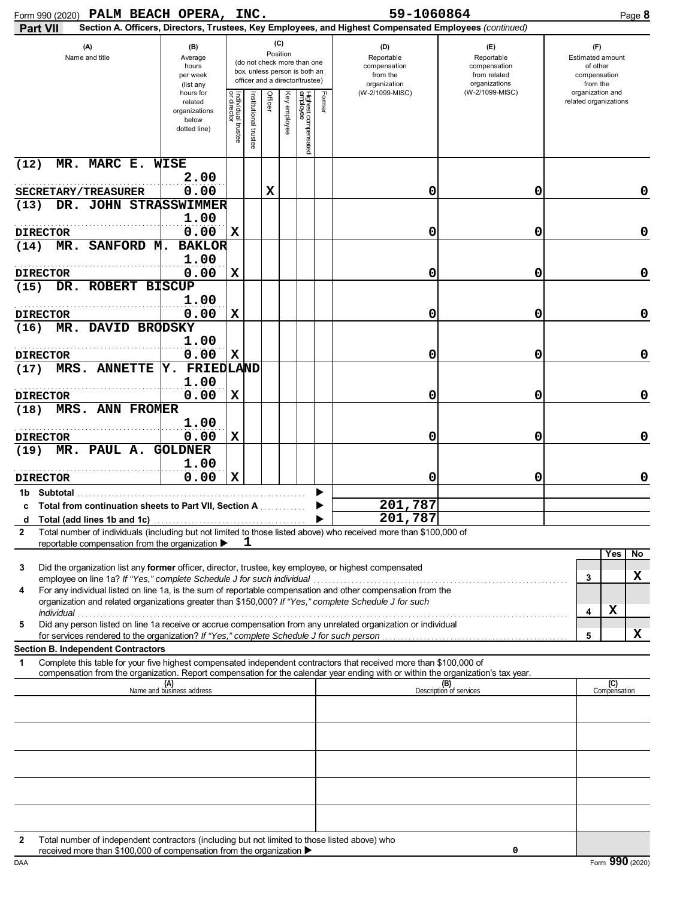| Form 990 (2020) PALM BEACH OPERA, INC.                                                                                                                                                                                                                      |                                                                |                                   |                      |                 |                 |                                                                                                 |        | 59-1060864                                                                                             |                                                                    | Page 8                                                          |
|-------------------------------------------------------------------------------------------------------------------------------------------------------------------------------------------------------------------------------------------------------------|----------------------------------------------------------------|-----------------------------------|----------------------|-----------------|-----------------|-------------------------------------------------------------------------------------------------|--------|--------------------------------------------------------------------------------------------------------|--------------------------------------------------------------------|-----------------------------------------------------------------|
| Part VII                                                                                                                                                                                                                                                    |                                                                |                                   |                      |                 |                 |                                                                                                 |        | Section A. Officers, Directors, Trustees, Key Employees, and Highest Compensated Employees (continued) |                                                                    |                                                                 |
| (A)<br>Name and title                                                                                                                                                                                                                                       | (B)<br>Average<br>hours<br>per week<br>(list any               |                                   |                      | (C)<br>Position |                 | (do not check more than one<br>box, unless person is both an<br>officer and a director/trustee) |        | (D)<br>Reportable<br>compensation<br>from the<br>organization                                          | (E)<br>Reportable<br>compensation<br>from related<br>organizations | (F)<br>Estimated amount<br>of other<br>compensation<br>from the |
|                                                                                                                                                                                                                                                             | hours for<br>related<br>organizations<br>below<br>dotted line) | Individual trustee<br>or director | nstitutional trustee | Officer         | Ķey<br>employee | Highest compensated<br>employee                                                                 | Former | (W-2/1099-MISC)                                                                                        | (W-2/1099-MISC)                                                    | organization and<br>related organizations                       |
| MR. MARC E. WISE<br>(12)                                                                                                                                                                                                                                    | 2.00                                                           |                                   |                      |                 |                 |                                                                                                 |        |                                                                                                        |                                                                    |                                                                 |
| SECRETARY/TREASURER                                                                                                                                                                                                                                         | 0.00                                                           |                                   |                      | x               |                 |                                                                                                 |        | 0                                                                                                      | 0                                                                  | 0                                                               |
| DR. JOHN STRASSWIMMER<br>(13)                                                                                                                                                                                                                               |                                                                |                                   |                      |                 |                 |                                                                                                 |        |                                                                                                        |                                                                    |                                                                 |
|                                                                                                                                                                                                                                                             | 1.00                                                           |                                   |                      |                 |                 |                                                                                                 |        |                                                                                                        |                                                                    |                                                                 |
| <b>DIRECTOR</b>                                                                                                                                                                                                                                             | 0.00                                                           | X                                 |                      |                 |                 |                                                                                                 |        | 0                                                                                                      | 0                                                                  | $\mathbf 0$                                                     |
| SANFORD M.<br>MR.<br>(14)                                                                                                                                                                                                                                   | <b>BAKLOR</b><br>1.00                                          |                                   |                      |                 |                 |                                                                                                 |        |                                                                                                        |                                                                    |                                                                 |
| <b>DIRECTOR</b>                                                                                                                                                                                                                                             | 0.00                                                           | X                                 |                      |                 |                 |                                                                                                 |        | 0                                                                                                      | 0                                                                  | $\mathbf 0$                                                     |
| DR. ROBERT BISCUP<br>(15)                                                                                                                                                                                                                                   |                                                                |                                   |                      |                 |                 |                                                                                                 |        |                                                                                                        |                                                                    |                                                                 |
|                                                                                                                                                                                                                                                             | 1.00                                                           |                                   |                      |                 |                 |                                                                                                 |        |                                                                                                        |                                                                    |                                                                 |
| <b>DIRECTOR</b>                                                                                                                                                                                                                                             | 0.00                                                           | X                                 |                      |                 |                 |                                                                                                 |        | 0                                                                                                      | 0                                                                  | $\mathbf 0$                                                     |
| DAVID BRODSKY<br>MR.<br>(16)                                                                                                                                                                                                                                |                                                                |                                   |                      |                 |                 |                                                                                                 |        |                                                                                                        |                                                                    |                                                                 |
|                                                                                                                                                                                                                                                             | 1.00                                                           |                                   |                      |                 |                 |                                                                                                 |        |                                                                                                        |                                                                    |                                                                 |
| <b>DIRECTOR</b><br>MRS. ANNETTE                                                                                                                                                                                                                             | 0.00<br>Y. FRIEDLAND                                           | X                                 |                      |                 |                 |                                                                                                 |        | 0                                                                                                      | 0                                                                  | $\mathbf 0$                                                     |
| (17)                                                                                                                                                                                                                                                        | 1.00                                                           |                                   |                      |                 |                 |                                                                                                 |        |                                                                                                        |                                                                    |                                                                 |
| <b>DIRECTOR</b>                                                                                                                                                                                                                                             | 0.00                                                           | X                                 |                      |                 |                 |                                                                                                 |        | 0                                                                                                      | 0                                                                  | $\mathbf 0$                                                     |
| MRS. ANN FROMER<br>(18)                                                                                                                                                                                                                                     |                                                                |                                   |                      |                 |                 |                                                                                                 |        |                                                                                                        |                                                                    |                                                                 |
|                                                                                                                                                                                                                                                             | 1.00                                                           |                                   |                      |                 |                 |                                                                                                 |        |                                                                                                        |                                                                    |                                                                 |
| <b>DIRECTOR</b>                                                                                                                                                                                                                                             | 0.00                                                           | X                                 |                      |                 |                 |                                                                                                 |        | 0                                                                                                      | 0                                                                  | $\mathbf 0$                                                     |
| MR. PAUL A.<br>(19)                                                                                                                                                                                                                                         | <b>GOLDNER</b>                                                 |                                   |                      |                 |                 |                                                                                                 |        |                                                                                                        |                                                                    |                                                                 |
| <b>DIRECTOR</b>                                                                                                                                                                                                                                             | 1.00<br>0.00                                                   | $\mathbf x$                       |                      |                 |                 |                                                                                                 |        | 0                                                                                                      | 0                                                                  | 0                                                               |
| 1b Subtotal                                                                                                                                                                                                                                                 |                                                                |                                   |                      |                 |                 |                                                                                                 |        |                                                                                                        |                                                                    |                                                                 |
| <b>Total from continuation sheets to Part VII, Section A </b>                                                                                                                                                                                               |                                                                |                                   |                      |                 |                 |                                                                                                 |        | 201,787                                                                                                |                                                                    |                                                                 |
|                                                                                                                                                                                                                                                             |                                                                |                                   |                      |                 |                 |                                                                                                 |        | 201,787                                                                                                |                                                                    |                                                                 |
| Total number of individuals (including but not limited to those listed above) who received more than \$100,000 of<br>$\mathbf{2}$                                                                                                                           |                                                                |                                   |                      |                 |                 |                                                                                                 |        |                                                                                                        |                                                                    |                                                                 |
| reportable compensation from the organization ▶<br>Did the organization list any former officer, director, trustee, key employee, or highest compensated<br>3                                                                                               |                                                                |                                   | ı                    |                 |                 |                                                                                                 |        |                                                                                                        |                                                                    | Yes<br>No<br>x<br>3                                             |
| For any individual listed on line 1a, is the sum of reportable compensation and other compensation from the<br>4<br>organization and related organizations greater than \$150,000? If "Yes," complete Schedule J for such                                   |                                                                |                                   |                      |                 |                 |                                                                                                 |        |                                                                                                        |                                                                    | х<br>4                                                          |
| Did any person listed on line 1a receive or accrue compensation from any unrelated organization or individual<br>5                                                                                                                                          |                                                                |                                   |                      |                 |                 |                                                                                                 |        |                                                                                                        |                                                                    | x<br>5                                                          |
| <b>Section B. Independent Contractors</b>                                                                                                                                                                                                                   |                                                                |                                   |                      |                 |                 |                                                                                                 |        |                                                                                                        |                                                                    |                                                                 |
| Complete this table for your five highest compensated independent contractors that received more than \$100,000 of<br>1<br>compensation from the organization. Report compensation for the calendar year ending with or within the organization's tax year. |                                                                |                                   |                      |                 |                 |                                                                                                 |        |                                                                                                        |                                                                    |                                                                 |
|                                                                                                                                                                                                                                                             | (A)<br>Name and business address                               |                                   |                      |                 |                 |                                                                                                 |        |                                                                                                        | (B)<br>Description of services                                     | (C)<br>Compensation                                             |
|                                                                                                                                                                                                                                                             |                                                                |                                   |                      |                 |                 |                                                                                                 |        |                                                                                                        |                                                                    |                                                                 |
|                                                                                                                                                                                                                                                             |                                                                |                                   |                      |                 |                 |                                                                                                 |        |                                                                                                        |                                                                    |                                                                 |
|                                                                                                                                                                                                                                                             |                                                                |                                   |                      |                 |                 |                                                                                                 |        |                                                                                                        |                                                                    |                                                                 |
|                                                                                                                                                                                                                                                             |                                                                |                                   |                      |                 |                 |                                                                                                 |        |                                                                                                        |                                                                    |                                                                 |
|                                                                                                                                                                                                                                                             |                                                                |                                   |                      |                 |                 |                                                                                                 |        |                                                                                                        |                                                                    |                                                                 |
| Total number of independent contractors (including but not limited to those listed above) who<br>2                                                                                                                                                          |                                                                |                                   |                      |                 |                 |                                                                                                 |        |                                                                                                        |                                                                    |                                                                 |
| received more than \$100,000 of compensation from the organization ▶                                                                                                                                                                                        |                                                                |                                   |                      |                 |                 |                                                                                                 |        |                                                                                                        | 0                                                                  |                                                                 |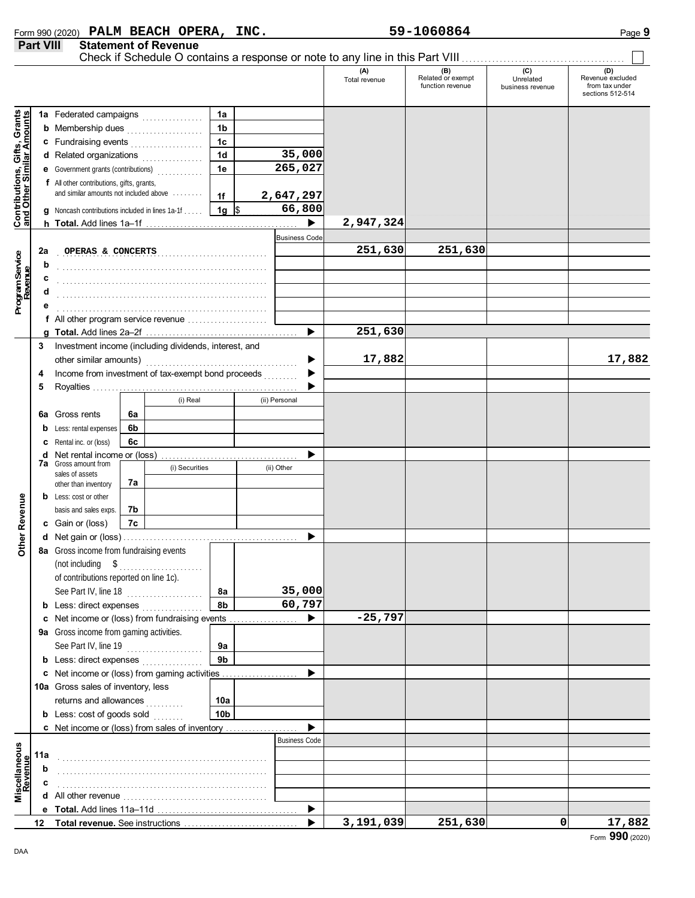|                                                                  |     |                                                                                                 |    |                |                 |                      | Check if Schedule O contains a response or note to any line in this Part VIII |                                              |                                      |                                                               |
|------------------------------------------------------------------|-----|-------------------------------------------------------------------------------------------------|----|----------------|-----------------|----------------------|-------------------------------------------------------------------------------|----------------------------------------------|--------------------------------------|---------------------------------------------------------------|
|                                                                  |     |                                                                                                 |    |                |                 |                      | (A)<br>Total revenue                                                          | (B)<br>Related or exempt<br>function revenue | (C)<br>Unrelated<br>business revenue | (D)<br>Revenue excluded<br>from tax under<br>sections 512-514 |
|                                                                  |     | 1a Federated campaigns                                                                          |    |                | 1a              |                      |                                                                               |                                              |                                      |                                                               |
| <b>Contributions, Gifts, Grants</b><br>and Other Similar Amounts |     | <b>b</b> Membership dues <i></i>                                                                |    |                | 1 <sub>b</sub>  |                      |                                                                               |                                              |                                      |                                                               |
|                                                                  |     | c Fundraising events                                                                            |    |                | 1 <sub>c</sub>  |                      |                                                                               |                                              |                                      |                                                               |
|                                                                  |     | d Related organizations                                                                         |    |                | 1 <sub>d</sub>  | 35,000               |                                                                               |                                              |                                      |                                                               |
|                                                                  |     | e Government grants (contributions)<br>                                                         |    |                | 1e              | 265,027              |                                                                               |                                              |                                      |                                                               |
|                                                                  |     | f All other contributions, gifts, grants,                                                       |    |                |                 |                      |                                                                               |                                              |                                      |                                                               |
|                                                                  |     | and similar amounts not included above                                                          |    |                | 1f              | 2,647,297            |                                                                               |                                              |                                      |                                                               |
|                                                                  |     | <b>g</b> Noncash contributions included in lines 1a-1f                                          |    |                | $1g$ \$         | 66,800               |                                                                               |                                              |                                      |                                                               |
|                                                                  |     |                                                                                                 |    |                |                 |                      | 2,947,324                                                                     |                                              |                                      |                                                               |
|                                                                  |     |                                                                                                 |    |                |                 | <b>Business Code</b> |                                                                               |                                              |                                      |                                                               |
|                                                                  | 2a  | OPERAS & CONCERTS                                                                               |    |                |                 |                      | 251,630                                                                       | 251,630                                      |                                      |                                                               |
| Program Service<br>Revenue                                       | b   |                                                                                                 |    |                |                 |                      |                                                                               |                                              |                                      |                                                               |
|                                                                  | c   |                                                                                                 |    |                |                 |                      |                                                                               |                                              |                                      |                                                               |
|                                                                  | d   |                                                                                                 |    |                |                 |                      |                                                                               |                                              |                                      |                                                               |
|                                                                  |     |                                                                                                 |    |                |                 |                      |                                                                               |                                              |                                      |                                                               |
|                                                                  |     | f All other program service revenue                                                             |    |                |                 |                      |                                                                               |                                              |                                      |                                                               |
|                                                                  |     | Investment income (including dividends, interest, and                                           |    |                |                 | ▶                    | 251,630                                                                       |                                              |                                      |                                                               |
|                                                                  | 3   |                                                                                                 |    |                |                 |                      | 17,882                                                                        |                                              |                                      | 17,882                                                        |
|                                                                  |     | Income from investment of tax-exempt bond proceeds<br>4                                         |    |                |                 |                      |                                                                               |                                              |                                      |                                                               |
|                                                                  | 5   |                                                                                                 |    |                |                 | .                    |                                                                               |                                              |                                      |                                                               |
|                                                                  |     |                                                                                                 |    | (i) Real       |                 | (ii) Personal        |                                                                               |                                              |                                      |                                                               |
|                                                                  | 6а  | Gross rents                                                                                     | 6a |                |                 |                      |                                                                               |                                              |                                      |                                                               |
|                                                                  |     | <b>b</b> Less: rental expenses                                                                  | 6b |                |                 |                      |                                                                               |                                              |                                      |                                                               |
|                                                                  |     | <b>c</b> Rental inc. or (loss)                                                                  | 6с |                |                 |                      |                                                                               |                                              |                                      |                                                               |
|                                                                  |     | <b>d</b> Net rental income or (loss)                                                            |    |                |                 |                      |                                                                               |                                              |                                      |                                                               |
|                                                                  |     | 7a Gross amount from<br>sales of assets                                                         |    | (i) Securities |                 | (ii) Other           |                                                                               |                                              |                                      |                                                               |
|                                                                  |     | other than inventory                                                                            | 7а |                |                 |                      |                                                                               |                                              |                                      |                                                               |
|                                                                  |     | <b>b</b> Less: cost or other                                                                    |    |                |                 |                      |                                                                               |                                              |                                      |                                                               |
|                                                                  |     | basis and sales exps.                                                                           | 7b |                |                 |                      |                                                                               |                                              |                                      |                                                               |
|                                                                  |     | c Gain or (loss)                                                                                | 7c |                |                 |                      |                                                                               |                                              |                                      |                                                               |
| Other Revenue                                                    |     |                                                                                                 |    |                |                 |                      |                                                                               |                                              |                                      |                                                               |
|                                                                  |     | 8a Gross income from fundraising events                                                         |    |                |                 |                      |                                                                               |                                              |                                      |                                                               |
|                                                                  |     |                                                                                                 |    |                |                 |                      |                                                                               |                                              |                                      |                                                               |
|                                                                  |     | of contributions reported on line 1c).                                                          |    |                |                 | 35,000               |                                                                               |                                              |                                      |                                                               |
|                                                                  |     | See Part IV, line 18                                                                            |    |                | <b>8a</b><br>8b | 60,797               |                                                                               |                                              |                                      |                                                               |
|                                                                  |     | <b>b</b> Less: direct expenses <i>minimum</i><br>c Net income or (loss) from fundraising events |    |                |                 | ▶                    | $-25,797$                                                                     |                                              |                                      |                                                               |
|                                                                  |     | 9a Gross income from gaming activities.                                                         |    |                |                 |                      |                                                                               |                                              |                                      |                                                               |
|                                                                  |     | See Part IV, line 19                                                                            |    |                | 9а              |                      |                                                                               |                                              |                                      |                                                               |
|                                                                  |     | <b>b</b> Less: direct expenses <i>minimum</i>                                                   |    |                | 9 <sub>b</sub>  |                      |                                                                               |                                              |                                      |                                                               |
|                                                                  |     | c Net income or (loss) from gaming activities                                                   |    |                |                 |                      |                                                                               |                                              |                                      |                                                               |
|                                                                  |     | 10a Gross sales of inventory, less                                                              |    |                |                 |                      |                                                                               |                                              |                                      |                                                               |
|                                                                  |     | returns and allowances                                                                          |    |                | 10a             |                      |                                                                               |                                              |                                      |                                                               |
|                                                                  |     | <b>b</b> Less: $cost of goods sold$                                                             |    |                | 10 <sub>b</sub> |                      |                                                                               |                                              |                                      |                                                               |
|                                                                  |     | c Net income or (loss) from sales of inventory                                                  |    |                |                 |                      |                                                                               |                                              |                                      |                                                               |
|                                                                  |     |                                                                                                 |    |                |                 | <b>Business Code</b> |                                                                               |                                              |                                      |                                                               |
| Miscellaneous<br>Revenue                                         | 11a |                                                                                                 |    |                |                 |                      |                                                                               |                                              |                                      |                                                               |
|                                                                  | b   |                                                                                                 |    |                |                 |                      |                                                                               |                                              |                                      |                                                               |
|                                                                  | c   |                                                                                                 |    |                |                 |                      |                                                                               |                                              |                                      |                                                               |
|                                                                  |     |                                                                                                 |    |                |                 |                      |                                                                               |                                              |                                      |                                                               |
|                                                                  |     |                                                                                                 |    |                |                 | ▶                    | 3,191,039                                                                     | 251,630                                      | 0                                    | 17,882                                                        |
|                                                                  |     |                                                                                                 |    |                |                 |                      |                                                                               |                                              |                                      |                                                               |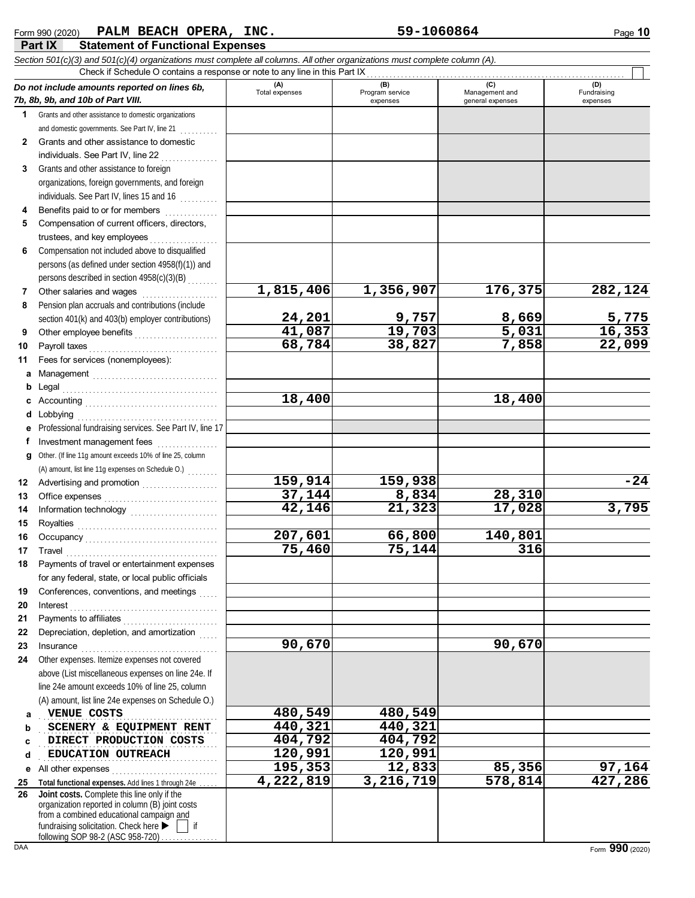## **Part IX Statement of Functional Expenses** Form 990 (2020) Page **10 PALM BEACH OPERA, INC. 59-1060864**

|              | Check if Schedule O contains a response or note to any line in this Part IX                                                                                                                                                                                                                                                                                                                                                                                                                                                                                                           |                       |                                    |                                           |                                |
|--------------|---------------------------------------------------------------------------------------------------------------------------------------------------------------------------------------------------------------------------------------------------------------------------------------------------------------------------------------------------------------------------------------------------------------------------------------------------------------------------------------------------------------------------------------------------------------------------------------|-----------------------|------------------------------------|-------------------------------------------|--------------------------------|
|              | Do not include amounts reported on lines 6b,<br>7b, 8b, 9b, and 10b of Part VIII.                                                                                                                                                                                                                                                                                                                                                                                                                                                                                                     | (A)<br>Total expenses | (B)<br>Program service<br>expenses | (C)<br>Management and<br>general expenses | (D)<br>Fundraising<br>expenses |
| 1            | Grants and other assistance to domestic organizations                                                                                                                                                                                                                                                                                                                                                                                                                                                                                                                                 |                       |                                    |                                           |                                |
|              | and domestic governments. See Part IV, line 21                                                                                                                                                                                                                                                                                                                                                                                                                                                                                                                                        |                       |                                    |                                           |                                |
| $\mathbf{2}$ | Grants and other assistance to domestic                                                                                                                                                                                                                                                                                                                                                                                                                                                                                                                                               |                       |                                    |                                           |                                |
|              | individuals. See Part IV, line 22                                                                                                                                                                                                                                                                                                                                                                                                                                                                                                                                                     |                       |                                    |                                           |                                |
| 3            | Grants and other assistance to foreign                                                                                                                                                                                                                                                                                                                                                                                                                                                                                                                                                |                       |                                    |                                           |                                |
|              | organizations, foreign governments, and foreign                                                                                                                                                                                                                                                                                                                                                                                                                                                                                                                                       |                       |                                    |                                           |                                |
|              | individuals. See Part IV, lines 15 and 16                                                                                                                                                                                                                                                                                                                                                                                                                                                                                                                                             |                       |                                    |                                           |                                |
| 4            | Benefits paid to or for members                                                                                                                                                                                                                                                                                                                                                                                                                                                                                                                                                       |                       |                                    |                                           |                                |
| 5            | Compensation of current officers, directors,                                                                                                                                                                                                                                                                                                                                                                                                                                                                                                                                          |                       |                                    |                                           |                                |
|              | trustees, and key employees                                                                                                                                                                                                                                                                                                                                                                                                                                                                                                                                                           |                       |                                    |                                           |                                |
| 6            | Compensation not included above to disqualified                                                                                                                                                                                                                                                                                                                                                                                                                                                                                                                                       |                       |                                    |                                           |                                |
|              | persons (as defined under section 4958(f)(1)) and                                                                                                                                                                                                                                                                                                                                                                                                                                                                                                                                     |                       |                                    |                                           |                                |
|              | persons described in section 4958(c)(3)(B)                                                                                                                                                                                                                                                                                                                                                                                                                                                                                                                                            |                       |                                    |                                           |                                |
| 7            | Other salaries and wages                                                                                                                                                                                                                                                                                                                                                                                                                                                                                                                                                              | 1,815,406             | 1,356,907                          | 176,375                                   | 282,124                        |
| 8            | Pension plan accruals and contributions (include                                                                                                                                                                                                                                                                                                                                                                                                                                                                                                                                      |                       |                                    |                                           |                                |
|              | section 401(k) and 403(b) employer contributions)                                                                                                                                                                                                                                                                                                                                                                                                                                                                                                                                     | 24,201                | 9,757                              | 8,669<br>5,031                            | $\frac{5,775}{16,353}$         |
| 9            | Other employee benefits                                                                                                                                                                                                                                                                                                                                                                                                                                                                                                                                                               | 41,087                | 19,703                             |                                           |                                |
| 10           | Payroll taxes                                                                                                                                                                                                                                                                                                                                                                                                                                                                                                                                                                         | 68,784                | 38,827                             | 7,858                                     | 22,099                         |
| 11           | Fees for services (nonemployees):                                                                                                                                                                                                                                                                                                                                                                                                                                                                                                                                                     |                       |                                    |                                           |                                |
| a            | Management                                                                                                                                                                                                                                                                                                                                                                                                                                                                                                                                                                            |                       |                                    |                                           |                                |
| b            | Legal                                                                                                                                                                                                                                                                                                                                                                                                                                                                                                                                                                                 |                       |                                    |                                           |                                |
| c            |                                                                                                                                                                                                                                                                                                                                                                                                                                                                                                                                                                                       | 18,400                |                                    | 18,400                                    |                                |
| d            | Lobbying                                                                                                                                                                                                                                                                                                                                                                                                                                                                                                                                                                              |                       |                                    |                                           |                                |
|              | Professional fundraising services. See Part IV, line 17                                                                                                                                                                                                                                                                                                                                                                                                                                                                                                                               |                       |                                    |                                           |                                |
| f            | Investment management fees                                                                                                                                                                                                                                                                                                                                                                                                                                                                                                                                                            |                       |                                    |                                           |                                |
|              | g Other. (If line 11g amount exceeds 10% of line 25, column                                                                                                                                                                                                                                                                                                                                                                                                                                                                                                                           |                       |                                    |                                           |                                |
| 12           | (A) amount, list line 11g expenses on Schedule O.)                                                                                                                                                                                                                                                                                                                                                                                                                                                                                                                                    | 159,914               | 159,938                            |                                           | $-24$                          |
| 13           |                                                                                                                                                                                                                                                                                                                                                                                                                                                                                                                                                                                       | 37,144                | 8,834                              | 28,310                                    |                                |
| 14           | Office expenses with a continuum of the system of the system of the system of the system of the system of the system of the system of the system of the system of the system of the system of the system of the system of the                                                                                                                                                                                                                                                                                                                                                         | 42,146                | 21,323                             | 17,028                                    | 3,795                          |
| 15           |                                                                                                                                                                                                                                                                                                                                                                                                                                                                                                                                                                                       |                       |                                    |                                           |                                |
| 16           |                                                                                                                                                                                                                                                                                                                                                                                                                                                                                                                                                                                       | 207,601               | 66,800                             | 140,801                                   |                                |
| 17           |                                                                                                                                                                                                                                                                                                                                                                                                                                                                                                                                                                                       | $\overline{75,}460$   | 75,144                             | 316                                       |                                |
|              | $\begin{minipage}{0.5\textwidth} \centering \begin{tabular}{@{}c@{}} \textbf{True} & \textbf{True} \\ \textbf{True} & \textbf{True} \\ \textbf{True} & \textbf{True} \\ \end{tabular} \end{minipage}$<br>Payments of travel or entertainment expenses                                                                                                                                                                                                                                                                                                                                 |                       |                                    |                                           |                                |
|              | for any federal, state, or local public officials                                                                                                                                                                                                                                                                                                                                                                                                                                                                                                                                     |                       |                                    |                                           |                                |
| 19           | Conferences, conventions, and meetings                                                                                                                                                                                                                                                                                                                                                                                                                                                                                                                                                |                       |                                    |                                           |                                |
| 20           | Interest                                                                                                                                                                                                                                                                                                                                                                                                                                                                                                                                                                              |                       |                                    |                                           |                                |
| 21           | Payments to affiliates                                                                                                                                                                                                                                                                                                                                                                                                                                                                                                                                                                |                       |                                    |                                           |                                |
| 22           | Depreciation, depletion, and amortization                                                                                                                                                                                                                                                                                                                                                                                                                                                                                                                                             |                       |                                    |                                           |                                |
| 23           | $In surface \begin{equation} \begin{minipage}{0.5\textwidth} \includegraphics[width=0.5\textwidth]{figures/cross-1} \end{minipage} \begin{minipage}{0.5\textwidth} \includegraphics[width=0.5\textwidth]{figures/cross-1} \end{minipage} \begin{minipage}{0.5\textwidth} \includegraphics[width=0.5\textwidth]{figures/cross-1} \end{minipage} \begin{minipage}{0.5\textwidth} \includegraphics[width=0.5\textwidth]{figures/cross-1} \end{minipage} \begin{minipage}{0.5\textwidth} \includegraphics[width=0.5\textwidth]{figures/cross-1} \end{minipage} \begin{minipage}{0.5\text$ | 90,670                |                                    | 90,670                                    |                                |
| 24           | Other expenses. Itemize expenses not covered                                                                                                                                                                                                                                                                                                                                                                                                                                                                                                                                          |                       |                                    |                                           |                                |
|              | above (List miscellaneous expenses on line 24e. If                                                                                                                                                                                                                                                                                                                                                                                                                                                                                                                                    |                       |                                    |                                           |                                |
|              | line 24e amount exceeds 10% of line 25, column                                                                                                                                                                                                                                                                                                                                                                                                                                                                                                                                        |                       |                                    |                                           |                                |
|              | (A) amount, list line 24e expenses on Schedule O.)                                                                                                                                                                                                                                                                                                                                                                                                                                                                                                                                    |                       |                                    |                                           |                                |
| a            | VENUE COSTS                                                                                                                                                                                                                                                                                                                                                                                                                                                                                                                                                                           | 480,549               | 480,549                            |                                           |                                |
| b            | SCENERY & EQUIPMENT RENT                                                                                                                                                                                                                                                                                                                                                                                                                                                                                                                                                              | 440,321               | 440,321                            |                                           |                                |
| c            | DIRECT PRODUCTION COSTS                                                                                                                                                                                                                                                                                                                                                                                                                                                                                                                                                               | 404,792               | 404,792                            |                                           |                                |
| d            | EDUCATION OUTREACH                                                                                                                                                                                                                                                                                                                                                                                                                                                                                                                                                                    | 120,991               | 120,991                            |                                           |                                |
| е            | All other expenses<br>.                                                                                                                                                                                                                                                                                                                                                                                                                                                                                                                                                               | 195,353               | 12,833                             | 85,356                                    | 97,164                         |
| 25           | Total functional expenses. Add lines 1 through 24e                                                                                                                                                                                                                                                                                                                                                                                                                                                                                                                                    | 4,222,819             | 3,216,719                          | 578,814                                   | 427,286                        |
| 26           | Joint costs. Complete this line only if the                                                                                                                                                                                                                                                                                                                                                                                                                                                                                                                                           |                       |                                    |                                           |                                |
|              | organization reported in column (B) joint costs<br>from a combined educational campaign and                                                                                                                                                                                                                                                                                                                                                                                                                                                                                           |                       |                                    |                                           |                                |
|              | fundraising solicitation. Check here ><br>-if                                                                                                                                                                                                                                                                                                                                                                                                                                                                                                                                         |                       |                                    |                                           |                                |
|              | following SOP 98-2 (ASC 958-720).                                                                                                                                                                                                                                                                                                                                                                                                                                                                                                                                                     |                       |                                    |                                           |                                |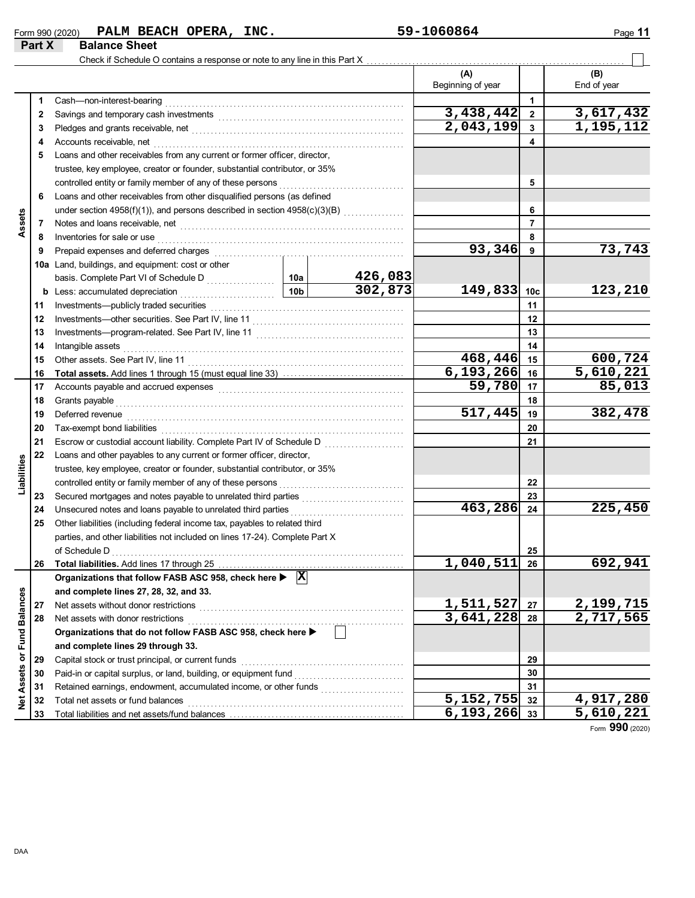## $_{\rm Form}$  990 (2020) PALM BEACH OPERA, INC.  $59 - 1060864$  Page 11 **PALM BEACH OPERA, INC.** 59-1060864

|                             | Part X | <b>Balance Sheet</b>                                                                                                                                                                                                           |                 |                    |                        |                 |                        |
|-----------------------------|--------|--------------------------------------------------------------------------------------------------------------------------------------------------------------------------------------------------------------------------------|-----------------|--------------------|------------------------|-----------------|------------------------|
|                             |        | Check if Schedule O contains a response or note to any line in this Part X                                                                                                                                                     |                 |                    |                        |                 |                        |
|                             |        |                                                                                                                                                                                                                                |                 |                    | (A)                    |                 | (B)                    |
|                             |        |                                                                                                                                                                                                                                |                 |                    | Beginning of year      |                 | End of year            |
|                             | 1      | $\pmb{\text{Cash—non-interest-bearing}}\xspace$                                                                                                                                                                                |                 |                    |                        | $\mathbf 1$     |                        |
|                             | 2      |                                                                                                                                                                                                                                |                 |                    | 3,438,442              | $\mathbf 2$     | 3,617,432<br>1,195,112 |
|                             | 3      | Pledges and grants receivable, net <b>consider a constant and grants</b> received and grants received by the constant of                                                                                                       |                 |                    | 2,043,199              | $\mathbf{3}$    |                        |
|                             | 4      | Accounts receivable, net                                                                                                                                                                                                       |                 |                    |                        | 4               |                        |
|                             | 5      | Loans and other receivables from any current or former officer, director,                                                                                                                                                      |                 |                    |                        |                 |                        |
|                             |        | trustee, key employee, creator or founder, substantial contributor, or 35%                                                                                                                                                     |                 |                    |                        |                 |                        |
|                             |        | controlled entity or family member of any of these persons                                                                                                                                                                     |                 |                    |                        | 5               |                        |
|                             | 6      | Loans and other receivables from other disqualified persons (as defined                                                                                                                                                        |                 |                    |                        |                 |                        |
|                             |        |                                                                                                                                                                                                                                |                 |                    |                        | 6               |                        |
| Assets                      | 7      |                                                                                                                                                                                                                                |                 |                    |                        | $\overline{7}$  |                        |
|                             | 8      | Inventories for sale or use                                                                                                                                                                                                    |                 |                    |                        | 8               |                        |
|                             | 9      | Prepaid expenses and deferred charges                                                                                                                                                                                          |                 | 93,346             | 9                      | 73,743          |                        |
|                             |        | 10a Land, buildings, and equipment: cost or other                                                                                                                                                                              |                 |                    |                        |                 |                        |
|                             |        |                                                                                                                                                                                                                                | 10a             | 426,083<br>302,873 |                        |                 |                        |
|                             | b      | Less: accumulated depreciation                                                                                                                                                                                                 | 10 <sub>b</sub> |                    | 149,833                | 10 <sub>c</sub> | 123,210                |
|                             | 11     |                                                                                                                                                                                                                                |                 |                    | 11                     |                 |                        |
|                             | 12     |                                                                                                                                                                                                                                |                 |                    | 12                     |                 |                        |
|                             | 13     |                                                                                                                                                                                                                                |                 |                    | 13                     |                 |                        |
|                             | 14     | Intangible assets                                                                                                                                                                                                              |                 | 14                 |                        |                 |                        |
|                             | 15     |                                                                                                                                                                                                                                |                 |                    | 468,446                | 15              | 600,724                |
|                             | 16     |                                                                                                                                                                                                                                |                 |                    | 6, 193, 266            | 16              | 5,610,221              |
|                             | 17     | Accounts payable and accrued expenses [[11] [11] Accounts payable and accrued expenses [[11] Accounts payable                                                                                                                  |                 |                    | 59,780                 | 17              | 85,013                 |
|                             | 18     | Grants payable communications are all the contract of the contract of the contract of the contract of the contract of the contract of the contract of the contract of the contract of the contract of the contract of the cont |                 |                    |                        | 18              |                        |
|                             | 19     | Deferred revenue                                                                                                                                                                                                               |                 |                    | 517,445                | 19              | 382,478                |
|                             | 20     |                                                                                                                                                                                                                                |                 |                    | 20                     |                 |                        |
|                             | 21     | Escrow or custodial account liability. Complete Part IV of Schedule D                                                                                                                                                          |                 |                    |                        | 21              |                        |
|                             | 22     | Loans and other payables to any current or former officer, director,                                                                                                                                                           |                 |                    |                        |                 |                        |
| Liabilities                 |        | trustee, key employee, creator or founder, substantial contributor, or 35%                                                                                                                                                     |                 |                    |                        |                 |                        |
|                             |        | controlled entity or family member of any of these persons                                                                                                                                                                     |                 |                    |                        | 22              |                        |
|                             | 23     | Secured mortgages and notes payable to unrelated third parties                                                                                                                                                                 |                 |                    |                        | 23              |                        |
|                             | 24     | Unsecured notes and loans payable to unrelated third parties                                                                                                                                                                   |                 |                    | 463,286                | 24              | 225,450                |
|                             | 25     | Other liabilities (including federal income tax, payables to related third                                                                                                                                                     |                 |                    |                        |                 |                        |
|                             |        | parties, and other liabilities not included on lines 17-24). Complete Part X                                                                                                                                                   |                 |                    |                        |                 |                        |
|                             |        | of Schedule D                                                                                                                                                                                                                  |                 |                    |                        | 25              | 692,941                |
|                             | 26     |                                                                                                                                                                                                                                |                 |                    | 1,040,511              | 26              |                        |
|                             |        | Organizations that follow FASB ASC 958, check here $\blacktriangleright \;  X $                                                                                                                                                |                 |                    |                        |                 |                        |
|                             |        | and complete lines 27, 28, 32, and 33.                                                                                                                                                                                         |                 |                    | 1,511,527              |                 | 2, 199, 715            |
|                             | 27     | Net assets without donor restrictions                                                                                                                                                                                          |                 |                    | 3,641,228              | 27              | $\overline{2,717,565}$ |
|                             | 28     | Net assets with donor restrictions                                                                                                                                                                                             |                 |                    |                        | 28              |                        |
|                             |        | Organizations that do not follow FASB ASC 958, check here >                                                                                                                                                                    |                 |                    |                        |                 |                        |
| Net Assets or Fund Balances |        | and complete lines 29 through 33.                                                                                                                                                                                              |                 |                    |                        |                 |                        |
|                             | 29     | Capital stock or trust principal, or current funds                                                                                                                                                                             |                 |                    |                        | 29              |                        |
|                             | 30     |                                                                                                                                                                                                                                |                 |                    |                        | 30              |                        |
|                             | 31     |                                                                                                                                                                                                                                |                 |                    | $\overline{5,152,755}$ | 31<br>32        | $\overline{4,917,280}$ |
|                             | 32     | Total net assets or fund balances                                                                                                                                                                                              |                 |                    | $6, 193, 266$ 33       |                 | 5,610,221              |
|                             | 33     |                                                                                                                                                                                                                                |                 |                    |                        |                 |                        |

Form **990** (2020)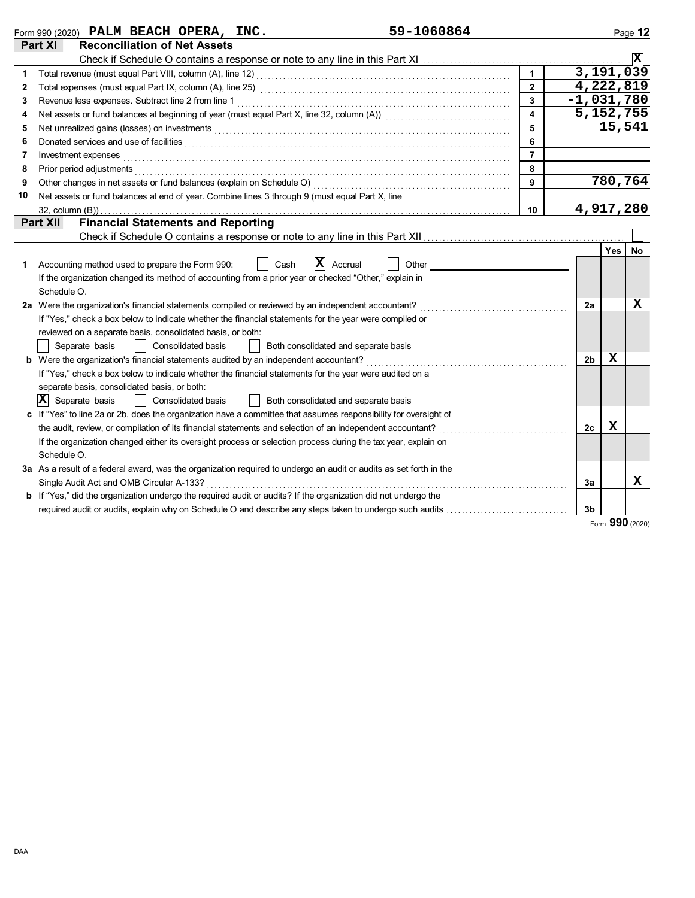|    | Form 990 (2020) PALM BEACH OPERA, INC.                                                                                                                                                                                         | 59-1060864 |                         |              |     | Page 12                 |
|----|--------------------------------------------------------------------------------------------------------------------------------------------------------------------------------------------------------------------------------|------------|-------------------------|--------------|-----|-------------------------|
|    | <b>Reconciliation of Net Assets</b><br>Part XI                                                                                                                                                                                 |            |                         |              |     |                         |
|    |                                                                                                                                                                                                                                |            |                         |              |     | $\overline{\mathbf{x}}$ |
|    |                                                                                                                                                                                                                                |            | $\overline{1}$          | 3,191,039    |     |                         |
| 2  |                                                                                                                                                                                                                                |            | $\overline{2}$          | 4,222,819    |     |                         |
| 3  |                                                                                                                                                                                                                                |            | $\overline{\mathbf{3}}$ | $-1,031,780$ |     |                         |
| 4  | Net assets or fund balances at beginning of year (must equal Part X, line 32, column (A)) [[[[[[[[[[[[[[[[[[[                                                                                                                  |            | $\overline{\mathbf{4}}$ | 5, 152, 755  |     |                         |
| 5  |                                                                                                                                                                                                                                |            | 5                       |              |     | 15,541                  |
| 6  | Donated services and use of facilities <b>constructs</b> and a service of the service of the services and use of facilities                                                                                                    |            | 6                       |              |     |                         |
| 7  | Investment expenses with the contract of the contract of the contract of the contract of the contract of the contract of the contract of the contract of the contract of the contract of the contract of the contract of the c |            | $\overline{7}$          |              |     |                         |
| 8  | Prior period adjustments experiences and contact the contract of the contact of the contact of the contact of                                                                                                                  |            | 8                       |              |     |                         |
| 9  |                                                                                                                                                                                                                                |            | 9                       |              |     | 780,764                 |
| 10 | Net assets or fund balances at end of year. Combine lines 3 through 9 (must equal Part X, line                                                                                                                                 |            |                         |              |     |                         |
|    |                                                                                                                                                                                                                                |            | 10                      | 4,917,280    |     |                         |
|    | <b>Financial Statements and Reporting</b><br><b>Part XII</b>                                                                                                                                                                   |            |                         |              |     |                         |
|    |                                                                                                                                                                                                                                |            |                         |              |     |                         |
|    |                                                                                                                                                                                                                                |            |                         |              | Yes | <b>No</b>               |
| 1  | IХ<br>Accrual<br>Accounting method used to prepare the Form 990:<br>Cash                                                                                                                                                       | Other      |                         |              |     |                         |
|    | If the organization changed its method of accounting from a prior year or checked "Other," explain in                                                                                                                          |            |                         |              |     |                         |
|    | Schedule O.                                                                                                                                                                                                                    |            |                         |              |     |                         |
|    | 2a Were the organization's financial statements compiled or reviewed by an independent accountant?                                                                                                                             |            |                         | 2a           |     | х                       |
|    | If "Yes," check a box below to indicate whether the financial statements for the year were compiled or                                                                                                                         |            |                         |              |     |                         |
|    | reviewed on a separate basis, consolidated basis, or both:                                                                                                                                                                     |            |                         |              |     |                         |
|    | Consolidated basis<br>Separate basis<br>Both consolidated and separate basis                                                                                                                                                   |            |                         |              |     |                         |
|    | <b>b</b> Were the organization's financial statements audited by an independent accountant?                                                                                                                                    |            |                         | 2b           | x   |                         |
|    | If "Yes," check a box below to indicate whether the financial statements for the year were audited on a                                                                                                                        |            |                         |              |     |                         |
|    | separate basis, consolidated basis, or both:                                                                                                                                                                                   |            |                         |              |     |                         |
|    | ΙXΙ<br>Separate basis<br>Both consolidated and separate basis<br>Consolidated basis                                                                                                                                            |            |                         |              |     |                         |
|    | c If "Yes" to line 2a or 2b, does the organization have a committee that assumes responsibility for oversight of                                                                                                               |            |                         |              |     |                         |
|    | the audit, review, or compilation of its financial statements and selection of an independent accountant?                                                                                                                      |            |                         | 2c           | х   |                         |
|    | If the organization changed either its oversight process or selection process during the tax year, explain on                                                                                                                  |            |                         |              |     |                         |
|    | Schedule O.                                                                                                                                                                                                                    |            |                         |              |     |                         |
|    | 3a As a result of a federal award, was the organization required to undergo an audit or audits as set forth in the                                                                                                             |            |                         |              |     |                         |
|    | Single Audit Act and OMB Circular A-133?                                                                                                                                                                                       |            |                         | За           |     | х                       |
|    | <b>b</b> If "Yes," did the organization undergo the required audit or audits? If the organization did not undergo the                                                                                                          |            |                         |              |     |                         |
|    | required audit or audits, explain why on Schedule O and describe any steps taken to undergo such audits                                                                                                                        |            |                         | 3b           |     |                         |
|    |                                                                                                                                                                                                                                |            |                         |              |     | Form 990 (2020)         |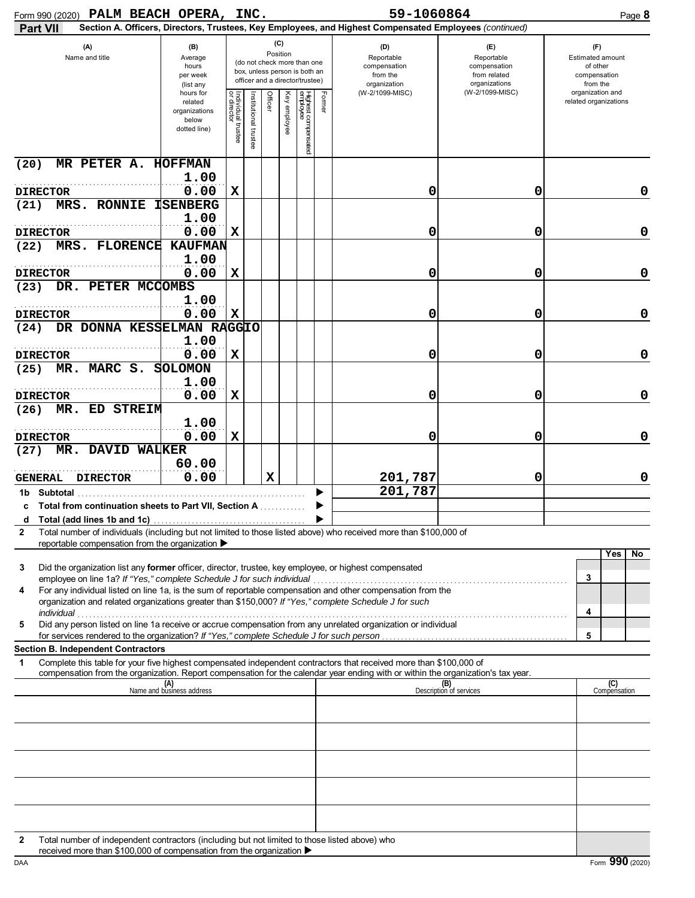| Form 990 (2020) PALM BEACH OPERA, INC.                                                                                                                                                                                                                      |                                                                |                                   |                      |         |                 |                                                                                                 |        | 59-1060864                                                                                             |                                                                    | Page 8                                                          |
|-------------------------------------------------------------------------------------------------------------------------------------------------------------------------------------------------------------------------------------------------------------|----------------------------------------------------------------|-----------------------------------|----------------------|---------|-----------------|-------------------------------------------------------------------------------------------------|--------|--------------------------------------------------------------------------------------------------------|--------------------------------------------------------------------|-----------------------------------------------------------------|
| <b>Part VII</b>                                                                                                                                                                                                                                             |                                                                |                                   |                      |         |                 |                                                                                                 |        | Section A. Officers, Directors, Trustees, Key Employees, and Highest Compensated Employees (continued) |                                                                    |                                                                 |
| (A)<br>Name and title                                                                                                                                                                                                                                       | (B)<br>Average<br>hours<br>per week<br>(list any               |                                   |                      |         | (C)<br>Position | (do not check more than one<br>box, unless person is both an<br>officer and a director/trustee) |        | (D)<br>Reportable<br>compensation<br>from the<br>organization                                          | (E)<br>Reportable<br>compensation<br>from related<br>organizations | (F)<br>Estimated amount<br>of other<br>compensation<br>from the |
|                                                                                                                                                                                                                                                             | hours for<br>related<br>organizations<br>below<br>dotted line) | Individual trustee<br>or director | nstitutional trustee | Officer | Ķey<br>employee | Highest compensated<br>employee                                                                 | Former | (W-2/1099-MISC)                                                                                        | (W-2/1099-MISC)                                                    | organization and<br>related organizations                       |
| MR PETER A.<br>(20)                                                                                                                                                                                                                                         | <b>HOFFMAN</b>                                                 |                                   |                      |         |                 |                                                                                                 |        |                                                                                                        |                                                                    |                                                                 |
|                                                                                                                                                                                                                                                             | 1.00                                                           | $\mathbf x$                       |                      |         |                 |                                                                                                 |        |                                                                                                        |                                                                    |                                                                 |
| <b>DIRECTOR</b><br>MRS. RONNIE<br>(21)                                                                                                                                                                                                                      | 0.00<br><b>ISENBERG</b>                                        |                                   |                      |         |                 |                                                                                                 |        | 0                                                                                                      | 0                                                                  | 0                                                               |
|                                                                                                                                                                                                                                                             | 1.00                                                           |                                   |                      |         |                 |                                                                                                 |        |                                                                                                        |                                                                    |                                                                 |
| <b>DIRECTOR</b>                                                                                                                                                                                                                                             | 0.00                                                           | $\mathbf x$                       |                      |         |                 |                                                                                                 |        | 0                                                                                                      | 0                                                                  | $\mathbf 0$                                                     |
| MRS. FLORENCE<br>(22)                                                                                                                                                                                                                                       | <b>KAUFMAN</b>                                                 |                                   |                      |         |                 |                                                                                                 |        |                                                                                                        |                                                                    |                                                                 |
| <b>DIRECTOR</b>                                                                                                                                                                                                                                             | 1.00<br>0.00                                                   | $\mathbf x$                       |                      |         |                 |                                                                                                 |        | 0                                                                                                      | 0                                                                  | $\mathbf 0$                                                     |
| PETER MCCOMBS<br>DR.<br>(23)                                                                                                                                                                                                                                |                                                                |                                   |                      |         |                 |                                                                                                 |        |                                                                                                        |                                                                    |                                                                 |
|                                                                                                                                                                                                                                                             | 1.00                                                           |                                   |                      |         |                 |                                                                                                 |        |                                                                                                        |                                                                    |                                                                 |
| <b>DIRECTOR</b>                                                                                                                                                                                                                                             | 0.00                                                           | $\mathbf x$                       |                      |         |                 |                                                                                                 |        | 0                                                                                                      | 0                                                                  | $\mathbf 0$                                                     |
| DR DONNA KESSELMAN RAGGIO<br>(24)                                                                                                                                                                                                                           |                                                                |                                   |                      |         |                 |                                                                                                 |        |                                                                                                        |                                                                    |                                                                 |
| <b>DIRECTOR</b>                                                                                                                                                                                                                                             | 1.00<br>0.00                                                   | $\mathbf x$                       |                      |         |                 |                                                                                                 |        | 0                                                                                                      | 0                                                                  | $\mathbf 0$                                                     |
| MR. MARC S.<br>(25)                                                                                                                                                                                                                                         | <b>SOLOMON</b>                                                 |                                   |                      |         |                 |                                                                                                 |        |                                                                                                        |                                                                    |                                                                 |
|                                                                                                                                                                                                                                                             | 1.00                                                           |                                   |                      |         |                 |                                                                                                 |        |                                                                                                        |                                                                    |                                                                 |
| <b>DIRECTOR</b>                                                                                                                                                                                                                                             | 0.00                                                           | $\mathbf x$                       |                      |         |                 |                                                                                                 |        | 0                                                                                                      | 0                                                                  | $\mathbf 0$                                                     |
| ED STREIM<br>MR.<br>(26)                                                                                                                                                                                                                                    |                                                                |                                   |                      |         |                 |                                                                                                 |        |                                                                                                        |                                                                    |                                                                 |
| <b>DIRECTOR</b>                                                                                                                                                                                                                                             | 1.00<br>0.00                                                   | X                                 |                      |         |                 |                                                                                                 |        | 0                                                                                                      | 0                                                                  | $\mathbf 0$                                                     |
| MR. DAVID WALKER<br>(27)                                                                                                                                                                                                                                    |                                                                |                                   |                      |         |                 |                                                                                                 |        |                                                                                                        |                                                                    |                                                                 |
|                                                                                                                                                                                                                                                             | 60.00                                                          |                                   |                      |         |                 |                                                                                                 |        |                                                                                                        |                                                                    |                                                                 |
| <b>DIRECTOR</b><br><b>GENERAL</b>                                                                                                                                                                                                                           | 0.00                                                           |                                   |                      | X       |                 |                                                                                                 |        | 201,787                                                                                                | 0                                                                  | 0                                                               |
| 1b Subtotal                                                                                                                                                                                                                                                 |                                                                |                                   |                      |         |                 |                                                                                                 |        | 201,787                                                                                                |                                                                    |                                                                 |
| <b>Total from continuation sheets to Part VII, Section A </b>                                                                                                                                                                                               |                                                                |                                   |                      |         |                 |                                                                                                 |        |                                                                                                        |                                                                    |                                                                 |
| Total number of individuals (including but not limited to those listed above) who received more than \$100,000 of<br>$\mathbf{2}$                                                                                                                           |                                                                |                                   |                      |         |                 |                                                                                                 |        |                                                                                                        |                                                                    |                                                                 |
| reportable compensation from the organization ▶                                                                                                                                                                                                             |                                                                |                                   |                      |         |                 |                                                                                                 |        |                                                                                                        |                                                                    |                                                                 |
| Did the organization list any former officer, director, trustee, key employee, or highest compensated<br>3                                                                                                                                                  |                                                                |                                   |                      |         |                 |                                                                                                 |        |                                                                                                        |                                                                    | Yes<br>No                                                       |
| For any individual listed on line 1a, is the sum of reportable compensation and other compensation from the<br>4<br>organization and related organizations greater than \$150,000? If "Yes," complete Schedule J for such                                   |                                                                |                                   |                      |         |                 |                                                                                                 |        |                                                                                                        |                                                                    | 3<br>4                                                          |
| Did any person listed on line 1a receive or accrue compensation from any unrelated organization or individual<br>5                                                                                                                                          |                                                                |                                   |                      |         |                 |                                                                                                 |        |                                                                                                        |                                                                    |                                                                 |
|                                                                                                                                                                                                                                                             |                                                                |                                   |                      |         |                 |                                                                                                 |        |                                                                                                        |                                                                    | 5                                                               |
| <b>Section B. Independent Contractors</b>                                                                                                                                                                                                                   |                                                                |                                   |                      |         |                 |                                                                                                 |        |                                                                                                        |                                                                    |                                                                 |
| Complete this table for your five highest compensated independent contractors that received more than \$100,000 of<br>1<br>compensation from the organization. Report compensation for the calendar year ending with or within the organization's tax year. |                                                                |                                   |                      |         |                 |                                                                                                 |        |                                                                                                        |                                                                    |                                                                 |
|                                                                                                                                                                                                                                                             | (A)<br>Name and business address                               |                                   |                      |         |                 |                                                                                                 |        |                                                                                                        | (B)<br>Description of services                                     | (C)<br>Compensation                                             |
|                                                                                                                                                                                                                                                             |                                                                |                                   |                      |         |                 |                                                                                                 |        |                                                                                                        |                                                                    |                                                                 |
|                                                                                                                                                                                                                                                             |                                                                |                                   |                      |         |                 |                                                                                                 |        |                                                                                                        |                                                                    |                                                                 |
|                                                                                                                                                                                                                                                             |                                                                |                                   |                      |         |                 |                                                                                                 |        |                                                                                                        |                                                                    |                                                                 |
|                                                                                                                                                                                                                                                             |                                                                |                                   |                      |         |                 |                                                                                                 |        |                                                                                                        |                                                                    |                                                                 |
|                                                                                                                                                                                                                                                             |                                                                |                                   |                      |         |                 |                                                                                                 |        |                                                                                                        |                                                                    |                                                                 |
|                                                                                                                                                                                                                                                             |                                                                |                                   |                      |         |                 |                                                                                                 |        |                                                                                                        |                                                                    |                                                                 |
|                                                                                                                                                                                                                                                             |                                                                |                                   |                      |         |                 |                                                                                                 |        |                                                                                                        |                                                                    |                                                                 |
|                                                                                                                                                                                                                                                             |                                                                |                                   |                      |         |                 |                                                                                                 |        |                                                                                                        |                                                                    |                                                                 |
| Total number of independent contractors (including but not limited to those listed above) who<br>2                                                                                                                                                          |                                                                |                                   |                      |         |                 |                                                                                                 |        |                                                                                                        |                                                                    |                                                                 |

received more than \$100,000 of compensation from the organization  $\blacktriangleright$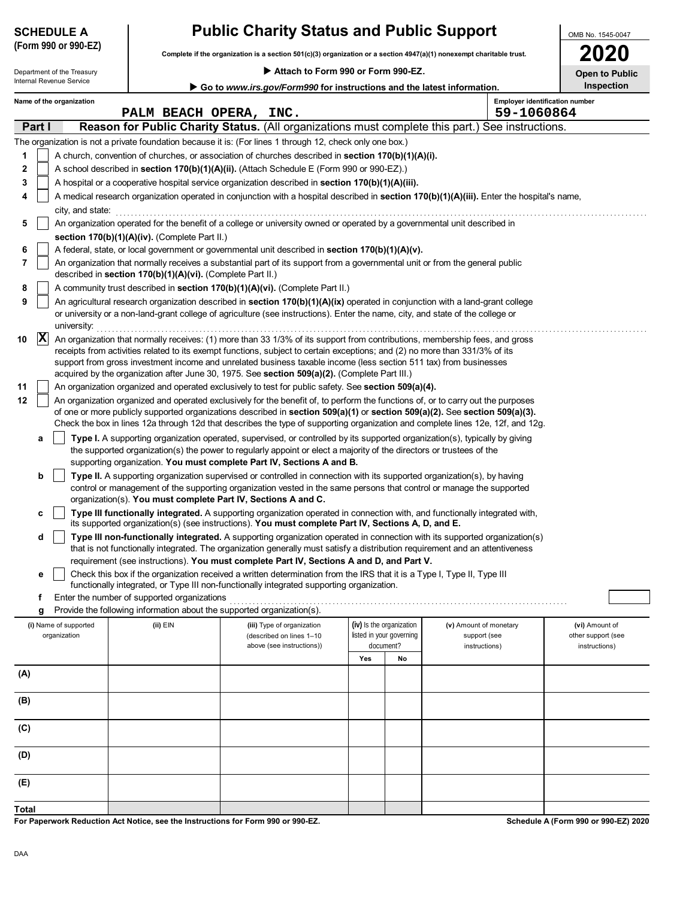| <b>Public Charity Status and Public Support</b><br><b>SCHEDULE A</b> |                                       |                                                            |                                                                                                                                                                                                                                                                                                                                                                                                    |                          |                                       |                                                         | OMB No. 1545-0047                                     |
|----------------------------------------------------------------------|---------------------------------------|------------------------------------------------------------|----------------------------------------------------------------------------------------------------------------------------------------------------------------------------------------------------------------------------------------------------------------------------------------------------------------------------------------------------------------------------------------------------|--------------------------|---------------------------------------|---------------------------------------------------------|-------------------------------------------------------|
|                                                                      | (Form 990 or 990-EZ)                  |                                                            | Complete if the organization is a section 501(c)(3) organization or a section 4947(a)(1) nonexempt charitable trust.                                                                                                                                                                                                                                                                               |                          |                                       |                                                         | 2020                                                  |
|                                                                      | Department of the Treasury            |                                                            | Attach to Form 990 or Form 990-EZ.                                                                                                                                                                                                                                                                                                                                                                 |                          |                                       |                                                         | <b>Open to Public</b>                                 |
|                                                                      | Internal Revenue Service              |                                                            | Go to www.irs.gov/Form990 for instructions and the latest information.                                                                                                                                                                                                                                                                                                                             |                          |                                       |                                                         | <b>Inspection</b>                                     |
|                                                                      | Name of the organization              | PALM BEACH OPERA, INC.                                     |                                                                                                                                                                                                                                                                                                                                                                                                    |                          |                                       | <b>Employer identification number</b><br>59-1060864     |                                                       |
| Part I                                                               |                                       |                                                            | Reason for Public Charity Status. (All organizations must complete this part.) See instructions.                                                                                                                                                                                                                                                                                                   |                          |                                       |                                                         |                                                       |
|                                                                      |                                       |                                                            | The organization is not a private foundation because it is: (For lines 1 through 12, check only one box.)                                                                                                                                                                                                                                                                                          |                          |                                       |                                                         |                                                       |
| 1                                                                    |                                       |                                                            | A church, convention of churches, or association of churches described in <b>section 170(b)(1)(A)(i).</b>                                                                                                                                                                                                                                                                                          |                          |                                       |                                                         |                                                       |
| 2                                                                    |                                       |                                                            | A school described in section 170(b)(1)(A)(ii). (Attach Schedule E (Form 990 or 990-EZ).)                                                                                                                                                                                                                                                                                                          |                          |                                       |                                                         |                                                       |
| 3                                                                    |                                       |                                                            | A hospital or a cooperative hospital service organization described in section 170(b)(1)(A)(iii).                                                                                                                                                                                                                                                                                                  |                          |                                       |                                                         |                                                       |
| 4                                                                    |                                       |                                                            | A medical research organization operated in conjunction with a hospital described in section 170(b)(1)(A)(iii). Enter the hospital's name,                                                                                                                                                                                                                                                         |                          |                                       |                                                         |                                                       |
| 5                                                                    | city, and state:                      |                                                            | An organization operated for the benefit of a college or university owned or operated by a governmental unit described in                                                                                                                                                                                                                                                                          |                          |                                       |                                                         |                                                       |
| 6                                                                    |                                       | section 170(b)(1)(A)(iv). (Complete Part II.)              | A federal, state, or local government or governmental unit described in section 170(b)(1)(A)(v).                                                                                                                                                                                                                                                                                                   |                          |                                       |                                                         |                                                       |
| 7                                                                    |                                       |                                                            | An organization that normally receives a substantial part of its support from a governmental unit or from the general public                                                                                                                                                                                                                                                                       |                          |                                       |                                                         |                                                       |
|                                                                      |                                       | described in section 170(b)(1)(A)(vi). (Complete Part II.) | A community trust described in section 170(b)(1)(A)(vi). (Complete Part II.)                                                                                                                                                                                                                                                                                                                       |                          |                                       |                                                         |                                                       |
| 8<br>9                                                               |                                       |                                                            | An agricultural research organization described in section 170(b)(1)(A)(ix) operated in conjunction with a land-grant college                                                                                                                                                                                                                                                                      |                          |                                       |                                                         |                                                       |
|                                                                      | university:                           |                                                            | or university or a non-land-grant college of agriculture (see instructions). Enter the name, city, and state of the college or                                                                                                                                                                                                                                                                     |                          |                                       |                                                         |                                                       |
| X<br>10                                                              |                                       |                                                            | An organization that normally receives: (1) more than 33 1/3% of its support from contributions, membership fees, and gross<br>receipts from activities related to its exempt functions, subject to certain exceptions; and (2) no more than 331/3% of its<br>support from gross investment income and unrelated business taxable income (less section 511 tax) from businesses                    |                          |                                       |                                                         |                                                       |
|                                                                      |                                       |                                                            | acquired by the organization after June 30, 1975. See section 509(a)(2). (Complete Part III.)                                                                                                                                                                                                                                                                                                      |                          |                                       |                                                         |                                                       |
| 11                                                                   |                                       |                                                            | An organization organized and operated exclusively to test for public safety. See section 509(a)(4).                                                                                                                                                                                                                                                                                               |                          |                                       |                                                         |                                                       |
| 12                                                                   |                                       |                                                            | An organization organized and operated exclusively for the benefit of, to perform the functions of, or to carry out the purposes<br>of one or more publicly supported organizations described in section 509(a)(1) or section 509(a)(2). See section 509(a)(3).<br>Check the box in lines 12a through 12d that describes the type of supporting organization and complete lines 12e, 12f, and 12g. |                          |                                       |                                                         |                                                       |
| а                                                                    |                                       |                                                            | Type I. A supporting organization operated, supervised, or controlled by its supported organization(s), typically by giving<br>the supported organization(s) the power to regularly appoint or elect a majority of the directors or trustees of the                                                                                                                                                |                          |                                       |                                                         |                                                       |
|                                                                      |                                       |                                                            | supporting organization. You must complete Part IV, Sections A and B.                                                                                                                                                                                                                                                                                                                              |                          |                                       |                                                         |                                                       |
| b                                                                    |                                       |                                                            | Type II. A supporting organization supervised or controlled in connection with its supported organization(s), by having<br>control or management of the supporting organization vested in the same persons that control or manage the supported<br>organization(s). You must complete Part IV, Sections A and C.                                                                                   |                          |                                       |                                                         |                                                       |
| c                                                                    |                                       |                                                            | Type III functionally integrated. A supporting organization operated in connection with, and functionally integrated with,<br>its supported organization(s) (see instructions). You must complete Part IV, Sections A, D, and E.                                                                                                                                                                   |                          |                                       |                                                         |                                                       |
| d                                                                    |                                       |                                                            | Type III non-functionally integrated. A supporting organization operated in connection with its supported organization(s)<br>that is not functionally integrated. The organization generally must satisfy a distribution requirement and an attentiveness                                                                                                                                          |                          |                                       |                                                         |                                                       |
|                                                                      |                                       |                                                            | requirement (see instructions). You must complete Part IV, Sections A and D, and Part V.                                                                                                                                                                                                                                                                                                           |                          |                                       |                                                         |                                                       |
| е                                                                    |                                       |                                                            | Check this box if the organization received a written determination from the IRS that it is a Type I, Type II, Type III<br>functionally integrated, or Type III non-functionally integrated supporting organization.                                                                                                                                                                               |                          |                                       |                                                         |                                                       |
| f                                                                    |                                       | Enter the number of supported organizations                |                                                                                                                                                                                                                                                                                                                                                                                                    |                          |                                       |                                                         |                                                       |
| g                                                                    |                                       |                                                            | Provide the following information about the supported organization(s).                                                                                                                                                                                                                                                                                                                             |                          |                                       |                                                         |                                                       |
|                                                                      | (i) Name of supported<br>organization | (ii) EIN                                                   | (iii) Type of organization<br>(described on lines 1-10<br>above (see instructions))                                                                                                                                                                                                                                                                                                                | (iv) Is the organization | listed in your governing<br>document? | (v) Amount of monetary<br>support (see<br>instructions) | (vi) Amount of<br>other support (see<br>instructions) |
|                                                                      |                                       |                                                            |                                                                                                                                                                                                                                                                                                                                                                                                    | Yes                      | No                                    |                                                         |                                                       |
| (A)                                                                  |                                       |                                                            |                                                                                                                                                                                                                                                                                                                                                                                                    |                          |                                       |                                                         |                                                       |
| (B)                                                                  |                                       |                                                            |                                                                                                                                                                                                                                                                                                                                                                                                    |                          |                                       |                                                         |                                                       |
| (C)                                                                  |                                       |                                                            |                                                                                                                                                                                                                                                                                                                                                                                                    |                          |                                       |                                                         |                                                       |
| (D)                                                                  |                                       |                                                            |                                                                                                                                                                                                                                                                                                                                                                                                    |                          |                                       |                                                         |                                                       |
| (E)                                                                  |                                       |                                                            |                                                                                                                                                                                                                                                                                                                                                                                                    |                          |                                       |                                                         |                                                       |

**For Paperwork Reduction Act Notice, see the Instructions for Form 990 or 990-EZ. Total**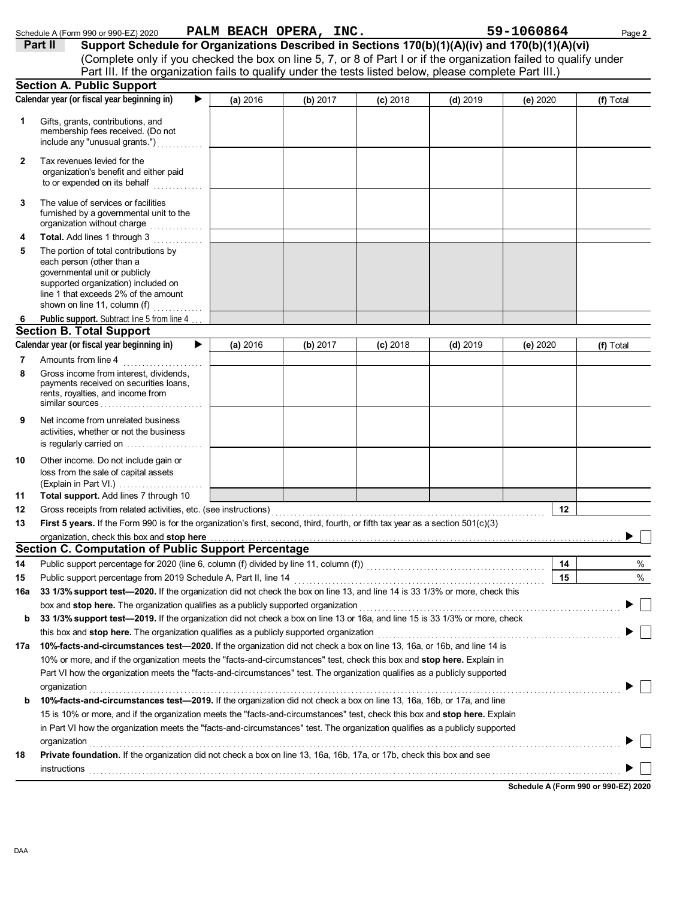|        | Schedule A (Form 990 or 990-EZ) 2020                                                                                                                                                                                                                                                              |          | PALM BEACH OPERA, INC. |            |            | 59-1060864 | Page 2    |
|--------|---------------------------------------------------------------------------------------------------------------------------------------------------------------------------------------------------------------------------------------------------------------------------------------------------|----------|------------------------|------------|------------|------------|-----------|
|        | Support Schedule for Organizations Described in Sections 170(b)(1)(A)(iv) and 170(b)(1)(A)(vi)<br>Part II                                                                                                                                                                                         |          |                        |            |            |            |           |
|        | (Complete only if you checked the box on line 5, 7, or 8 of Part I or if the organization failed to qualify under                                                                                                                                                                                 |          |                        |            |            |            |           |
|        | Part III. If the organization fails to qualify under the tests listed below, please complete Part III.)                                                                                                                                                                                           |          |                        |            |            |            |           |
|        | <b>Section A. Public Support</b>                                                                                                                                                                                                                                                                  |          |                        |            |            |            |           |
|        | Calendar year (or fiscal year beginning in)<br>▶                                                                                                                                                                                                                                                  | (a) 2016 | (b) 2017               | $(c)$ 2018 | (d) $2019$ | (e) $2020$ | (f) Total |
| 1      | Gifts, grants, contributions, and<br>membership fees received. (Do not<br>include any "unusual grants.")                                                                                                                                                                                          |          |                        |            |            |            |           |
| 2      | Tax revenues levied for the<br>organization's benefit and either paid<br>to or expended on its behalf                                                                                                                                                                                             |          |                        |            |            |            |           |
| 3      | The value of services or facilities<br>furnished by a governmental unit to the<br>organization without charge                                                                                                                                                                                     |          |                        |            |            |            |           |
| 4      | Total. Add lines 1 through 3                                                                                                                                                                                                                                                                      |          |                        |            |            |            |           |
| 5      | The portion of total contributions by<br>each person (other than a<br>governmental unit or publicly<br>supported organization) included on<br>line 1 that exceeds 2% of the amount<br>shown on line 11, column (f)                                                                                |          |                        |            |            |            |           |
| 6      | Public support. Subtract line 5 from line 4.                                                                                                                                                                                                                                                      |          |                        |            |            |            |           |
|        | <b>Section B. Total Support</b>                                                                                                                                                                                                                                                                   |          |                        |            |            |            |           |
|        | Calendar year (or fiscal year beginning in)<br>▶                                                                                                                                                                                                                                                  | (a) 2016 | (b) 2017               | $(c)$ 2018 | $(d)$ 2019 | (e) 2020   | (f) Total |
| 7<br>8 | Amounts from line 4<br>Gross income from interest, dividends,<br>payments received on securities loans,<br>rents, royalties, and income from<br>similar sources $\ldots, \ldots, \ldots, \ldots, \ldots, \ldots$                                                                                  |          |                        |            |            |            |           |
| 9      | Net income from unrelated business<br>activities, whether or not the business<br>is regularly carried on                                                                                                                                                                                          |          |                        |            |            |            |           |
| 10     | Other income. Do not include gain or<br>loss from the sale of capital assets                                                                                                                                                                                                                      |          |                        |            |            |            |           |
| 11     | Total support. Add lines 7 through 10                                                                                                                                                                                                                                                             |          |                        |            |            |            |           |
| 12     | Gross receipts from related activities, etc. (see instructions)                                                                                                                                                                                                                                   |          |                        |            |            | 12         |           |
| 13     | First 5 years. If the Form 990 is for the organization's first, second, third, fourth, or fifth tax year as a section 501(c)(3)                                                                                                                                                                   |          |                        |            |            |            |           |
|        | organization, check this box and stop here                                                                                                                                                                                                                                                        |          |                        |            |            |            |           |
|        | <b>Section C. Computation of Public Support Percentage</b>                                                                                                                                                                                                                                        |          |                        |            |            |            |           |
| 14     | Public support percentage for 2020 (line 6, column (f) divided by line 11, column (f))<br>[[[Column (f)]                                                                                                                                                                                          |          |                        |            |            | 14         | %         |
| 15     | Public support percentage from 2019 Schedule A, Part II, line 14                                                                                                                                                                                                                                  |          |                        |            |            | 15         | %         |
| 16a    | 33 1/3% support test-2020. If the organization did not check the box on line 13, and line 14 is 33 1/3% or more, check this                                                                                                                                                                       |          |                        |            |            |            |           |
|        | box and stop here. The organization qualifies as a publicly supported organization                                                                                                                                                                                                                |          |                        |            |            |            |           |
| b      | 33 1/3% support test-2019. If the organization did not check a box on line 13 or 16a, and line 15 is 33 1/3% or more, check                                                                                                                                                                       |          |                        |            |            |            |           |
|        | this box and stop here. The organization qualifies as a publicly supported organization                                                                                                                                                                                                           |          |                        |            |            |            |           |
| 17a    | 10%-facts-and-circumstances test-2020. If the organization did not check a box on line 13, 16a, or 16b, and line 14 is                                                                                                                                                                            |          |                        |            |            |            |           |
|        | 10% or more, and if the organization meets the "facts-and-circumstances" test, check this box and stop here. Explain in                                                                                                                                                                           |          |                        |            |            |            |           |
|        | Part VI how the organization meets the "facts-and-circumstances" test. The organization qualifies as a publicly supported                                                                                                                                                                         |          |                        |            |            |            |           |
| b      | organization<br>10%-facts-and-circumstances test-2019. If the organization did not check a box on line 13, 16a, 16b, or 17a, and line                                                                                                                                                             |          |                        |            |            |            |           |
|        | 15 is 10% or more, and if the organization meets the "facts-and-circumstances" test, check this box and stop here. Explain                                                                                                                                                                        |          |                        |            |            |            |           |
|        | in Part VI how the organization meets the "facts-and-circumstances" test. The organization qualifies as a publicly supported                                                                                                                                                                      |          |                        |            |            |            |           |
|        | organization                                                                                                                                                                                                                                                                                      |          |                        |            |            |            |           |
| 18     | Private foundation. If the organization did not check a box on line 13, 16a, 16b, 17a, or 17b, check this box and see                                                                                                                                                                             |          |                        |            |            |            |           |
|        | $instructions$ [10] $\ldots$ [10] $\ldots$ [10] $\ldots$ [10] $\ldots$ [10] $\ldots$ [10] $\ldots$ [10] $\ldots$ [10] $\ldots$ [10] $\ldots$ [10] $\ldots$ [10] $\ldots$ [10] $\ldots$ [10] $\ldots$ [10] $\ldots$ [10] $\ldots$ [10] $\ldots$ [10] $\ldots$ [10] $\ldots$ [10] $\ldots$ [10] $\$ |          |                        |            |            |            |           |
|        |                                                                                                                                                                                                                                                                                                   |          |                        |            |            |            |           |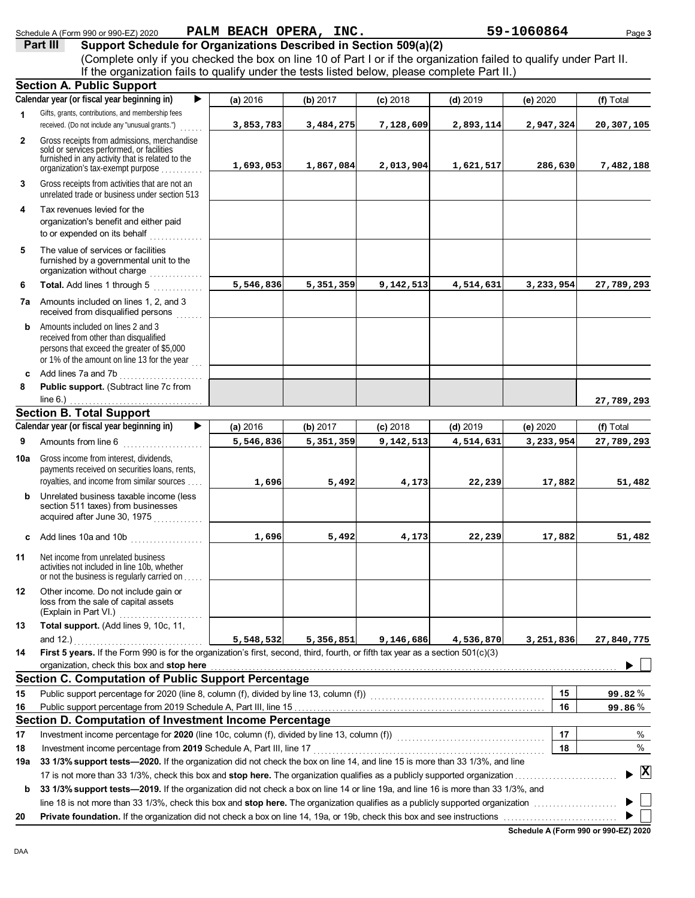|              | Schedule A (Form 990 or 990-EZ) 2020                                                                                                                                          |           | PALM BEACH OPERA, INC. |            |            | 59-1060864 | Page 3       |
|--------------|-------------------------------------------------------------------------------------------------------------------------------------------------------------------------------|-----------|------------------------|------------|------------|------------|--------------|
|              | Support Schedule for Organizations Described in Section 509(a)(2)<br>Part III                                                                                                 |           |                        |            |            |            |              |
|              | (Complete only if you checked the box on line 10 of Part I or if the organization failed to qualify under Part II.                                                            |           |                        |            |            |            |              |
|              | If the organization fails to qualify under the tests listed below, please complete Part II.)                                                                                  |           |                        |            |            |            |              |
|              | <b>Section A. Public Support</b>                                                                                                                                              |           |                        |            |            |            |              |
|              | Calendar year (or fiscal year beginning in)<br>▶                                                                                                                              | (a) 2016  | (b) 2017               | $(c)$ 2018 | $(d)$ 2019 | (e) 2020   | (f) Total    |
| 1            | Gifts, grants, contributions, and membership fees<br>received. (Do not include any "unusual grants.")                                                                         | 3,853,783 | 3,484,275              | 7,128,609  | 2,893,114  | 2,947,324  | 20,307,105   |
| $\mathbf{2}$ | Gross receipts from admissions, merchandise<br>sold or services performed, or facilities                                                                                      |           |                        |            |            |            |              |
|              | furnished in any activity that is related to the<br>organization's tax-exempt purpose                                                                                         | 1,693,053 | 1,867,084              | 2,013,904  | 1,621,517  | 286,630    | 7,482,188    |
| 3            | Gross receipts from activities that are not an<br>unrelated trade or business under section 513                                                                               |           |                        |            |            |            |              |
| 4            | Tax revenues levied for the<br>organization's benefit and either paid<br>to or expended on its behalf                                                                         |           |                        |            |            |            |              |
| 5            | The value of services or facilities<br>furnished by a governmental unit to the<br>organization without charge                                                                 |           |                        |            |            |            |              |
| 6            | Total. Add lines 1 through 5                                                                                                                                                  | 5,546,836 | 5,351,359              | 9,142,513  | 4,514,631  | 3,233,954  | 27,789,293   |
|              | 7a Amounts included on lines 1, 2, and 3<br>received from disqualified persons                                                                                                |           |                        |            |            |            |              |
| b            | Amounts included on lines 2 and 3<br>received from other than disqualified<br>persons that exceed the greater of \$5,000<br>or 1% of the amount on line 13 for the year       |           |                        |            |            |            |              |
|              | <b>c</b> Add lines 7a and 7b $\ldots$                                                                                                                                         |           |                        |            |            |            |              |
| 8            | Public support. (Subtract line 7c from<br>line 6.)                                                                                                                            |           |                        |            |            |            |              |
|              | <b>Section B. Total Support</b>                                                                                                                                               |           |                        |            |            |            | 27,789,293   |
|              | Calendar year (or fiscal year beginning in)<br>▶                                                                                                                              | (a) 2016  | (b) 2017               | $(c)$ 2018 | $(d)$ 2019 | (e) 2020   | (f) Total    |
| 9            | Amounts from line 6                                                                                                                                                           | 5,546,836 | 5,351,359              | 9,142,513  | 4,514,631  | 3,233,954  | 27,789,293   |
| 10a          | Gross income from interest, dividends,<br>payments received on securities loans, rents,                                                                                       |           |                        |            |            |            |              |
|              | royalties, and income from similar sources                                                                                                                                    | 1,696     | 5,492                  | 4,173      | 22,239     | 17,882     | 51,482       |
| b            | Unrelated business taxable income (less<br>section 511 taxes) from businesses<br>acquired after June 30, 1975                                                                 |           |                        |            |            |            |              |
| c            | Add lines 10a and 10b<br>.                                                                                                                                                    | 1,696     | 5,492                  | 4,173      | 22,239     | 17,882     | 51,482       |
| 11           | Net income from unrelated business<br>activities not included in line 10b, whether<br>or not the business is regularly carried on                                             |           |                        |            |            |            |              |
| 12           | Other income. Do not include gain or<br>loss from the sale of capital assets<br>(Explain in Part VI.)                                                                         |           |                        |            |            |            |              |
| 13           | Total support. (Add lines 9, 10c, 11,                                                                                                                                         |           |                        |            |            |            |              |
|              |                                                                                                                                                                               | 5,548,532 | 5,356,851              | 9,146,686  | 4,536,870  | 3,251,836  | 27,840,775   |
| 14           | First 5 years. If the Form 990 is for the organization's first, second, third, fourth, or fifth tax year as a section 501(c)(3)<br>organization, check this box and stop here |           |                        |            |            |            |              |
|              | <b>Section C. Computation of Public Support Percentage</b>                                                                                                                    |           |                        |            |            |            |              |
| 15           |                                                                                                                                                                               |           |                        |            |            | 15         | 99.82%       |
| 16           |                                                                                                                                                                               |           |                        |            |            | 16         | 99.86%       |
|              | Section D. Computation of Investment Income Percentage                                                                                                                        |           |                        |            |            |            |              |
| 17           |                                                                                                                                                                               |           |                        |            |            | 17         | %            |
| 18           | Investment income percentage from 2019 Schedule A, Part III, line 17                                                                                                          |           |                        |            |            | 18         | %            |
| 19a          | 33 1/3% support tests-2020. If the organization did not check the box on line 14, and line 15 is more than 33 1/3%, and line                                                  |           |                        |            |            |            |              |
|              |                                                                                                                                                                               |           |                        |            |            |            | $\mathbf{x}$ |
| b            | 33 1/3% support tests-2019. If the organization did not check a box on line 14 or line 19a, and line 16 is more than 33 1/3%, and                                             |           |                        |            |            |            |              |
|              |                                                                                                                                                                               |           |                        |            |            |            |              |
| 20           |                                                                                                                                                                               |           |                        |            |            |            |              |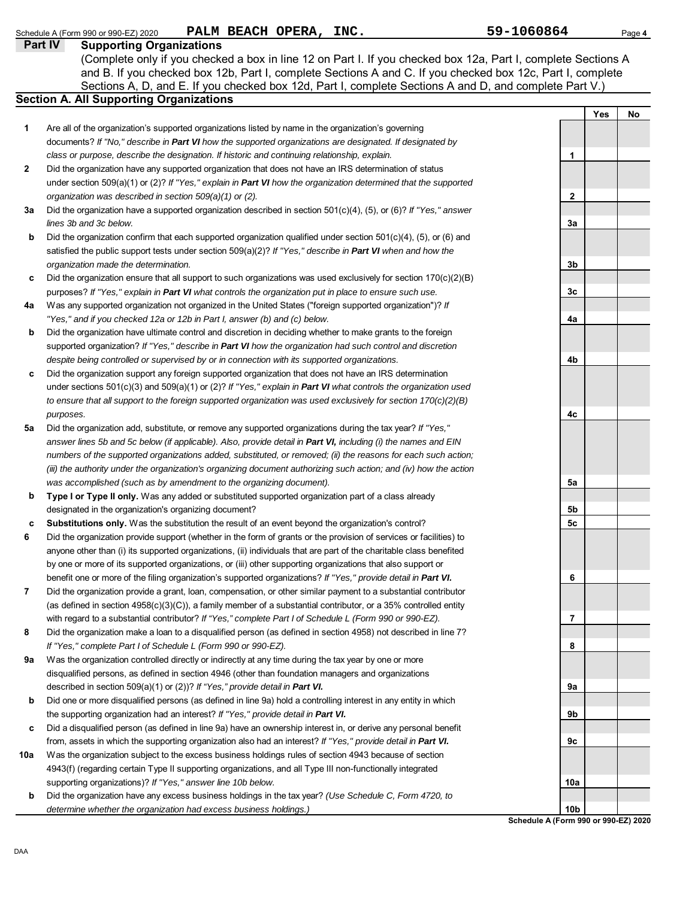DAA **Schedule A (Form 990 or 990-EZ) 2020 Part IV Supporting Organizations** Sections A, D, and E. If you checked box 12d, Part I, complete Sections A and D, and complete Part V.) Schedule A (Form 990 or 990-EZ) 2020 **PALM BEACH OPERA, INC.** 59-1060864 Page 4 **Section A. All Supporting Organizations** (Complete only if you checked a box in line 12 on Part I. If you checked box 12a, Part I, complete Sections A and B. If you checked box 12b, Part I, complete Sections A and C. If you checked box 12c, Part I, complete Are all of the organization's supported organizations listed by name in the organization's governing documents? *If "No," describe in Part VI how the supported organizations are designated. If designated by class or purpose, describe the designation. If historic and continuing relationship, explain.* Did the organization have any supported organization that does not have an IRS determination of status under section 509(a)(1) or (2)? *If "Yes," explain in Part VI how the organization determined that the supported organization was described in section 509(a)(1) or (2).* **1 2 3a b c** Did the organization ensure that all support to such organizations was used exclusively for section 170(c)(2)(B) **4a b** Did the organization have ultimate control and discretion in deciding whether to make grants to the foreign **c 5a b c 6 7 8 9a b c 10a b** Did the organization have a supported organization described in section 501(c)(4), (5), or (6)? *If "Yes," answer lines 3b and 3c below.* Did the organization confirm that each supported organization qualified under section 501(c)(4), (5), or (6) and satisfied the public support tests under section 509(a)(2)? *If "Yes," describe in Part VI when and how the organization made the determination.* purposes? *If "Yes," explain in Part VI what controls the organization put in place to ensure such use.* Was any supported organization not organized in the United States ("foreign supported organization")? *If "Yes," and if you checked 12a or 12b in Part I, answer (b) and (c) below.* supported organization? *If "Yes," describe in Part VI how the organization had such control and discretion despite being controlled or supervised by or in connection with its supported organizations.* Did the organization support any foreign supported organization that does not have an IRS determination under sections 501(c)(3) and 509(a)(1) or (2)? *If "Yes," explain in Part VI what controls the organization used to ensure that all support to the foreign supported organization was used exclusively for section 170(c)(2)(B) purposes.* Did the organization add, substitute, or remove any supported organizations during the tax year? *If "Yes," answer lines 5b and 5c below (if applicable). Also, provide detail in Part VI, including (i) the names and EIN numbers of the supported organizations added, substituted, or removed; (ii) the reasons for each such action; (iii) the authority under the organization's organizing document authorizing such action; and (iv) how the action was accomplished (such as by amendment to the organizing document).* **Type I or Type II only.** Was any added or substituted supported organization part of a class already designated in the organization's organizing document? **Substitutions only.** Was the substitution the result of an event beyond the organization's control? Did the organization provide support (whether in the form of grants or the provision of services or facilities) to anyone other than (i) its supported organizations, (ii) individuals that are part of the charitable class benefited by one or more of its supported organizations, or (iii) other supporting organizations that also support or benefit one or more of the filing organization's supported organizations? *If "Yes," provide detail in Part VI.* Did the organization provide a grant, loan, compensation, or other similar payment to a substantial contributor (as defined in section 4958(c)(3)(C)), a family member of a substantial contributor, or a 35% controlled entity with regard to a substantial contributor? *If "Yes," complete Part I of Schedule L (Form 990 or 990-EZ).* Did the organization make a loan to a disqualified person (as defined in section 4958) not described in line 7? *If "Yes," complete Part I of Schedule L (Form 990 or 990-EZ).* Was the organization controlled directly or indirectly at any time during the tax year by one or more disqualified persons, as defined in section 4946 (other than foundation managers and organizations described in section 509(a)(1) or (2))? *If "Yes," provide detail in Part VI.* Did one or more disqualified persons (as defined in line 9a) hold a controlling interest in any entity in which the supporting organization had an interest? *If "Yes," provide detail in Part VI.* Did a disqualified person (as defined in line 9a) have an ownership interest in, or derive any personal benefit from, assets in which the supporting organization also had an interest? *If "Yes," provide detail in Part VI.* Was the organization subject to the excess business holdings rules of section 4943 because of section 4943(f) (regarding certain Type II supporting organizations, and all Type III non-functionally integrated supporting organizations)? *If "Yes," answer line 10b below.* Did the organization have any excess business holdings in the tax year? *(Use Schedule C, Form 4720, to determine whether the organization had excess business holdings.)* **Yes No 1 2 3a 3b 3c 4a 4b 4c 5a 5b 5c 6 7 8 9a 9b 9c 10a 10b**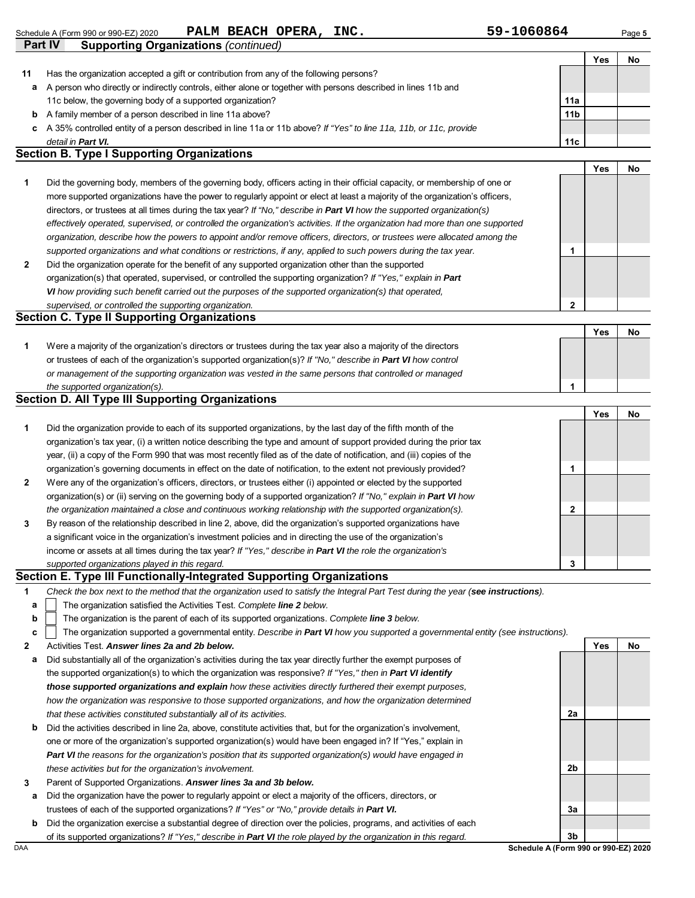|              |                                                                                                                                                                                                                                          |                 | Yes | No |
|--------------|------------------------------------------------------------------------------------------------------------------------------------------------------------------------------------------------------------------------------------------|-----------------|-----|----|
| 11           | Has the organization accepted a gift or contribution from any of the following persons?                                                                                                                                                  |                 |     |    |
| а            | A person who directly or indirectly controls, either alone or together with persons described in lines 11b and                                                                                                                           |                 |     |    |
|              | 11c below, the governing body of a supported organization?                                                                                                                                                                               | 11a             |     |    |
| b            | A family member of a person described in line 11a above?                                                                                                                                                                                 | 11 <sub>b</sub> |     |    |
| c            | A 35% controlled entity of a person described in line 11a or 11b above? If "Yes" to line 11a, 11b, or 11c, provide                                                                                                                       |                 |     |    |
|              | detail in <b>Part VI.</b>                                                                                                                                                                                                                | 11c             |     |    |
|              | <b>Section B. Type I Supporting Organizations</b>                                                                                                                                                                                        |                 |     |    |
|              |                                                                                                                                                                                                                                          |                 | Yes | No |
| 1            | Did the governing body, members of the governing body, officers acting in their official capacity, or membership of one or                                                                                                               |                 |     |    |
|              | more supported organizations have the power to regularly appoint or elect at least a majority of the organization's officers,                                                                                                            |                 |     |    |
|              | directors, or trustees at all times during the tax year? If "No," describe in Part VI how the supported organization(s)                                                                                                                  |                 |     |    |
|              | effectively operated, supervised, or controlled the organization's activities. If the organization had more than one supported                                                                                                           |                 |     |    |
|              | organization, describe how the powers to appoint and/or remove officers, directors, or trustees were allocated among the                                                                                                                 |                 |     |    |
|              | supported organizations and what conditions or restrictions, if any, applied to such powers during the tax year.                                                                                                                         | 1               |     |    |
| 2            | Did the organization operate for the benefit of any supported organization other than the supported                                                                                                                                      |                 |     |    |
|              | organization(s) that operated, supervised, or controlled the supporting organization? If "Yes," explain in Part                                                                                                                          |                 |     |    |
|              | VI how providing such benefit carried out the purposes of the supported organization(s) that operated,                                                                                                                                   |                 |     |    |
|              | supervised, or controlled the supporting organization.                                                                                                                                                                                   | $\mathbf 2$     |     |    |
|              | <b>Section C. Type II Supporting Organizations</b>                                                                                                                                                                                       |                 |     |    |
|              |                                                                                                                                                                                                                                          |                 | Yes | No |
| 1            | Were a majority of the organization's directors or trustees during the tax year also a majority of the directors                                                                                                                         |                 |     |    |
|              | or trustees of each of the organization's supported organization(s)? If "No," describe in Part VI how control                                                                                                                            |                 |     |    |
|              | or management of the supporting organization was vested in the same persons that controlled or managed                                                                                                                                   |                 |     |    |
|              | the supported organization(s).                                                                                                                                                                                                           | 1               |     |    |
|              | <b>Section D. All Type III Supporting Organizations</b>                                                                                                                                                                                  |                 |     |    |
|              |                                                                                                                                                                                                                                          |                 | Yes | No |
| 1            | Did the organization provide to each of its supported organizations, by the last day of the fifth month of the                                                                                                                           |                 |     |    |
|              | organization's tax year, (i) a written notice describing the type and amount of support provided during the prior tax                                                                                                                    |                 |     |    |
|              | year, (ii) a copy of the Form 990 that was most recently filed as of the date of notification, and (iii) copies of the                                                                                                                   |                 |     |    |
|              | organization's governing documents in effect on the date of notification, to the extent not previously provided?                                                                                                                         | 1               |     |    |
| $\mathbf{2}$ | Were any of the organization's officers, directors, or trustees either (i) appointed or elected by the supported                                                                                                                         |                 |     |    |
|              | organization(s) or (ii) serving on the governing body of a supported organization? If "No," explain in Part VI how                                                                                                                       |                 |     |    |
|              | the organization maintained a close and continuous working relationship with the supported organization(s).                                                                                                                              | $\mathbf{2}$    |     |    |
| 3            | By reason of the relationship described in line 2, above, did the organization's supported organizations have                                                                                                                            |                 |     |    |
|              | a significant voice in the organization's investment policies and in directing the use of the organization's                                                                                                                             |                 |     |    |
|              | income or assets at all times during the tax year? If "Yes," describe in Part VI the role the organization's                                                                                                                             |                 |     |    |
|              | supported organizations played in this regard.                                                                                                                                                                                           | 3               |     |    |
|              | Section E. Type III Functionally-Integrated Supporting Organizations                                                                                                                                                                     |                 |     |    |
| 1            | Check the box next to the method that the organization used to satisfy the Integral Part Test during the year (see instructions).                                                                                                        |                 |     |    |
| a            | The organization satisfied the Activities Test. Complete line 2 below.                                                                                                                                                                   |                 |     |    |
| b            | The organization is the parent of each of its supported organizations. Complete line 3 below.                                                                                                                                            |                 |     |    |
| c            | The organization supported a governmental entity. Describe in Part VI how you supported a governmental entity (see instructions).                                                                                                        |                 |     |    |
| 2            | Activities Test. Answer lines 2a and 2b below.                                                                                                                                                                                           |                 | Yes | No |
| а            | Did substantially all of the organization's activities during the tax year directly further the exempt purposes of                                                                                                                       |                 |     |    |
|              | the supported organization(s) to which the organization was responsive? If "Yes," then in Part VI identify                                                                                                                               |                 |     |    |
|              | those supported organizations and explain how these activities directly furthered their exempt purposes,                                                                                                                                 |                 |     |    |
|              | how the organization was responsive to those supported organizations, and how the organization determined<br>that these activities constituted substantially all of its activities.                                                      |                 |     |    |
|              |                                                                                                                                                                                                                                          | 2a              |     |    |
|              |                                                                                                                                                                                                                                          |                 |     |    |
| b            | Did the activities described in line 2a, above, constitute activities that, but for the organization's involvement,                                                                                                                      |                 |     |    |
|              | one or more of the organization's supported organization(s) would have been engaged in? If "Yes," explain in                                                                                                                             |                 |     |    |
|              | Part VI the reasons for the organization's position that its supported organization(s) would have engaged in                                                                                                                             |                 |     |    |
|              | these activities but for the organization's involvement.                                                                                                                                                                                 | 2b              |     |    |
| 3            | Parent of Supported Organizations. Answer lines 3a and 3b below.                                                                                                                                                                         |                 |     |    |
| а            | Did the organization have the power to regularly appoint or elect a majority of the officers, directors, or                                                                                                                              |                 |     |    |
|              | trustees of each of the supported organizations? If "Yes" or "No," provide details in Part VI.                                                                                                                                           | За              |     |    |
| b            | Did the organization exercise a substantial degree of direction over the policies, programs, and activities of each<br>of its supported organizations? If "Yes," describe in Part VI the role played by the organization in this regard. | 3b              |     |    |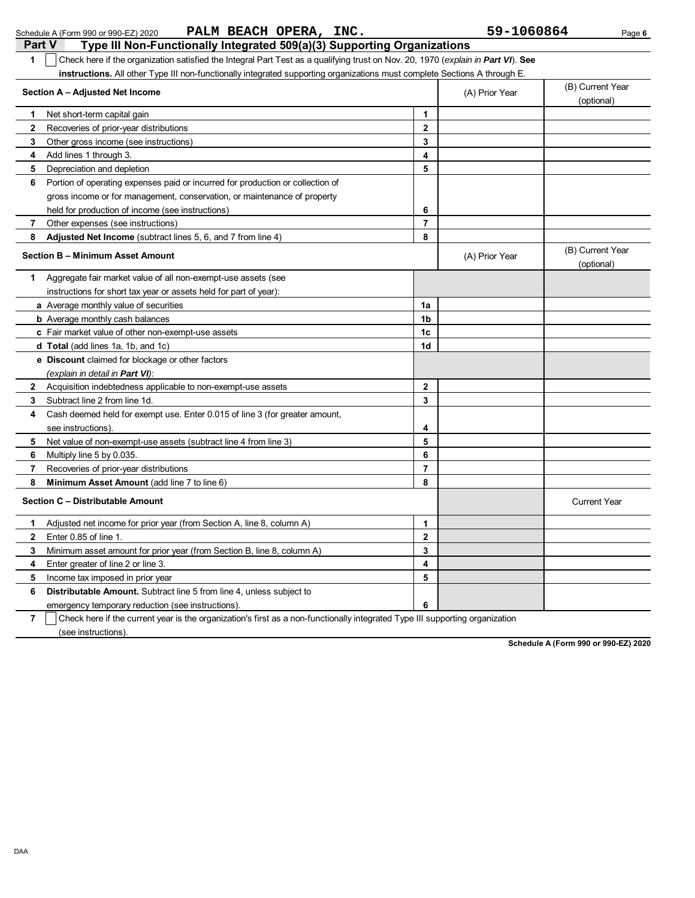| Part V<br>Type III Non-Functionally Integrated 509(a)(3) Supporting Organizations                                                     |                         |                |                                |
|---------------------------------------------------------------------------------------------------------------------------------------|-------------------------|----------------|--------------------------------|
| Check here if the organization satisfied the Integral Part Test as a qualifying trust on Nov. 20, 1970 (explain in Part VI). See<br>1 |                         |                |                                |
| instructions. All other Type III non-functionally integrated supporting organizations must complete Sections A through E.             |                         |                |                                |
| Section A - Adjusted Net Income                                                                                                       |                         | (A) Prior Year | (B) Current Year<br>(optional) |
| Net short-term capital gain<br>1.                                                                                                     | 1                       |                |                                |
| 2<br>Recoveries of prior-year distributions                                                                                           | $\mathbf{2}$            |                |                                |
| 3<br>Other gross income (see instructions)                                                                                            | 3                       |                |                                |
| Add lines 1 through 3.<br>4                                                                                                           | $\overline{\mathbf{4}}$ |                |                                |
| Depreciation and depletion<br>5                                                                                                       | 5                       |                |                                |
| Portion of operating expenses paid or incurred for production or collection of<br>6                                                   |                         |                |                                |
| gross income or for management, conservation, or maintenance of property                                                              |                         |                |                                |
| held for production of income (see instructions)                                                                                      | 6                       |                |                                |
| Other expenses (see instructions)<br>7                                                                                                | $\overline{7}$          |                |                                |
| 8<br>Adjusted Net Income (subtract lines 5, 6, and 7 from line 4)                                                                     | 8                       |                |                                |
| Section B - Minimum Asset Amount                                                                                                      |                         | (A) Prior Year | (B) Current Year               |
|                                                                                                                                       |                         |                | (optional)                     |
| Aggregate fair market value of all non-exempt-use assets (see<br>1                                                                    |                         |                |                                |
| instructions for short tax year or assets held for part of year):                                                                     |                         |                |                                |
| a Average monthly value of securities                                                                                                 | 1a                      |                |                                |
| <b>b</b> Average monthly cash balances                                                                                                | 1b                      |                |                                |
| c Fair market value of other non-exempt-use assets                                                                                    | 1c                      |                |                                |
| d Total (add lines 1a, 1b, and 1c)                                                                                                    | 1d                      |                |                                |
| e Discount claimed for blockage or other factors                                                                                      |                         |                |                                |
| (explain in detail in <b>Part VI</b> ):                                                                                               |                         |                |                                |
| Acquisition indebtedness applicable to non-exempt-use assets<br>2                                                                     | $\mathbf 2$             |                |                                |
| Subtract line 2 from line 1d.<br>3                                                                                                    | 3                       |                |                                |
| 4<br>Cash deemed held for exempt use. Enter 0.015 of line 3 (for greater amount,                                                      |                         |                |                                |
| see instructions).                                                                                                                    | 4                       |                |                                |
| Net value of non-exempt-use assets (subtract line 4 from line 3)<br>5                                                                 | 5                       |                |                                |
| 6<br>Multiply line 5 by 0.035.                                                                                                        | 6                       |                |                                |
| Recoveries of prior-year distributions<br>7                                                                                           | $\overline{\mathbf{r}}$ |                |                                |
| Minimum Asset Amount (add line 7 to line 6)<br>8                                                                                      | 8                       |                |                                |
| Section C - Distributable Amount                                                                                                      |                         |                | <b>Current Year</b>            |
| Adjusted net income for prior year (from Section A, line 8, column A)<br>1.                                                           | 1                       |                |                                |
| 2<br>Enter 0.85 of line 1.                                                                                                            | $\mathbf 2$             |                |                                |
| Minimum asset amount for prior year (from Section B, line 8, column A)                                                                | 3                       |                |                                |
| 4                                                                                                                                     | 4                       |                |                                |
| Enter greater of line 2 or line 3.                                                                                                    | 5                       |                |                                |
| 5<br>Income tax imposed in prior year                                                                                                 |                         |                |                                |
| Distributable Amount. Subtract line 5 from line 4, unless subject to<br>6                                                             |                         |                |                                |
| emergency temporary reduction (see instructions).                                                                                     | 6                       |                |                                |
| 7<br>Check here if the current year is the organization's first as a non-functionally integrated Type III supporting organization     |                         |                |                                |
| (see instructions).                                                                                                                   |                         |                |                                |

Schedule A (Form 990 or 990-EZ) 2020 Page **6 PALM BEACH OPERA, INC. 59-1060864**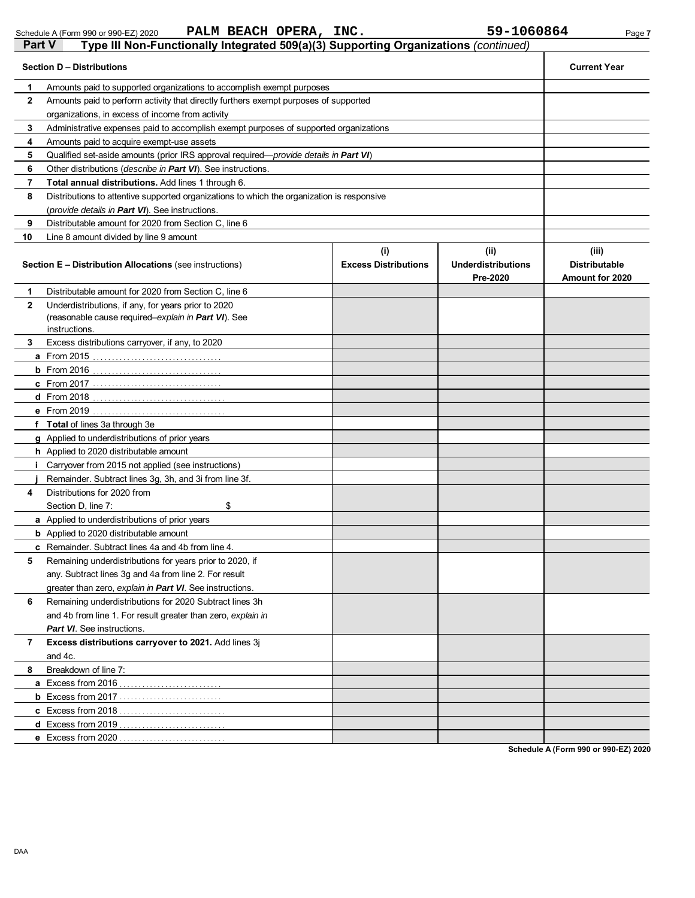Schedule A (Form 990 or 990-EZ) 2020 **PALM BEACH OPERA, INC.** 59-1060864 Page 7

| Part V       | Type III Non-Functionally Integrated 509(a)(3) Supporting Organizations (continued)                                         |                                    |                                               |                                                  |
|--------------|-----------------------------------------------------------------------------------------------------------------------------|------------------------------------|-----------------------------------------------|--------------------------------------------------|
|              | <b>Section D - Distributions</b>                                                                                            |                                    |                                               | <b>Current Year</b>                              |
| 1            | Amounts paid to supported organizations to accomplish exempt purposes                                                       |                                    |                                               |                                                  |
| $\mathbf{2}$ | Amounts paid to perform activity that directly furthers exempt purposes of supported                                        |                                    |                                               |                                                  |
|              | organizations, in excess of income from activity                                                                            |                                    |                                               |                                                  |
| 3            | Administrative expenses paid to accomplish exempt purposes of supported organizations                                       |                                    |                                               |                                                  |
| 4            | Amounts paid to acquire exempt-use assets                                                                                   |                                    |                                               |                                                  |
| 5            | Qualified set-aside amounts (prior IRS approval required—provide details in Part VI)                                        |                                    |                                               |                                                  |
| 6            | Other distributions (describe in Part VI). See instructions.                                                                |                                    |                                               |                                                  |
| 7            | Total annual distributions. Add lines 1 through 6.                                                                          |                                    |                                               |                                                  |
| 8            | Distributions to attentive supported organizations to which the organization is responsive                                  |                                    |                                               |                                                  |
|              | (provide details in Part VI). See instructions.                                                                             |                                    |                                               |                                                  |
| 9            | Distributable amount for 2020 from Section C, line 6                                                                        |                                    |                                               |                                                  |
| 10           | Line 8 amount divided by line 9 amount                                                                                      |                                    |                                               |                                                  |
|              | <b>Section E - Distribution Allocations (see instructions)</b>                                                              | (i)<br><b>Excess Distributions</b> | (ii)<br><b>Underdistributions</b><br>Pre-2020 | (iii)<br><b>Distributable</b><br>Amount for 2020 |
| 1            | Distributable amount for 2020 from Section C, line 6                                                                        |                                    |                                               |                                                  |
| $\mathbf{2}$ | Underdistributions, if any, for years prior to 2020<br>(reasonable cause required-explain in Part VI). See<br>instructions. |                                    |                                               |                                                  |
| 3            | Excess distributions carryover, if any, to 2020                                                                             |                                    |                                               |                                                  |
|              |                                                                                                                             |                                    |                                               |                                                  |
|              |                                                                                                                             |                                    |                                               |                                                  |
|              |                                                                                                                             |                                    |                                               |                                                  |
|              |                                                                                                                             |                                    |                                               |                                                  |
|              |                                                                                                                             |                                    |                                               |                                                  |
|              | f Total of lines 3a through 3e                                                                                              |                                    |                                               |                                                  |
|              | g Applied to underdistributions of prior years                                                                              |                                    |                                               |                                                  |
|              | h Applied to 2020 distributable amount                                                                                      |                                    |                                               |                                                  |
| i.           | Carryover from 2015 not applied (see instructions)                                                                          |                                    |                                               |                                                  |
|              | Remainder. Subtract lines 3g, 3h, and 3i from line 3f.                                                                      |                                    |                                               |                                                  |
| 4            | Distributions for 2020 from                                                                                                 |                                    |                                               |                                                  |
|              | \$<br>Section D, line 7:                                                                                                    |                                    |                                               |                                                  |
|              | <b>a</b> Applied to underdistributions of prior years                                                                       |                                    |                                               |                                                  |
|              | <b>b</b> Applied to 2020 distributable amount                                                                               |                                    |                                               |                                                  |
|              | <b>c</b> Remainder. Subtract lines 4a and 4b from line 4.                                                                   |                                    |                                               |                                                  |
| 5            | Remaining underdistributions for years prior to 2020, if                                                                    |                                    |                                               |                                                  |
|              | any. Subtract lines 3g and 4a from line 2. For result                                                                       |                                    |                                               |                                                  |
|              | greater than zero, explain in Part VI. See instructions.                                                                    |                                    |                                               |                                                  |
| 6            | Remaining underdistributions for 2020 Subtract lines 3h                                                                     |                                    |                                               |                                                  |
|              | and 4b from line 1. For result greater than zero, explain in                                                                |                                    |                                               |                                                  |
|              | <b>Part VI</b> . See instructions.                                                                                          |                                    |                                               |                                                  |
| 7            | Excess distributions carryover to 2021. Add lines 3j                                                                        |                                    |                                               |                                                  |
|              | and 4c.                                                                                                                     |                                    |                                               |                                                  |
| 8            | Breakdown of line 7:                                                                                                        |                                    |                                               |                                                  |
|              |                                                                                                                             |                                    |                                               |                                                  |
|              |                                                                                                                             |                                    |                                               |                                                  |
|              |                                                                                                                             |                                    |                                               |                                                  |
|              |                                                                                                                             |                                    |                                               |                                                  |
|              | <b>e</b> Excess from 2020                                                                                                   |                                    |                                               |                                                  |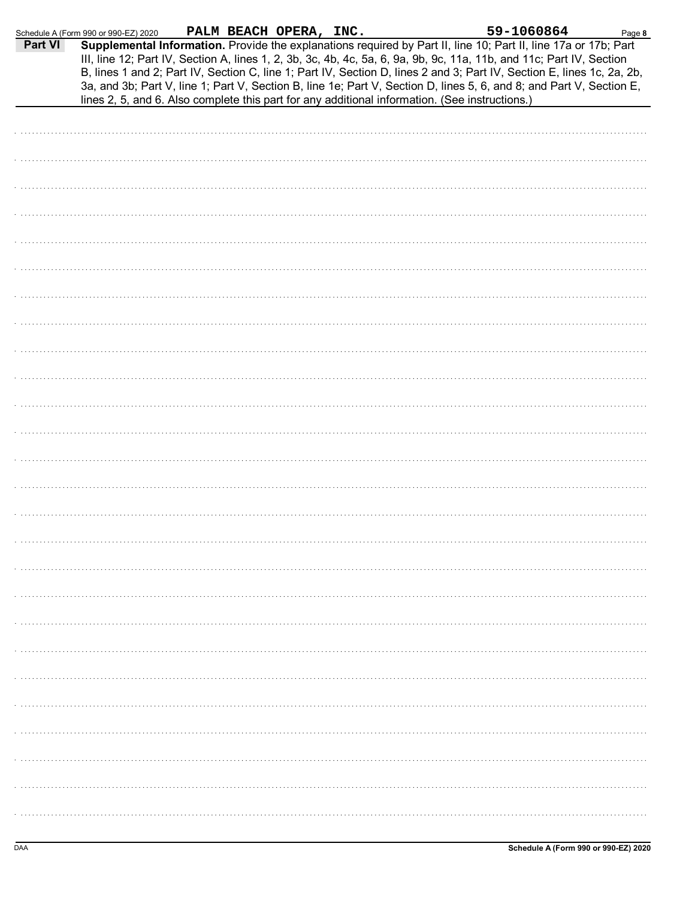|         | Schedule A (Form 990 or 990-EZ) 2020                                                           | PALM BEACH OPERA, INC. |  | 59-1060864                                                                                                                                                                                                                                                                                                                                                                                                                                                                                | Page 8 |
|---------|------------------------------------------------------------------------------------------------|------------------------|--|-------------------------------------------------------------------------------------------------------------------------------------------------------------------------------------------------------------------------------------------------------------------------------------------------------------------------------------------------------------------------------------------------------------------------------------------------------------------------------------------|--------|
| Part VI | lines 2, 5, and 6. Also complete this part for any additional information. (See instructions.) |                        |  | Supplemental Information. Provide the explanations required by Part II, line 10; Part II, line 17a or 17b; Part<br>III, line 12; Part IV, Section A, lines 1, 2, 3b, 3c, 4b, 4c, 5a, 6, 9a, 9b, 9c, 11a, 11b, and 11c; Part IV, Section<br>B, lines 1 and 2; Part IV, Section C, line 1; Part IV, Section D, lines 2 and 3; Part IV, Section E, lines 1c, 2a, 2b,<br>3a, and 3b; Part V, line 1; Part V, Section B, line 1e; Part V, Section D, lines 5, 6, and 8; and Part V, Section E, |        |
|         |                                                                                                |                        |  |                                                                                                                                                                                                                                                                                                                                                                                                                                                                                           |        |
|         |                                                                                                |                        |  |                                                                                                                                                                                                                                                                                                                                                                                                                                                                                           |        |
|         |                                                                                                |                        |  |                                                                                                                                                                                                                                                                                                                                                                                                                                                                                           |        |
|         |                                                                                                |                        |  |                                                                                                                                                                                                                                                                                                                                                                                                                                                                                           |        |
|         |                                                                                                |                        |  |                                                                                                                                                                                                                                                                                                                                                                                                                                                                                           |        |
|         |                                                                                                |                        |  |                                                                                                                                                                                                                                                                                                                                                                                                                                                                                           |        |
|         |                                                                                                |                        |  |                                                                                                                                                                                                                                                                                                                                                                                                                                                                                           |        |
|         |                                                                                                |                        |  |                                                                                                                                                                                                                                                                                                                                                                                                                                                                                           |        |
|         |                                                                                                |                        |  |                                                                                                                                                                                                                                                                                                                                                                                                                                                                                           |        |
|         |                                                                                                |                        |  |                                                                                                                                                                                                                                                                                                                                                                                                                                                                                           |        |
|         |                                                                                                |                        |  |                                                                                                                                                                                                                                                                                                                                                                                                                                                                                           |        |
|         |                                                                                                |                        |  |                                                                                                                                                                                                                                                                                                                                                                                                                                                                                           |        |
|         |                                                                                                |                        |  |                                                                                                                                                                                                                                                                                                                                                                                                                                                                                           |        |
|         |                                                                                                |                        |  |                                                                                                                                                                                                                                                                                                                                                                                                                                                                                           |        |
|         |                                                                                                |                        |  |                                                                                                                                                                                                                                                                                                                                                                                                                                                                                           |        |
|         |                                                                                                |                        |  |                                                                                                                                                                                                                                                                                                                                                                                                                                                                                           |        |
|         |                                                                                                |                        |  |                                                                                                                                                                                                                                                                                                                                                                                                                                                                                           |        |
|         |                                                                                                |                        |  |                                                                                                                                                                                                                                                                                                                                                                                                                                                                                           |        |
|         |                                                                                                |                        |  |                                                                                                                                                                                                                                                                                                                                                                                                                                                                                           |        |
|         |                                                                                                |                        |  |                                                                                                                                                                                                                                                                                                                                                                                                                                                                                           |        |
|         |                                                                                                |                        |  |                                                                                                                                                                                                                                                                                                                                                                                                                                                                                           |        |
|         |                                                                                                |                        |  |                                                                                                                                                                                                                                                                                                                                                                                                                                                                                           |        |
|         |                                                                                                |                        |  |                                                                                                                                                                                                                                                                                                                                                                                                                                                                                           |        |
|         |                                                                                                |                        |  |                                                                                                                                                                                                                                                                                                                                                                                                                                                                                           |        |
|         |                                                                                                |                        |  |                                                                                                                                                                                                                                                                                                                                                                                                                                                                                           |        |
|         |                                                                                                |                        |  |                                                                                                                                                                                                                                                                                                                                                                                                                                                                                           |        |
|         |                                                                                                |                        |  |                                                                                                                                                                                                                                                                                                                                                                                                                                                                                           |        |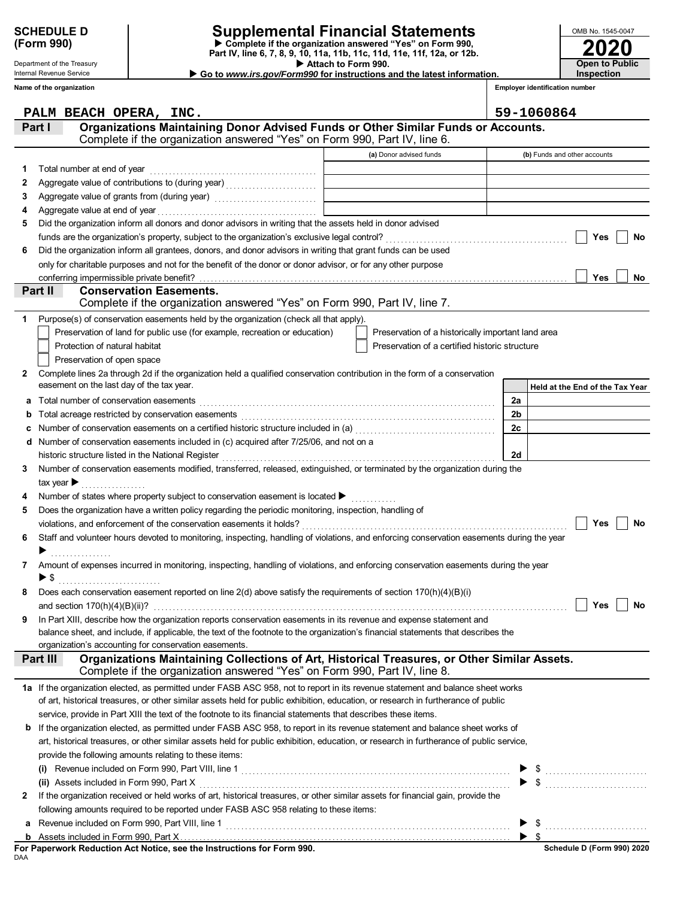|            | <b>SCHEDULE D</b> |
|------------|-------------------|
| (Form 990) |                   |

# **SCHEDULE D Supplemental Financial Statements**

 **Attach to Form 990. Part IV, line 6, 7, 8, 9, 10, 11a, 11b, 11c, 11d, 11e, 11f, 12a, or 12b. Complete if the organization answered "Yes" on Form 990,**

 **Go to** *www.irs.gov/Form990* **for instructions and the latest information.**

Internal Revenue Service **Name of the organization**

Department of the Treasury

**2020**

**Open to Public Inspection**

OMB No. 1545-0047

|   | Name of the organization                                                                                                                                                                                        |                                                    | <b>Employer identification number</b> |
|---|-----------------------------------------------------------------------------------------------------------------------------------------------------------------------------------------------------------------|----------------------------------------------------|---------------------------------------|
|   | PALM BEACH OPERA, INC.                                                                                                                                                                                          |                                                    | 59-1060864                            |
|   | Organizations Maintaining Donor Advised Funds or Other Similar Funds or Accounts.<br>Part I                                                                                                                     |                                                    |                                       |
|   | Complete if the organization answered "Yes" on Form 990, Part IV, line 6.                                                                                                                                       |                                                    |                                       |
|   |                                                                                                                                                                                                                 | (a) Donor advised funds                            | (b) Funds and other accounts          |
| 1 | Total number at end of year                                                                                                                                                                                     |                                                    |                                       |
| 2 |                                                                                                                                                                                                                 |                                                    |                                       |
| 3 |                                                                                                                                                                                                                 |                                                    |                                       |
| 4 |                                                                                                                                                                                                                 |                                                    |                                       |
| 5 | Did the organization inform all donors and donor advisors in writing that the assets held in donor advised                                                                                                      |                                                    |                                       |
|   |                                                                                                                                                                                                                 |                                                    | Yes<br>No                             |
| 6 | Did the organization inform all grantees, donors, and donor advisors in writing that grant funds can be used                                                                                                    |                                                    |                                       |
|   | only for charitable purposes and not for the benefit of the donor or donor advisor, or for any other purpose                                                                                                    |                                                    |                                       |
|   |                                                                                                                                                                                                                 |                                                    | Yes<br>No                             |
|   | Part II<br><b>Conservation Easements.</b><br>Complete if the organization answered "Yes" on Form 990, Part IV, line 7.                                                                                          |                                                    |                                       |
| 1 | Purpose(s) of conservation easements held by the organization (check all that apply).                                                                                                                           |                                                    |                                       |
|   | Preservation of land for public use (for example, recreation or education)                                                                                                                                      | Preservation of a historically important land area |                                       |
|   | Protection of natural habitat                                                                                                                                                                                   | Preservation of a certified historic structure     |                                       |
|   | Preservation of open space                                                                                                                                                                                      |                                                    |                                       |
| 2 | Complete lines 2a through 2d if the organization held a qualified conservation contribution in the form of a conservation                                                                                       |                                                    |                                       |
|   | easement on the last day of the tax year.                                                                                                                                                                       |                                                    | Held at the End of the Tax Year       |
| a | Total number of conservation easements [[CONCIDENTAL CONSUMIDATION CONSUMIDATION CONSUMIDATION CONSUMIDATION CON                                                                                                |                                                    | 2a                                    |
| b |                                                                                                                                                                                                                 |                                                    | 2 <sub>b</sub>                        |
| c |                                                                                                                                                                                                                 |                                                    | 2c                                    |
|   | d Number of conservation easements included in (c) acquired after 7/25/06, and not on a                                                                                                                         |                                                    |                                       |
|   | historic structure listed in the National Register<br>[2010]<br>Alternative content content content content in the content of the National Register<br>Alternative content content of the National Register<br> |                                                    | 2d                                    |
| 3 | Number of conservation easements modified, transferred, released, extinguished, or terminated by the organization during the                                                                                    |                                                    |                                       |
|   | tax year $\blacktriangleright$                                                                                                                                                                                  |                                                    |                                       |
| 4 | Number of states where property subject to conservation easement is located ▶ [11] [12] [12] [12] [12] [12] [1                                                                                                  |                                                    |                                       |
| 5 | Does the organization have a written policy regarding the periodic monitoring, inspection, handling of                                                                                                          |                                                    |                                       |
|   |                                                                                                                                                                                                                 |                                                    | Yes<br>No                             |
| 6 | Staff and volunteer hours devoted to monitoring, inspecting, handling of violations, and enforcing conservation easements during the year                                                                       |                                                    |                                       |
|   |                                                                                                                                                                                                                 |                                                    |                                       |
| 7 | Amount of expenses incurred in monitoring, inspecting, handling of violations, and enforcing conservation easements during the year                                                                             |                                                    |                                       |
|   | ▶ \$                                                                                                                                                                                                            |                                                    |                                       |
|   | Does each conservation easement reported on line $2(d)$ above satisfy the requirements of section $170(h)(4)(B)(i)$                                                                                             |                                                    |                                       |
|   |                                                                                                                                                                                                                 |                                                    | Yes<br><b>No</b>                      |
| 9 | In Part XIII, describe how the organization reports conservation easements in its revenue and expense statement and                                                                                             |                                                    |                                       |
|   | balance sheet, and include, if applicable, the text of the footnote to the organization's financial statements that describes the                                                                               |                                                    |                                       |
|   | organization's accounting for conservation easements.                                                                                                                                                           |                                                    |                                       |
|   | Organizations Maintaining Collections of Art, Historical Treasures, or Other Similar Assets.<br>Part III<br>Complete if the organization answered "Yes" on Form 990, Part IV, line 8.                           |                                                    |                                       |
|   | 1a If the organization elected, as permitted under FASB ASC 958, not to report in its revenue statement and balance sheet works                                                                                 |                                                    |                                       |
|   | of art, historical treasures, or other similar assets held for public exhibition, education, or research in furtherance of public                                                                               |                                                    |                                       |
|   | service, provide in Part XIII the text of the footnote to its financial statements that describes these items.                                                                                                  |                                                    |                                       |
|   | <b>b</b> If the organization elected, as permitted under FASB ASC 958, to report in its revenue statement and balance sheet works of                                                                            |                                                    |                                       |
|   | art, historical treasures, or other similar assets held for public exhibition, education, or research in furtherance of public service,                                                                         |                                                    |                                       |
|   | provide the following amounts relating to these items:                                                                                                                                                          |                                                    |                                       |
|   |                                                                                                                                                                                                                 |                                                    |                                       |
|   |                                                                                                                                                                                                                 |                                                    | $\frac{1}{2}$                         |
| 2 | If the organization received or held works of art, historical treasures, or other similar assets for financial gain, provide the                                                                                |                                                    |                                       |
|   | following amounts required to be reported under FASB ASC 958 relating to these items:                                                                                                                           |                                                    |                                       |
| a |                                                                                                                                                                                                                 |                                                    |                                       |
| b |                                                                                                                                                                                                                 |                                                    |                                       |
|   | For Paperwork Reduction Act Notice, see the Instructions for Form 990.                                                                                                                                          |                                                    | Schedule D (Form 990) 2020            |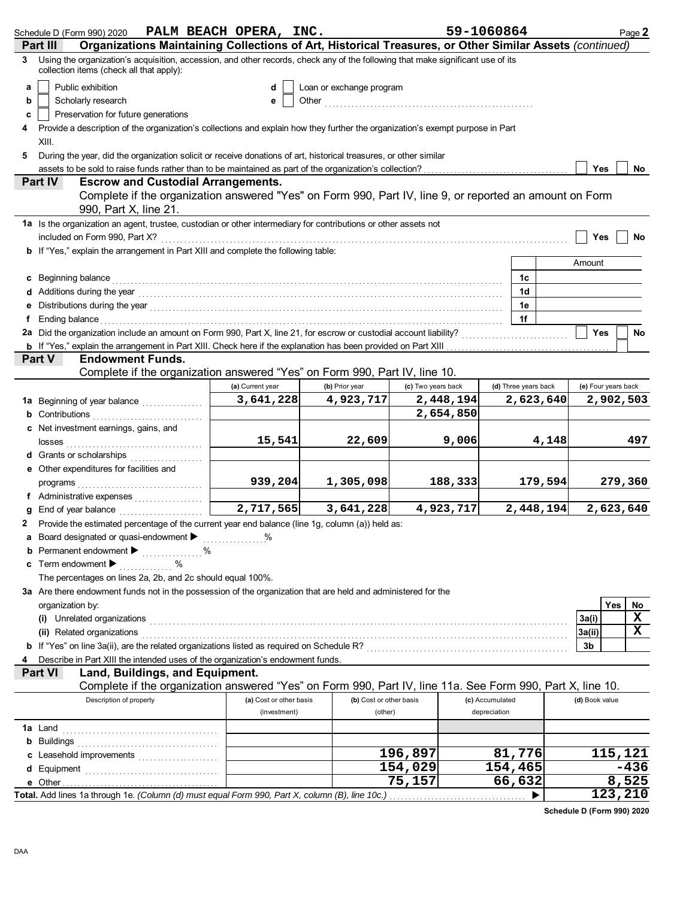|   | Schedule D (Form 990) 2020                                                                                                                                                                                                           | PALM BEACH OPERA, INC.  |                                                                                                                                                                                                                                    |                    | 59-1060864           |           |                     | Page 2           |
|---|--------------------------------------------------------------------------------------------------------------------------------------------------------------------------------------------------------------------------------------|-------------------------|------------------------------------------------------------------------------------------------------------------------------------------------------------------------------------------------------------------------------------|--------------------|----------------------|-----------|---------------------|------------------|
|   | Organizations Maintaining Collections of Art, Historical Treasures, or Other Similar Assets (continued)<br>Part III                                                                                                                  |                         |                                                                                                                                                                                                                                    |                    |                      |           |                     |                  |
| 3 | Using the organization's acquisition, accession, and other records, check any of the following that make significant use of its<br>collection items (check all that apply):                                                          |                         |                                                                                                                                                                                                                                    |                    |                      |           |                     |                  |
| a | Public exhibition                                                                                                                                                                                                                    | d                       | Loan or exchange program                                                                                                                                                                                                           |                    |                      |           |                     |                  |
| b | Scholarly research                                                                                                                                                                                                                   | е                       | Other <b>Other Contained Allen Contained Allen Allen Contained Allen Allen Contained Allen Allen Contained Allen Allen Allen Contained Allen Allen Allen Allen Allen Allen Allen Allen Allen Allen Allen Allen Allen Allen All</b> |                    |                      |           |                     |                  |
| c | Preservation for future generations                                                                                                                                                                                                  |                         |                                                                                                                                                                                                                                    |                    |                      |           |                     |                  |
| 4 | Provide a description of the organization's collections and explain how they further the organization's exempt purpose in Part                                                                                                       |                         |                                                                                                                                                                                                                                    |                    |                      |           |                     |                  |
|   | XIII.                                                                                                                                                                                                                                |                         |                                                                                                                                                                                                                                    |                    |                      |           |                     |                  |
|   | During the year, did the organization solicit or receive donations of art, historical treasures, or other similar                                                                                                                    |                         |                                                                                                                                                                                                                                    |                    |                      |           |                     |                  |
| 5 |                                                                                                                                                                                                                                      |                         |                                                                                                                                                                                                                                    |                    |                      |           | Yes                 |                  |
|   | <b>Escrow and Custodial Arrangements.</b><br>Part IV                                                                                                                                                                                 |                         |                                                                                                                                                                                                                                    |                    |                      |           |                     | No               |
|   | Complete if the organization answered "Yes" on Form 990, Part IV, line 9, or reported an amount on Form                                                                                                                              |                         |                                                                                                                                                                                                                                    |                    |                      |           |                     |                  |
|   | 990, Part X, line 21.                                                                                                                                                                                                                |                         |                                                                                                                                                                                                                                    |                    |                      |           |                     |                  |
|   |                                                                                                                                                                                                                                      |                         |                                                                                                                                                                                                                                    |                    |                      |           |                     |                  |
|   | 1a Is the organization an agent, trustee, custodian or other intermediary for contributions or other assets not                                                                                                                      |                         |                                                                                                                                                                                                                                    |                    |                      |           |                     |                  |
|   | included on Form 990, Part X?                                                                                                                                                                                                        |                         |                                                                                                                                                                                                                                    |                    |                      |           | Yes                 | No               |
|   | b If "Yes," explain the arrangement in Part XIII and complete the following table:                                                                                                                                                   |                         |                                                                                                                                                                                                                                    |                    |                      |           |                     |                  |
|   |                                                                                                                                                                                                                                      |                         |                                                                                                                                                                                                                                    |                    |                      |           | Amount              |                  |
|   | c Beginning balance                                                                                                                                                                                                                  |                         |                                                                                                                                                                                                                                    |                    | 1c                   |           |                     |                  |
|   | Additions during the year electron contains and a state of the year of the year of the state of the year electron and the year and the year and the year and the year and the year and the year and the year and the year and        |                         |                                                                                                                                                                                                                                    |                    | 1d                   |           |                     |                  |
|   |                                                                                                                                                                                                                                      |                         |                                                                                                                                                                                                                                    |                    | 1e                   |           |                     |                  |
|   | Ending balance                                                                                                                                                                                                                       |                         |                                                                                                                                                                                                                                    |                    | 1f                   |           |                     |                  |
|   | 2a Did the organization include an amount on Form 990, Part X, line 21, for escrow or custodial account liability?                                                                                                                   |                         |                                                                                                                                                                                                                                    |                    |                      |           | <b>Yes</b>          | No               |
|   |                                                                                                                                                                                                                                      |                         |                                                                                                                                                                                                                                    |                    |                      |           |                     |                  |
|   | Part V<br><b>Endowment Funds.</b>                                                                                                                                                                                                    |                         |                                                                                                                                                                                                                                    |                    |                      |           |                     |                  |
|   | Complete if the organization answered "Yes" on Form 990, Part IV, line 10.                                                                                                                                                           |                         |                                                                                                                                                                                                                                    |                    |                      |           |                     |                  |
|   |                                                                                                                                                                                                                                      | (a) Current year        | (b) Prior year                                                                                                                                                                                                                     | (c) Two years back | (d) Three years back |           | (e) Four years back |                  |
|   | 1a Beginning of year balance                                                                                                                                                                                                         | 3,641,228               | 4,923,717                                                                                                                                                                                                                          | 2,448,194          |                      | 2,623,640 |                     | 2,902,503        |
|   | Contributions                                                                                                                                                                                                                        |                         |                                                                                                                                                                                                                                    | 2,654,850          |                      |           |                     |                  |
|   | Net investment earnings, gains, and                                                                                                                                                                                                  |                         |                                                                                                                                                                                                                                    |                    |                      |           |                     |                  |
|   | losses                                                                                                                                                                                                                               | 15,541                  | 22,609                                                                                                                                                                                                                             |                    | 9,006                | 4,148     |                     | 497              |
|   | Grants or scholarships                                                                                                                                                                                                               |                         |                                                                                                                                                                                                                                    |                    |                      |           |                     |                  |
|   | Other expenditures for facilities and                                                                                                                                                                                                |                         |                                                                                                                                                                                                                                    |                    |                      |           |                     |                  |
|   | programs                                                                                                                                                                                                                             | 939,204                 | 1,305,098                                                                                                                                                                                                                          | 188,333            |                      | 179,594   |                     | 279,360          |
|   |                                                                                                                                                                                                                                      |                         |                                                                                                                                                                                                                                    |                    |                      |           |                     |                  |
|   | End of year balance                                                                                                                                                                                                                  | 2,717,565               | 3,641,228                                                                                                                                                                                                                          | 4,923,717          |                      | 2,448,194 |                     | 2,623,640        |
| 2 | Provide the estimated percentage of the current year end balance (line 1g, column (a)) held as:                                                                                                                                      |                         |                                                                                                                                                                                                                                    |                    |                      |           |                     |                  |
|   | a Board designated or quasi-endowment > %                                                                                                                                                                                            |                         |                                                                                                                                                                                                                                    |                    |                      |           |                     |                  |
|   | <b>b</b> Permanent endowment $\blacktriangleright$<br>%                                                                                                                                                                              |                         |                                                                                                                                                                                                                                    |                    |                      |           |                     |                  |
| c | Term endowment $\blacktriangleright$                                                                                                                                                                                                 |                         |                                                                                                                                                                                                                                    |                    |                      |           |                     |                  |
|   | The percentages on lines 2a, 2b, and 2c should equal 100%.                                                                                                                                                                           |                         |                                                                                                                                                                                                                                    |                    |                      |           |                     |                  |
|   | 3a Are there endowment funds not in the possession of the organization that are held and administered for the                                                                                                                        |                         |                                                                                                                                                                                                                                    |                    |                      |           |                     |                  |
|   | organization by:                                                                                                                                                                                                                     |                         |                                                                                                                                                                                                                                    |                    |                      |           |                     | Yes<br><b>No</b> |
|   | (i) Unrelated organizations <b>constant of the constant of the constant of the constant of the constant of the constant of the constant of the constant of the constant of the constant of the constant of the constant of the c</b> |                         |                                                                                                                                                                                                                                    |                    |                      |           | 3a(i)               | X                |
|   | (ii) Related organizations                                                                                                                                                                                                           |                         |                                                                                                                                                                                                                                    |                    |                      |           | 3a(ii)              | x                |
|   | If "Yes" on line 3a(ii), are the related organizations listed as required on Schedule R? [[[[[[[[[[[[[[[[[[[[[                                                                                                                       |                         |                                                                                                                                                                                                                                    |                    |                      |           | 3b                  |                  |
|   | Describe in Part XIII the intended uses of the organization's endowment funds.                                                                                                                                                       |                         |                                                                                                                                                                                                                                    |                    |                      |           |                     |                  |
|   | Land, Buildings, and Equipment.<br><b>Part VI</b>                                                                                                                                                                                    |                         |                                                                                                                                                                                                                                    |                    |                      |           |                     |                  |
|   | Complete if the organization answered "Yes" on Form 990, Part IV, line 11a. See Form 990, Part X, line 10.                                                                                                                           |                         |                                                                                                                                                                                                                                    |                    |                      |           |                     |                  |
|   | Description of property                                                                                                                                                                                                              | (a) Cost or other basis | (b) Cost or other basis                                                                                                                                                                                                            |                    | (c) Accumulated      |           | (d) Book value      |                  |
|   |                                                                                                                                                                                                                                      | (investment)            | (other)                                                                                                                                                                                                                            |                    | depreciation         |           |                     |                  |
|   | <b>1a</b> Land                                                                                                                                                                                                                       |                         |                                                                                                                                                                                                                                    |                    |                      |           |                     |                  |
|   | <b>b</b> Buildings <b>construction b</b> Buildings <b>construction construction b</b>                                                                                                                                                |                         |                                                                                                                                                                                                                                    |                    |                      |           |                     |                  |
|   | Leasehold improvements                                                                                                                                                                                                               |                         |                                                                                                                                                                                                                                    | 196,897            | 81,776               |           |                     | 115, 121         |
|   |                                                                                                                                                                                                                                      |                         |                                                                                                                                                                                                                                    | 154,029            | 154,465              |           |                     | -436             |
| d |                                                                                                                                                                                                                                      |                         |                                                                                                                                                                                                                                    | 75,157             | 66,632               |           |                     | 8,525            |
|   | Total. Add lines 1a through 1e. (Column (d) must equal Form 990, Part X, column (B), line 10c.)                                                                                                                                      |                         |                                                                                                                                                                                                                                    |                    |                      |           |                     | 123,210          |
|   |                                                                                                                                                                                                                                      |                         |                                                                                                                                                                                                                                    |                    |                      |           |                     |                  |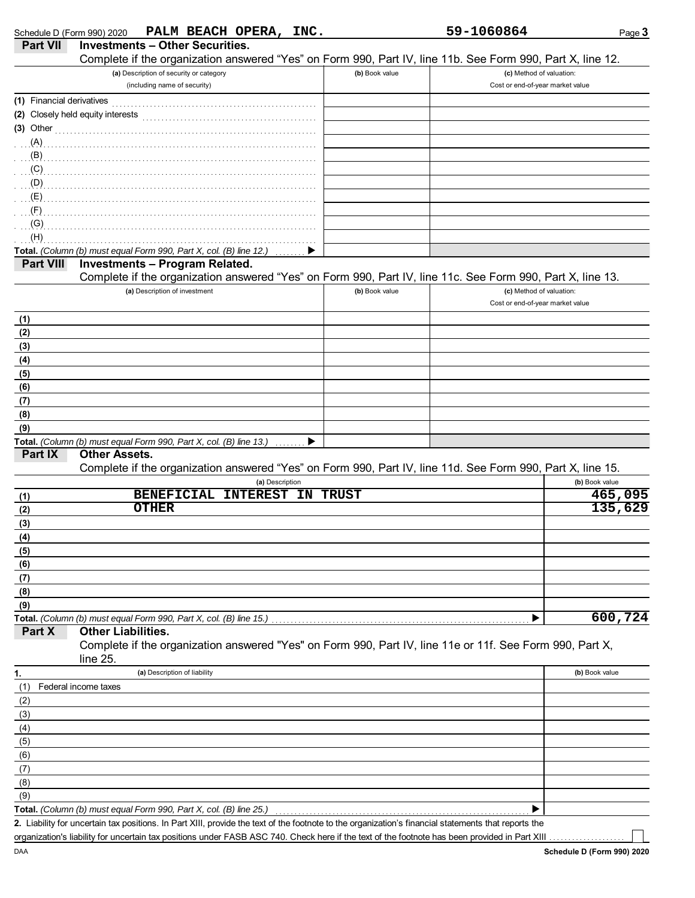| Part VII                  | <b>Investments - Other Securities.</b><br>Complete if the organization answered "Yes" on Form 990, Part IV, line 11b. See Form 990, Part X, line 12.                                                                                 |                |                                  |                |
|---------------------------|--------------------------------------------------------------------------------------------------------------------------------------------------------------------------------------------------------------------------------------|----------------|----------------------------------|----------------|
|                           | (a) Description of security or category                                                                                                                                                                                              | (b) Book value | (c) Method of valuation:         |                |
|                           | (including name of security)                                                                                                                                                                                                         |                | Cost or end-of-year market value |                |
| (1) Financial derivatives |                                                                                                                                                                                                                                      |                |                                  |                |
|                           |                                                                                                                                                                                                                                      |                |                                  |                |
|                           | (3) Other <u>with contact and the contact of the contact of the contact of the contact of the contact of the contact of the contact of the contact of the contact of the contact of the contact of the contact of the contact of</u> |                |                                  |                |
| $(A)$ .                   |                                                                                                                                                                                                                                      |                |                                  |                |
| (B)                       |                                                                                                                                                                                                                                      |                |                                  |                |
| (C)                       |                                                                                                                                                                                                                                      |                |                                  |                |
| (D)                       |                                                                                                                                                                                                                                      |                |                                  |                |
| (E)<br>(F)                |                                                                                                                                                                                                                                      |                |                                  |                |
| (G)                       |                                                                                                                                                                                                                                      |                |                                  |                |
| (H)                       |                                                                                                                                                                                                                                      |                |                                  |                |
|                           | Total. (Column (b) must equal Form 990, Part X, col. (B) line 12.)                                                                                                                                                                   |                |                                  |                |
| <b>Part VIII</b>          | <b>Investments - Program Related.</b>                                                                                                                                                                                                |                |                                  |                |
|                           | Complete if the organization answered "Yes" on Form 990, Part IV, line 11c. See Form 990, Part X, line 13.                                                                                                                           |                |                                  |                |
|                           | (a) Description of investment                                                                                                                                                                                                        | (b) Book value | (c) Method of valuation:         |                |
|                           |                                                                                                                                                                                                                                      |                | Cost or end-of-year market value |                |
| (1)                       |                                                                                                                                                                                                                                      |                |                                  |                |
| (2)                       |                                                                                                                                                                                                                                      |                |                                  |                |
| (3)                       |                                                                                                                                                                                                                                      |                |                                  |                |
| (4)                       |                                                                                                                                                                                                                                      |                |                                  |                |
| (5)                       |                                                                                                                                                                                                                                      |                |                                  |                |
| (6)                       |                                                                                                                                                                                                                                      |                |                                  |                |
| (7)                       |                                                                                                                                                                                                                                      |                |                                  |                |
| (8)                       |                                                                                                                                                                                                                                      |                |                                  |                |
| (9)                       |                                                                                                                                                                                                                                      |                |                                  |                |
| Part IX                   | Total. (Column (b) must equal Form 990, Part X, col. (B) line 13.)<br><b>Other Assets.</b>                                                                                                                                           |                |                                  |                |
|                           | Complete if the organization answered "Yes" on Form 990, Part IV, line 11d. See Form 990, Part X, line 15.                                                                                                                           |                |                                  |                |
|                           | (a) Description                                                                                                                                                                                                                      |                |                                  | (b) Book value |
| (1)                       | INTEREST IN<br><b>BENEFICIAL</b>                                                                                                                                                                                                     | <b>TRUST</b>   |                                  | 465,095        |
| (2)                       | <b>OTHER</b>                                                                                                                                                                                                                         |                |                                  | 135,629        |
| (3)                       |                                                                                                                                                                                                                                      |                |                                  |                |
| (4)                       |                                                                                                                                                                                                                                      |                |                                  |                |
| (5)                       |                                                                                                                                                                                                                                      |                |                                  |                |
| (6)                       |                                                                                                                                                                                                                                      |                |                                  |                |
| (7)                       |                                                                                                                                                                                                                                      |                |                                  |                |
| (8)                       |                                                                                                                                                                                                                                      |                |                                  |                |
| (9)                       |                                                                                                                                                                                                                                      |                |                                  |                |
|                           | Total. (Column (b) must equal Form 990, Part X, col. (B) line 15.)                                                                                                                                                                   |                |                                  | 600, 724       |
| Part X                    | <b>Other Liabilities.</b>                                                                                                                                                                                                            |                |                                  |                |
|                           | Complete if the organization answered "Yes" on Form 990, Part IV, line 11e or 11f. See Form 990, Part X,<br>line 25.                                                                                                                 |                |                                  |                |
| 1.                        | (a) Description of liability                                                                                                                                                                                                         |                |                                  | (b) Book value |
| (1)                       | Federal income taxes                                                                                                                                                                                                                 |                |                                  |                |
| (2)                       |                                                                                                                                                                                                                                      |                |                                  |                |
| (3)                       |                                                                                                                                                                                                                                      |                |                                  |                |
| (4)                       |                                                                                                                                                                                                                                      |                |                                  |                |
| (5)                       |                                                                                                                                                                                                                                      |                |                                  |                |
| (6)                       |                                                                                                                                                                                                                                      |                |                                  |                |
| (7)                       |                                                                                                                                                                                                                                      |                |                                  |                |
| (8)                       |                                                                                                                                                                                                                                      |                |                                  |                |
| (9)                       | Total. (Column (b) must equal Form 990, Part X, col. (B) line 25.)                                                                                                                                                                   |                |                                  |                |
|                           | 2. Liability for uncertain tax positions. In Part XIII, provide the text of the footnote to the organization's financial statements that reports the                                                                                 |                |                                  |                |

organization's liability for uncertain tax positions under FASB ASC 740. Check here if the text of the footnote has been provided in Part XIII

٦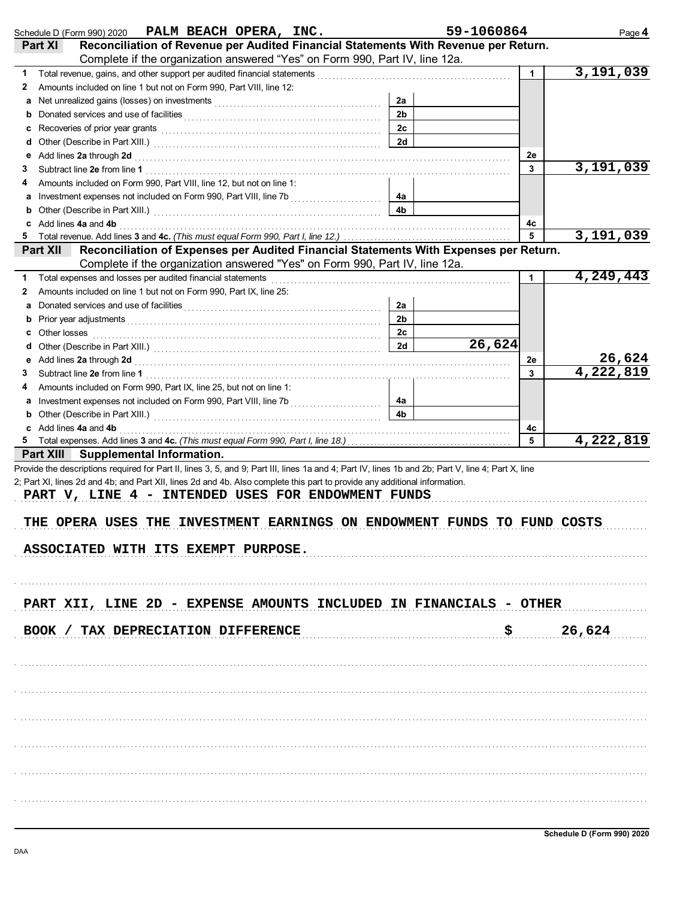|              | Schedule D (Form 990) 2020 PALM BEACH OPERA, INC.                                                                                                                                                                                                                                                     |                | 59-1060864 |                      | Page 4                           |
|--------------|-------------------------------------------------------------------------------------------------------------------------------------------------------------------------------------------------------------------------------------------------------------------------------------------------------|----------------|------------|----------------------|----------------------------------|
|              | Reconciliation of Revenue per Audited Financial Statements With Revenue per Return.<br>Part XI                                                                                                                                                                                                        |                |            |                      |                                  |
|              | Complete if the organization answered "Yes" on Form 990, Part IV, line 12a.                                                                                                                                                                                                                           |                |            |                      |                                  |
| 1.           | Total revenue, gains, and other support per audited financial statements [11] [11] Total revenue, contract the statements [11] Total and the statements and other statements are stated in the statement of the statement of t                                                                        |                |            | $\mathbf 1$          | 3,191,039                        |
| $\mathbf{z}$ | Amounts included on line 1 but not on Form 990, Part VIII, line 12:                                                                                                                                                                                                                                   |                |            |                      |                                  |
| a            | Net unrealized gains (losses) on investments [11] with an intervention contained an intervention of the state of the state of the state of the state of the state of the state of the state of the state of the state of the s                                                                        | 2a             |            |                      |                                  |
| b            |                                                                                                                                                                                                                                                                                                       | 2 <sub>b</sub> |            |                      |                                  |
| c            |                                                                                                                                                                                                                                                                                                       | 2c             |            |                      |                                  |
| d            |                                                                                                                                                                                                                                                                                                       | 2d             |            |                      |                                  |
|              | Add lines 2a through 2d [11] Add [12] Add [12] Add lines 2a through 2d [12] Add lines 2a through 2d [12] Add lines 2.                                                                                                                                                                                 |                |            | 2e                   |                                  |
| З            |                                                                                                                                                                                                                                                                                                       |                |            | 3                    | 3,191,039                        |
|              | Amounts included on Form 990, Part VIII, line 12, but not on line 1:                                                                                                                                                                                                                                  |                |            |                      |                                  |
|              |                                                                                                                                                                                                                                                                                                       | 4a             |            |                      |                                  |
| b            |                                                                                                                                                                                                                                                                                                       | 4 <sub>b</sub> |            |                      |                                  |
| c            | Add lines 4a and 4b <b>Automan Community Community</b> and the set of the set of the set of the set of the set of the set of the set of the set of the set of the set of the set of the set of the set of the set of the set of the                                                                   |                |            | 4с                   |                                  |
| 5            |                                                                                                                                                                                                                                                                                                       |                |            | 5                    | 3,191,039                        |
|              | Reconciliation of Expenses per Audited Financial Statements With Expenses per Return.<br><b>Part XII</b>                                                                                                                                                                                              |                |            |                      |                                  |
|              | Complete if the organization answered "Yes" on Form 990, Part IV, line 12a.                                                                                                                                                                                                                           |                |            |                      |                                  |
| 1            |                                                                                                                                                                                                                                                                                                       |                |            | $\blacktriangleleft$ | 4,249,443                        |
| $\mathbf{z}$ | Amounts included on line 1 but not on Form 990, Part IX, line 25:                                                                                                                                                                                                                                     |                |            |                      |                                  |
| а            |                                                                                                                                                                                                                                                                                                       | 2a             |            |                      |                                  |
| b            | Prior year adjustments [11, 12] with the contract of the contract of the contract of the contract of the contract of the contract of the contract of the contract of the contract of the contract of the contract of the contr                                                                        | 2 <sub>b</sub> |            |                      |                                  |
| c            | Other losses <b>contracts</b> and <b>contracts</b> and <b>contracts</b> and <b>contracts</b> and <b>contracts</b> and <b>contracts</b> and <b>contracts</b> and <b>contracts</b> and <b>contracts</b> and <b>contracts</b> and <b>contracts</b> and <b>contracts</b> and <b>contracts</b> and <b></b> | 2c             |            |                      |                                  |
| d            |                                                                                                                                                                                                                                                                                                       | 2d             | 26,624     |                      |                                  |
| е            | Add lines 2a through 2d [11] All and the contract of the contract of the contract of the contract of the contract of the contract of the contract of the contract of the contract of the contract of the contract of the contr                                                                        |                |            | 2e                   | 26,624<br>$\overline{4,}222,819$ |
| З            |                                                                                                                                                                                                                                                                                                       |                |            | 3                    |                                  |
|              | Amounts included on Form 990, Part IX, line 25, but not on line 1:                                                                                                                                                                                                                                    |                |            |                      |                                  |
|              |                                                                                                                                                                                                                                                                                                       | 4a<br>4b       |            |                      |                                  |
|              |                                                                                                                                                                                                                                                                                                       |                |            |                      |                                  |
|              | c Add lines 4a and 4b <b>contract and 4b</b> and 20 and 20 and 20 and 20 and 20 and 20 and 20 and 20 and 20 and 20 and 20 and 20 and 20 and 20 and 20 and 20 and 20 and 20 and 20 and 20 and 20 and 20 and 20 and 20 and 20 and 20                                                                    |                |            | 4с<br>5              | 4,222,819                        |
|              | Part XIII Supplemental Information.                                                                                                                                                                                                                                                                   |                |            |                      |                                  |
|              | 2; Part XI, lines 2d and 4b; and Part XII, lines 2d and 4b. Also complete this part to provide any additional information.<br>PART V, LINE 4 - INTENDED USES FOR ENDOWMENT FUNDS<br>THE OPERA USES THE INVESTMENT EARNINGS ON ENDOWMENT FUNDS TO FUND COSTS<br>ASSOCIATED WITH ITS EXEMPT PURPOSE.    |                |            |                      |                                  |
|              | PART XII, LINE 2D - EXPENSE AMOUNTS INCLUDED IN FINANCIALS - OTHER<br>BOOK / TAX DEPRECIATION DIFFERENCE                                                                                                                                                                                              |                |            |                      | 26,624                           |
|              |                                                                                                                                                                                                                                                                                                       |                |            |                      |                                  |
|              |                                                                                                                                                                                                                                                                                                       |                |            |                      |                                  |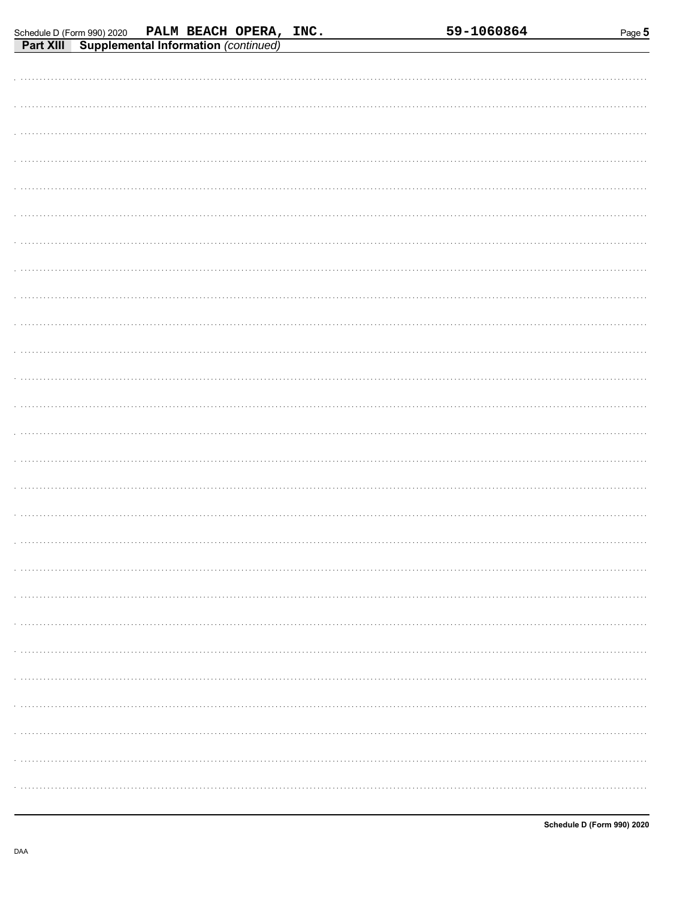| . |
|---|
|   |
|   |
|   |
|   |
|   |
|   |
|   |
|   |
|   |
|   |
|   |
|   |
|   |
|   |
|   |
|   |
|   |
|   |
| . |
|   |
| . |
|   |
|   |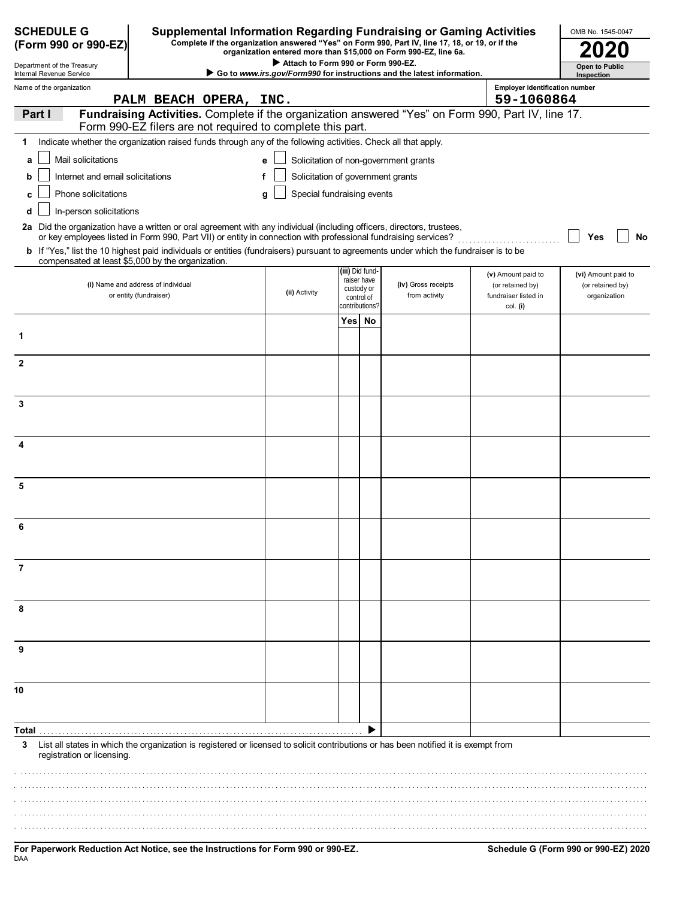| <b>SCHEDULE G</b><br>(Form 990 or 990-EZ)              | Supplemental Information Regarding Fundraising or Gaming Activities                                                                                                                                                                      |                                    |                              | Complete if the organization answered "Yes" on Form 990, Part IV, line 17, 18, or 19, or if the<br>organization entered more than \$15,000 on Form 990-EZ, line 6a. |                                       | OMB No. 1545-0047                   |
|--------------------------------------------------------|------------------------------------------------------------------------------------------------------------------------------------------------------------------------------------------------------------------------------------------|------------------------------------|------------------------------|---------------------------------------------------------------------------------------------------------------------------------------------------------------------|---------------------------------------|-------------------------------------|
| Department of the Treasury<br>Internal Revenue Service |                                                                                                                                                                                                                                          | Attach to Form 990 or Form 990-EZ. |                              | Go to www.irs.gov/Form990 for instructions and the latest information.                                                                                              |                                       | <b>Open to Public</b><br>Inspection |
| Name of the organization                               |                                                                                                                                                                                                                                          |                                    |                              |                                                                                                                                                                     | <b>Employer identification number</b> |                                     |
|                                                        | PALM BEACH OPERA, INC.                                                                                                                                                                                                                   |                                    |                              |                                                                                                                                                                     | 59-1060864                            |                                     |
| Part I                                                 | Fundraising Activities. Complete if the organization answered "Yes" on Form 990, Part IV, line 17.                                                                                                                                       |                                    |                              |                                                                                                                                                                     |                                       |                                     |
| 1                                                      | Form 990-EZ filers are not required to complete this part.<br>Indicate whether the organization raised funds through any of the following activities. Check all that apply.                                                              |                                    |                              |                                                                                                                                                                     |                                       |                                     |
| Mail solicitations                                     |                                                                                                                                                                                                                                          |                                    |                              | Solicitation of non-government grants                                                                                                                               |                                       |                                     |
| a                                                      |                                                                                                                                                                                                                                          |                                    |                              |                                                                                                                                                                     |                                       |                                     |
| Internet and email solicitations                       |                                                                                                                                                                                                                                          | Solicitation of government grants  |                              |                                                                                                                                                                     |                                       |                                     |
| Phone solicitations<br>c                               |                                                                                                                                                                                                                                          | Special fundraising events<br>a    |                              |                                                                                                                                                                     |                                       |                                     |
| In-person solicitations<br>d                           |                                                                                                                                                                                                                                          |                                    |                              |                                                                                                                                                                     |                                       |                                     |
|                                                        | 2a Did the organization have a written or oral agreement with any individual (including officers, directors, trustees,<br>or key employees listed in Form 990, Part VII) or entity in connection with professional fundraising services? |                                    |                              |                                                                                                                                                                     |                                       | Yes<br>No                           |
|                                                        | b If "Yes," list the 10 highest paid individuals or entities (fundraisers) pursuant to agreements under which the fundraiser is to be                                                                                                    |                                    |                              |                                                                                                                                                                     |                                       |                                     |
| compensated at least \$5,000 by the organization.      |                                                                                                                                                                                                                                          |                                    | (iii) Did fund-              |                                                                                                                                                                     | (v) Amount paid to                    | (vi) Amount paid to                 |
|                                                        | (i) Name and address of individual                                                                                                                                                                                                       | (ii) Activity                      | raiser have<br>custody or    | (iv) Gross receipts                                                                                                                                                 | (or retained by)                      | (or retained by)                    |
|                                                        | or entity (fundraiser)                                                                                                                                                                                                                   |                                    | control of<br>contributions? | from activity                                                                                                                                                       | fundraiser listed in<br>col. (i)      | organization                        |
|                                                        |                                                                                                                                                                                                                                          |                                    | Yes No                       |                                                                                                                                                                     |                                       |                                     |
| 1                                                      |                                                                                                                                                                                                                                          |                                    |                              |                                                                                                                                                                     |                                       |                                     |
|                                                        |                                                                                                                                                                                                                                          |                                    |                              |                                                                                                                                                                     |                                       |                                     |
| $\mathbf{2}$                                           |                                                                                                                                                                                                                                          |                                    |                              |                                                                                                                                                                     |                                       |                                     |
|                                                        |                                                                                                                                                                                                                                          |                                    |                              |                                                                                                                                                                     |                                       |                                     |
| 3                                                      |                                                                                                                                                                                                                                          |                                    |                              |                                                                                                                                                                     |                                       |                                     |
|                                                        |                                                                                                                                                                                                                                          |                                    |                              |                                                                                                                                                                     |                                       |                                     |
| 4                                                      |                                                                                                                                                                                                                                          |                                    |                              |                                                                                                                                                                     |                                       |                                     |
|                                                        |                                                                                                                                                                                                                                          |                                    |                              |                                                                                                                                                                     |                                       |                                     |
|                                                        |                                                                                                                                                                                                                                          |                                    |                              |                                                                                                                                                                     |                                       |                                     |
| 5                                                      |                                                                                                                                                                                                                                          |                                    |                              |                                                                                                                                                                     |                                       |                                     |
|                                                        |                                                                                                                                                                                                                                          |                                    |                              |                                                                                                                                                                     |                                       |                                     |
| ĥ                                                      |                                                                                                                                                                                                                                          |                                    |                              |                                                                                                                                                                     |                                       |                                     |
|                                                        |                                                                                                                                                                                                                                          |                                    |                              |                                                                                                                                                                     |                                       |                                     |
|                                                        |                                                                                                                                                                                                                                          |                                    |                              |                                                                                                                                                                     |                                       |                                     |
| 7                                                      |                                                                                                                                                                                                                                          |                                    |                              |                                                                                                                                                                     |                                       |                                     |
|                                                        |                                                                                                                                                                                                                                          |                                    |                              |                                                                                                                                                                     |                                       |                                     |
| 8                                                      |                                                                                                                                                                                                                                          |                                    |                              |                                                                                                                                                                     |                                       |                                     |
|                                                        |                                                                                                                                                                                                                                          |                                    |                              |                                                                                                                                                                     |                                       |                                     |
| 9                                                      |                                                                                                                                                                                                                                          |                                    |                              |                                                                                                                                                                     |                                       |                                     |
|                                                        |                                                                                                                                                                                                                                          |                                    |                              |                                                                                                                                                                     |                                       |                                     |
|                                                        |                                                                                                                                                                                                                                          |                                    |                              |                                                                                                                                                                     |                                       |                                     |
| 10                                                     |                                                                                                                                                                                                                                          |                                    |                              |                                                                                                                                                                     |                                       |                                     |
|                                                        |                                                                                                                                                                                                                                          |                                    |                              |                                                                                                                                                                     |                                       |                                     |
|                                                        |                                                                                                                                                                                                                                          |                                    |                              |                                                                                                                                                                     |                                       |                                     |
| 3                                                      | List all states in which the organization is registered or licensed to solicit contributions or has been notified it is exempt from                                                                                                      |                                    |                              |                                                                                                                                                                     |                                       |                                     |
| registration or licensing.                             |                                                                                                                                                                                                                                          |                                    |                              |                                                                                                                                                                     |                                       |                                     |
|                                                        |                                                                                                                                                                                                                                          |                                    |                              |                                                                                                                                                                     |                                       |                                     |
|                                                        |                                                                                                                                                                                                                                          |                                    |                              |                                                                                                                                                                     |                                       |                                     |
|                                                        |                                                                                                                                                                                                                                          |                                    |                              |                                                                                                                                                                     |                                       |                                     |
|                                                        |                                                                                                                                                                                                                                          |                                    |                              |                                                                                                                                                                     |                                       |                                     |
|                                                        |                                                                                                                                                                                                                                          |                                    |                              |                                                                                                                                                                     |                                       |                                     |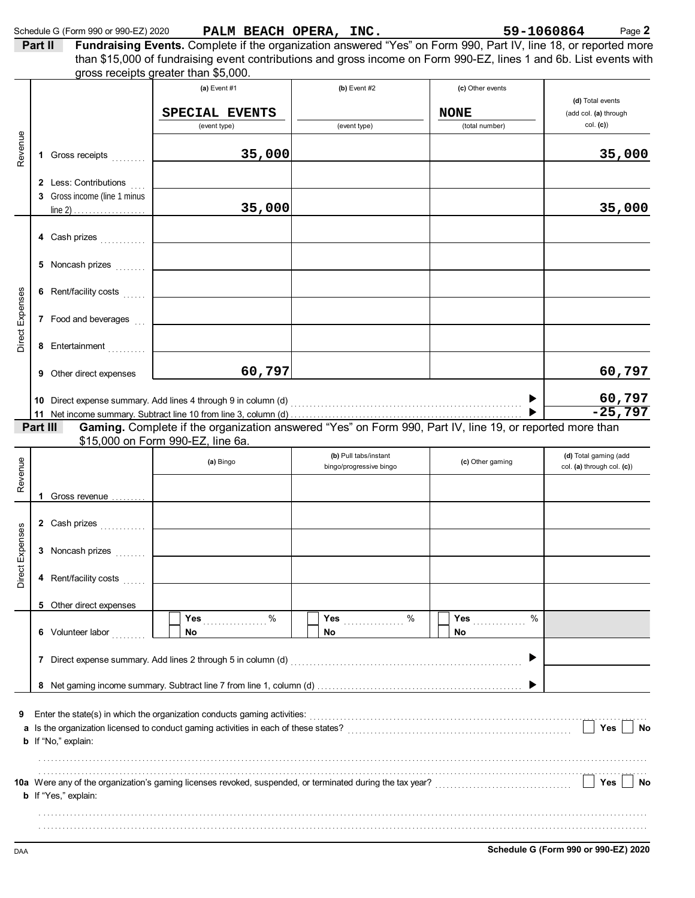|                 |         | Schedule G (Form 990 or 990-EZ) 2020                                                                                                                                                                                           | PALM BEACH OPERA, INC.                                                                                                                                     |                         |                          | 59-1060864<br>Page 2       |
|-----------------|---------|--------------------------------------------------------------------------------------------------------------------------------------------------------------------------------------------------------------------------------|------------------------------------------------------------------------------------------------------------------------------------------------------------|-------------------------|--------------------------|----------------------------|
|                 | Part II |                                                                                                                                                                                                                                | Fundraising Events. Complete if the organization answered "Yes" on Form 990, Part IV, line 18, or reported more                                            |                         |                          |                            |
|                 |         |                                                                                                                                                                                                                                | than \$15,000 of fundraising event contributions and gross income on Form 990-EZ, lines 1 and 6b. List events with<br>gross receipts greater than \$5,000. |                         |                          |                            |
|                 |         |                                                                                                                                                                                                                                | (a) Event #1                                                                                                                                               | $(b)$ Event #2          |                          |                            |
|                 |         |                                                                                                                                                                                                                                |                                                                                                                                                            |                         | (c) Other events         | (d) Total events           |
|                 |         |                                                                                                                                                                                                                                | SPECIAL EVENTS                                                                                                                                             |                         | <b>NONE</b>              | (add col. (a) through      |
|                 |         |                                                                                                                                                                                                                                | (event type)                                                                                                                                               | (event type)            | (total number)           | col. (c)                   |
|                 |         |                                                                                                                                                                                                                                |                                                                                                                                                            |                         |                          |                            |
| Revenue         | 1       | Gross receipts                                                                                                                                                                                                                 | 35,000                                                                                                                                                     |                         |                          | 35,000                     |
|                 |         |                                                                                                                                                                                                                                |                                                                                                                                                            |                         |                          |                            |
|                 |         | 2 Less: Contributions                                                                                                                                                                                                          |                                                                                                                                                            |                         |                          |                            |
|                 |         | 3 Gross income (line 1 minus                                                                                                                                                                                                   |                                                                                                                                                            |                         |                          |                            |
|                 |         |                                                                                                                                                                                                                                | 35,000                                                                                                                                                     |                         |                          | 35,000                     |
|                 |         |                                                                                                                                                                                                                                |                                                                                                                                                            |                         |                          |                            |
|                 |         |                                                                                                                                                                                                                                |                                                                                                                                                            |                         |                          |                            |
|                 |         |                                                                                                                                                                                                                                |                                                                                                                                                            |                         |                          |                            |
|                 |         |                                                                                                                                                                                                                                |                                                                                                                                                            |                         |                          |                            |
|                 |         |                                                                                                                                                                                                                                |                                                                                                                                                            |                         |                          |                            |
|                 |         |                                                                                                                                                                                                                                |                                                                                                                                                            |                         |                          |                            |
|                 |         |                                                                                                                                                                                                                                | 7 Food and beverages [11] <b>Conserver and Severages</b> [11] <b>Conserver and Severages</b>                                                               |                         |                          |                            |
| Direct Expenses |         | 8 Entertainment                                                                                                                                                                                                                |                                                                                                                                                            |                         |                          |                            |
|                 |         |                                                                                                                                                                                                                                |                                                                                                                                                            |                         |                          |                            |
|                 |         | <b>9</b> Other direct expenses                                                                                                                                                                                                 | 60,797                                                                                                                                                     |                         |                          | 60,797                     |
|                 |         |                                                                                                                                                                                                                                |                                                                                                                                                            |                         |                          |                            |
|                 |         |                                                                                                                                                                                                                                |                                                                                                                                                            |                         | $\blacktriangleright$    | 60,797<br>$-25,797$        |
|                 |         | Part III                                                                                                                                                                                                                       | Gaming. Complete if the organization answered "Yes" on Form 990, Part IV, line 19, or reported more than                                                   |                         |                          |                            |
|                 |         |                                                                                                                                                                                                                                | \$15,000 on Form 990-EZ, line 6a.                                                                                                                          |                         |                          |                            |
|                 |         |                                                                                                                                                                                                                                |                                                                                                                                                            | (b) Pull tabs/instant   |                          | (d) Total gaming (add      |
|                 |         |                                                                                                                                                                                                                                | (a) Bingo                                                                                                                                                  | bingo/progressive bingo | (c) Other gaming         | col. (a) through col. (c)) |
| Revenue         |         |                                                                                                                                                                                                                                |                                                                                                                                                            |                         |                          |                            |
|                 |         | Gross revenue                                                                                                                                                                                                                  |                                                                                                                                                            |                         |                          |                            |
|                 |         |                                                                                                                                                                                                                                |                                                                                                                                                            |                         |                          |                            |
| 6S              |         | 2 Cash prizes <b>Cash prizes Cash prizes Cash prizes Cash and Cash and Cash and Cash and Cash and Cash and Cash and Cash and Cash and Cash and Cash and Cash and Cash and Cash and Cash and Cash and Cash and Cash and Cas</b> |                                                                                                                                                            |                         |                          |                            |
|                 |         | 3 Noncash prizes                                                                                                                                                                                                               |                                                                                                                                                            |                         |                          |                            |
|                 |         |                                                                                                                                                                                                                                |                                                                                                                                                            |                         |                          |                            |
| Direct Expens   |         | 4 Rent/facility costs                                                                                                                                                                                                          |                                                                                                                                                            |                         |                          |                            |
|                 |         |                                                                                                                                                                                                                                |                                                                                                                                                            |                         |                          |                            |
|                 |         | 5 Other direct expenses                                                                                                                                                                                                        |                                                                                                                                                            |                         |                          |                            |
|                 |         |                                                                                                                                                                                                                                | %<br>Yes                                                                                                                                                   | Yes in<br>%             | %<br>Yes <sub>pras</sub> |                            |
|                 |         | 6 Volunteer labor                                                                                                                                                                                                              | <b>No</b>                                                                                                                                                  | No.                     | No.                      |                            |
|                 |         |                                                                                                                                                                                                                                |                                                                                                                                                            |                         |                          |                            |
|                 |         |                                                                                                                                                                                                                                |                                                                                                                                                            |                         |                          |                            |
|                 |         |                                                                                                                                                                                                                                |                                                                                                                                                            |                         |                          |                            |
|                 |         |                                                                                                                                                                                                                                |                                                                                                                                                            |                         |                          |                            |
| 9               |         |                                                                                                                                                                                                                                | Enter the state(s) in which the organization conducts gaming activities:                                                                                   |                         |                          |                            |
|                 |         |                                                                                                                                                                                                                                | Is the organization licensed to conduct gaming activities in each of these states?                                                                         |                         |                          | Yes  <br><b>No</b>         |
|                 |         | <b>b</b> If "No," explain:                                                                                                                                                                                                     |                                                                                                                                                            |                         |                          |                            |
|                 |         |                                                                                                                                                                                                                                |                                                                                                                                                            |                         |                          |                            |
|                 |         |                                                                                                                                                                                                                                |                                                                                                                                                            |                         |                          | No                         |
|                 |         | <b>b</b> If "Yes," explain:                                                                                                                                                                                                    | 10a Were any of the organization's gaming licenses revoked, suspended, or terminated during the tax year?<br>L                                             |                         |                          | Yes                        |
|                 |         |                                                                                                                                                                                                                                |                                                                                                                                                            |                         |                          |                            |
|                 |         |                                                                                                                                                                                                                                |                                                                                                                                                            |                         |                          |                            |
|                 |         |                                                                                                                                                                                                                                |                                                                                                                                                            |                         |                          |                            |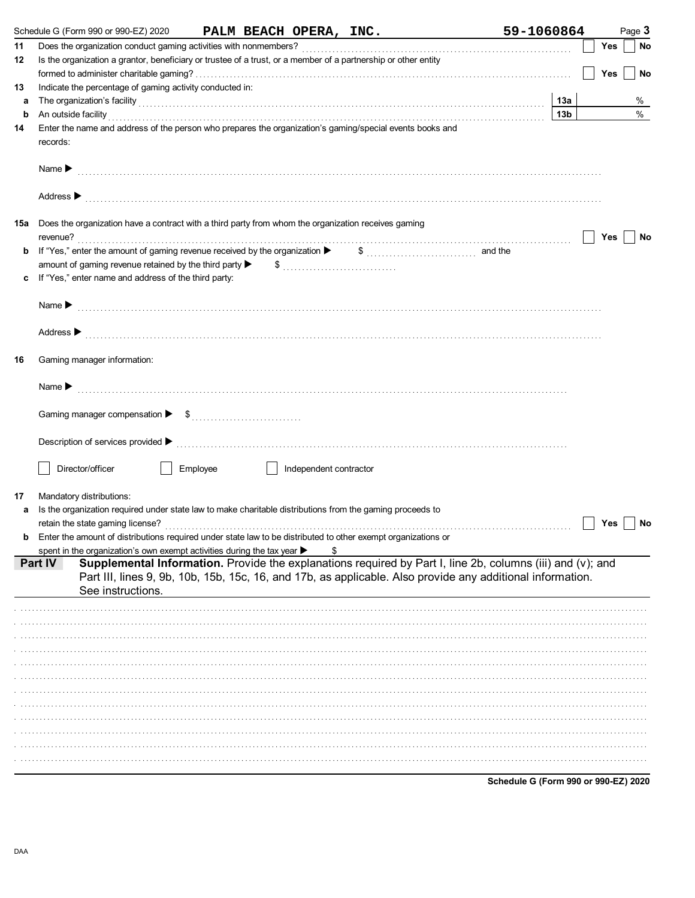|     | Schedule G (Form 990 or 990-EZ) 2020                                                                                                                                                                                           |          |                        | PALM BEACH OPERA, INC.                                                                                                                                                                                                   | 59-1060864                           |                 |            | Page 3    |
|-----|--------------------------------------------------------------------------------------------------------------------------------------------------------------------------------------------------------------------------------|----------|------------------------|--------------------------------------------------------------------------------------------------------------------------------------------------------------------------------------------------------------------------|--------------------------------------|-----------------|------------|-----------|
| 11  |                                                                                                                                                                                                                                |          |                        |                                                                                                                                                                                                                          |                                      |                 | <b>Yes</b> | <b>No</b> |
| 12  | Is the organization a grantor, beneficiary or trustee of a trust, or a member of a partnership or other entity                                                                                                                 |          |                        |                                                                                                                                                                                                                          |                                      |                 |            |           |
|     |                                                                                                                                                                                                                                |          |                        |                                                                                                                                                                                                                          |                                      |                 | Yes        | No        |
| 13  | Indicate the percentage of gaming activity conducted in:                                                                                                                                                                       |          |                        |                                                                                                                                                                                                                          |                                      |                 |            |           |
| а   | The organization's facility with the contract of the contract of the contract of the contract of the contract of the contract of the contract of the contract of the contract of the contract of the contract of the contract  |          |                        |                                                                                                                                                                                                                          |                                      | 13а             |            | %         |
| b   | An outside facility with an account of the contract of the contract of the contract of the contract of the contract of the contract of the contract of the contract of the contract of the contract of the contract of the con |          |                        |                                                                                                                                                                                                                          |                                      | 13 <sub>b</sub> |            | $\%$      |
| 14  | Enter the name and address of the person who prepares the organization's gaming/special events books and<br>records:                                                                                                           |          |                        |                                                                                                                                                                                                                          |                                      |                 |            |           |
|     | Name $\blacktriangleright$                                                                                                                                                                                                     |          |                        |                                                                                                                                                                                                                          |                                      |                 |            |           |
|     | Address $\blacktriangleright$                                                                                                                                                                                                  |          |                        |                                                                                                                                                                                                                          |                                      |                 |            |           |
| 15a | Does the organization have a contract with a third party from whom the organization receives gaming                                                                                                                            |          |                        |                                                                                                                                                                                                                          |                                      |                 | Yes        | No        |
| b   | If "Yes," enter the amount of gaming revenue received by the organization ▶                                                                                                                                                    |          |                        | $\$$ and the                                                                                                                                                                                                             |                                      |                 |            |           |
|     | amount of gaming revenue retained by the third party $\blacktriangleright$                                                                                                                                                     |          |                        | $\frac{1}{2}$                                                                                                                                                                                                            |                                      |                 |            |           |
|     | If "Yes," enter name and address of the third party:                                                                                                                                                                           |          |                        |                                                                                                                                                                                                                          |                                      |                 |            |           |
|     | Name $\blacktriangleright$                                                                                                                                                                                                     |          |                        |                                                                                                                                                                                                                          |                                      |                 |            |           |
|     |                                                                                                                                                                                                                                |          |                        |                                                                                                                                                                                                                          |                                      |                 |            |           |
| 16  | Gaming manager information:                                                                                                                                                                                                    |          |                        |                                                                                                                                                                                                                          |                                      |                 |            |           |
|     | Name $\blacktriangleright$                                                                                                                                                                                                     |          |                        |                                                                                                                                                                                                                          |                                      |                 |            |           |
|     |                                                                                                                                                                                                                                |          |                        |                                                                                                                                                                                                                          |                                      |                 |            |           |
|     | Description of services provided ▶                                                                                                                                                                                             |          |                        |                                                                                                                                                                                                                          |                                      |                 |            |           |
|     | Director/officer                                                                                                                                                                                                               | Employee | Independent contractor |                                                                                                                                                                                                                          |                                      |                 |            |           |
|     |                                                                                                                                                                                                                                |          |                        |                                                                                                                                                                                                                          |                                      |                 |            |           |
| 17  | Mandatory distributions:<br>Is the organization required under state law to make charitable distributions from the gaming proceeds to                                                                                          |          |                        |                                                                                                                                                                                                                          |                                      |                 |            |           |
|     | retain the state gaming license?                                                                                                                                                                                               |          |                        |                                                                                                                                                                                                                          |                                      |                 | Yes        | No        |
|     | <b>b</b> Enter the amount of distributions required under state law to be distributed to other exempt organizations or                                                                                                         |          |                        |                                                                                                                                                                                                                          |                                      |                 |            |           |
|     | spent in the organization's own exempt activities during the tax year $\blacktriangleright$                                                                                                                                    |          | \$                     |                                                                                                                                                                                                                          |                                      |                 |            |           |
|     | Part IV<br>See instructions.                                                                                                                                                                                                   |          |                        | Supplemental Information. Provide the explanations required by Part I, line 2b, columns (iii) and (v); and<br>Part III, lines 9, 9b, 10b, 15b, 15c, 16, and 17b, as applicable. Also provide any additional information. |                                      |                 |            |           |
|     |                                                                                                                                                                                                                                |          |                        |                                                                                                                                                                                                                          |                                      |                 |            |           |
|     |                                                                                                                                                                                                                                |          |                        |                                                                                                                                                                                                                          |                                      |                 |            |           |
|     |                                                                                                                                                                                                                                |          |                        |                                                                                                                                                                                                                          |                                      |                 |            |           |
|     |                                                                                                                                                                                                                                |          |                        |                                                                                                                                                                                                                          |                                      |                 |            |           |
|     |                                                                                                                                                                                                                                |          |                        |                                                                                                                                                                                                                          |                                      |                 |            |           |
|     |                                                                                                                                                                                                                                |          |                        |                                                                                                                                                                                                                          |                                      |                 |            |           |
|     |                                                                                                                                                                                                                                |          |                        |                                                                                                                                                                                                                          |                                      |                 |            |           |
|     |                                                                                                                                                                                                                                |          |                        |                                                                                                                                                                                                                          |                                      |                 |            |           |
|     |                                                                                                                                                                                                                                |          |                        |                                                                                                                                                                                                                          |                                      |                 |            |           |
|     |                                                                                                                                                                                                                                |          |                        |                                                                                                                                                                                                                          |                                      |                 |            |           |
|     |                                                                                                                                                                                                                                |          |                        |                                                                                                                                                                                                                          |                                      |                 |            |           |
|     |                                                                                                                                                                                                                                |          |                        |                                                                                                                                                                                                                          |                                      |                 |            |           |
|     |                                                                                                                                                                                                                                |          |                        |                                                                                                                                                                                                                          | Schedule G (Form 990 or 990-EZ) 2020 |                 |            |           |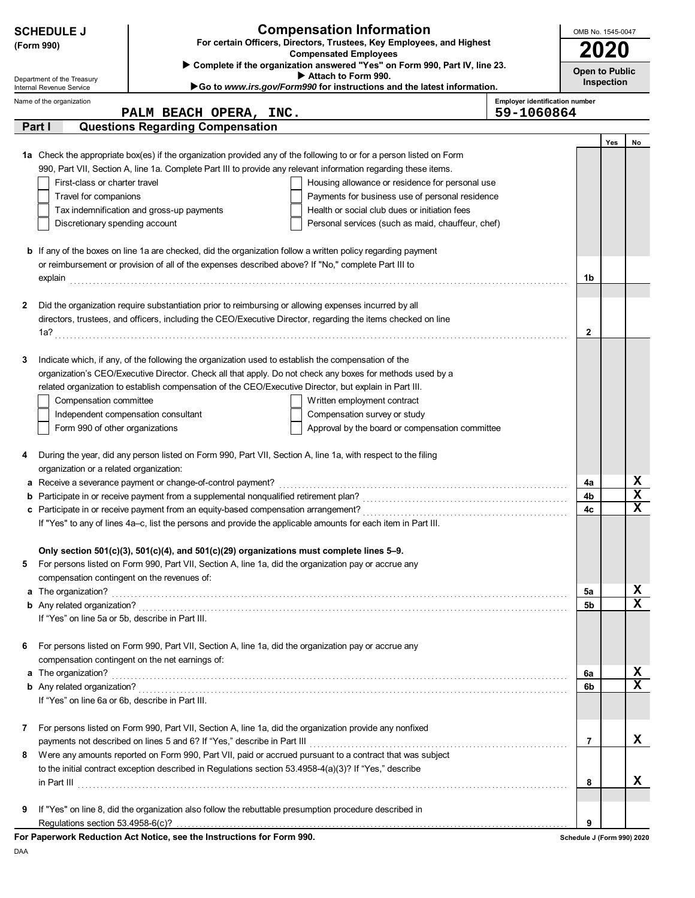| <b>Compensation Information</b><br><b>SCHEDULE J</b><br>For certain Officers, Directors, Trustees, Key Employees, and Highest<br>(Form 990)<br><b>Compensated Employees</b> |                                                                                                                     |                                                                                                                                                                             |                                       |                                     | OMB No. 1545-0047<br>2020 |             |  |
|-----------------------------------------------------------------------------------------------------------------------------------------------------------------------------|---------------------------------------------------------------------------------------------------------------------|-----------------------------------------------------------------------------------------------------------------------------------------------------------------------------|---------------------------------------|-------------------------------------|---------------------------|-------------|--|
| Department of the Treasury<br>Internal Revenue Service                                                                                                                      |                                                                                                                     | Complete if the organization answered "Yes" on Form 990, Part IV, line 23.<br>Attach to Form 990.<br>Go to www.irs.gov/Form990 for instructions and the latest information. |                                       | <b>Open to Public</b><br>Inspection |                           |             |  |
| Name of the organization                                                                                                                                                    |                                                                                                                     |                                                                                                                                                                             | <b>Employer identification number</b> |                                     |                           |             |  |
| Part I                                                                                                                                                                      | PALM BEACH OPERA, INC.                                                                                              |                                                                                                                                                                             | 59-1060864                            |                                     |                           |             |  |
|                                                                                                                                                                             | <b>Questions Regarding Compensation</b>                                                                             |                                                                                                                                                                             |                                       |                                     | Yes                       | No          |  |
|                                                                                                                                                                             |                                                                                                                     | 1a Check the appropriate box(es) if the organization provided any of the following to or for a person listed on Form                                                        |                                       |                                     |                           |             |  |
|                                                                                                                                                                             |                                                                                                                     | 990, Part VII, Section A, line 1a. Complete Part III to provide any relevant information regarding these items.                                                             |                                       |                                     |                           |             |  |
| First-class or charter travel                                                                                                                                               |                                                                                                                     | Housing allowance or residence for personal use                                                                                                                             |                                       |                                     |                           |             |  |
| Travel for companions                                                                                                                                                       |                                                                                                                     | Payments for business use of personal residence                                                                                                                             |                                       |                                     |                           |             |  |
|                                                                                                                                                                             | Tax indemnification and gross-up payments                                                                           | Health or social club dues or initiation fees                                                                                                                               |                                       |                                     |                           |             |  |
| Discretionary spending account                                                                                                                                              |                                                                                                                     | Personal services (such as maid, chauffeur, chef)                                                                                                                           |                                       |                                     |                           |             |  |
|                                                                                                                                                                             | <b>b</b> If any of the boxes on line 1a are checked, did the organization follow a written policy regarding payment |                                                                                                                                                                             |                                       |                                     |                           |             |  |
|                                                                                                                                                                             | or reimbursement or provision of all of the expenses described above? If "No," complete Part III to                 |                                                                                                                                                                             |                                       |                                     |                           |             |  |
|                                                                                                                                                                             |                                                                                                                     |                                                                                                                                                                             |                                       | 1b                                  |                           |             |  |
|                                                                                                                                                                             |                                                                                                                     |                                                                                                                                                                             |                                       |                                     |                           |             |  |
| 2                                                                                                                                                                           | Did the organization require substantiation prior to reimbursing or allowing expenses incurred by all               | directors, trustees, and officers, including the CEO/Executive Director, regarding the items checked on line                                                                |                                       |                                     |                           |             |  |
|                                                                                                                                                                             |                                                                                                                     |                                                                                                                                                                             |                                       | $\mathbf{2}$                        |                           |             |  |
|                                                                                                                                                                             |                                                                                                                     |                                                                                                                                                                             |                                       |                                     |                           |             |  |
| 3                                                                                                                                                                           | Indicate which, if any, of the following the organization used to establish the compensation of the                 |                                                                                                                                                                             |                                       |                                     |                           |             |  |
|                                                                                                                                                                             |                                                                                                                     | organization's CEO/Executive Director. Check all that apply. Do not check any boxes for methods used by a                                                                   |                                       |                                     |                           |             |  |
|                                                                                                                                                                             | related organization to establish compensation of the CEO/Executive Director, but explain in Part III.              |                                                                                                                                                                             |                                       |                                     |                           |             |  |
| Compensation committee                                                                                                                                                      |                                                                                                                     | Written employment contract                                                                                                                                                 |                                       |                                     |                           |             |  |
|                                                                                                                                                                             | Independent compensation consultant                                                                                 | Compensation survey or study                                                                                                                                                |                                       |                                     |                           |             |  |
| Form 990 of other organizations                                                                                                                                             |                                                                                                                     | Approval by the board or compensation committee                                                                                                                             |                                       |                                     |                           |             |  |
| 4                                                                                                                                                                           | During the year, did any person listed on Form 990, Part VII, Section A, line 1a, with respect to the filing        |                                                                                                                                                                             |                                       |                                     |                           |             |  |
| organization or a related organization:                                                                                                                                     |                                                                                                                     |                                                                                                                                                                             |                                       |                                     |                           |             |  |
|                                                                                                                                                                             | a Receive a severance payment or change-of-control payment?                                                         |                                                                                                                                                                             |                                       | 4a                                  |                           | X           |  |
|                                                                                                                                                                             |                                                                                                                     |                                                                                                                                                                             |                                       | 4b                                  |                           | $\mathbf x$ |  |
|                                                                                                                                                                             |                                                                                                                     |                                                                                                                                                                             |                                       | 4c                                  |                           | X           |  |
|                                                                                                                                                                             | If "Yes" to any of lines 4a–c, list the persons and provide the applicable amounts for each item in Part III.       |                                                                                                                                                                             |                                       |                                     |                           |             |  |
|                                                                                                                                                                             | Only section 501(c)(3), 501(c)(4), and 501(c)(29) organizations must complete lines 5-9.                            |                                                                                                                                                                             |                                       |                                     |                           |             |  |
| 5                                                                                                                                                                           | For persons listed on Form 990, Part VII, Section A, line 1a, did the organization pay or accrue any                |                                                                                                                                                                             |                                       |                                     |                           |             |  |
| compensation contingent on the revenues of:                                                                                                                                 |                                                                                                                     |                                                                                                                                                                             |                                       |                                     |                           |             |  |
|                                                                                                                                                                             |                                                                                                                     |                                                                                                                                                                             |                                       | 5a                                  |                           | X           |  |
|                                                                                                                                                                             |                                                                                                                     |                                                                                                                                                                             |                                       | 5 <sub>b</sub>                      |                           | $\mathbf x$ |  |
| If "Yes" on line 5a or 5b, describe in Part III.                                                                                                                            |                                                                                                                     |                                                                                                                                                                             |                                       |                                     |                           |             |  |
| 6                                                                                                                                                                           | For persons listed on Form 990, Part VII, Section A, line 1a, did the organization pay or accrue any                |                                                                                                                                                                             |                                       |                                     |                           |             |  |
|                                                                                                                                                                             | compensation contingent on the net earnings of:                                                                     |                                                                                                                                                                             |                                       |                                     |                           |             |  |
| <b>a</b> The organization?                                                                                                                                                  |                                                                                                                     |                                                                                                                                                                             |                                       | 6a                                  |                           | x           |  |
|                                                                                                                                                                             |                                                                                                                     |                                                                                                                                                                             |                                       | 6b                                  |                           | X           |  |
| If "Yes" on line 6a or 6b, describe in Part III.                                                                                                                            |                                                                                                                     |                                                                                                                                                                             |                                       |                                     |                           |             |  |
|                                                                                                                                                                             |                                                                                                                     |                                                                                                                                                                             |                                       |                                     |                           |             |  |
| 7                                                                                                                                                                           | For persons listed on Form 990, Part VII, Section A, line 1a, did the organization provide any nonfixed             |                                                                                                                                                                             |                                       | 7                                   |                           | x           |  |
|                                                                                                                                                                             | payments not described on lines 5 and 6? If "Yes," describe in Part III                                             |                                                                                                                                                                             |                                       |                                     |                           |             |  |
| 8                                                                                                                                                                           | to the initial contract exception described in Regulations section 53.4958-4(a)(3)? If "Yes," describe              | Were any amounts reported on Form 990, Part VII, paid or accrued pursuant to a contract that was subject                                                                    |                                       |                                     |                           |             |  |
|                                                                                                                                                                             |                                                                                                                     |                                                                                                                                                                             |                                       | 8                                   |                           | x           |  |
|                                                                                                                                                                             |                                                                                                                     |                                                                                                                                                                             |                                       |                                     |                           |             |  |
| 9                                                                                                                                                                           | If "Yes" on line 8, did the organization also follow the rebuttable presumption procedure described in              |                                                                                                                                                                             |                                       |                                     |                           |             |  |
| Regulations section 53.4958-6(c)?                                                                                                                                           |                                                                                                                     |                                                                                                                                                                             |                                       | 9                                   |                           |             |  |
|                                                                                                                                                                             | For Paperwork Reduction Act Notice, see the Instructions for Form 990.                                              |                                                                                                                                                                             |                                       | Schedule J (Form 990) 2020          |                           |             |  |

DAA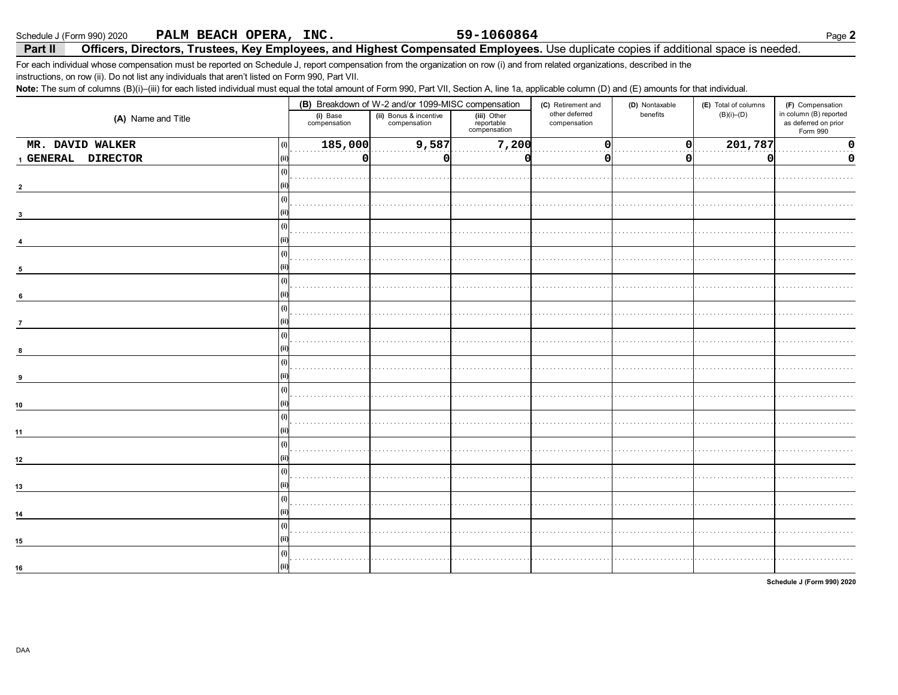Schedule J (Form 990) 2020 PALM BEACH OPERA, INC.

## 59-1060864

## Officers, Directors, Trustees, Key Employees, and Highest Compensated Employees. Use duplicate copies if additional space is needed. Part II

For each individual whose compensation must be reported on Schedule J, report compensation from the organization on row (i) and from related organizations, described in the instructions, on row (ii). Do not list any individuals that aren't listed on Form 990, Part VII.

Note: The sum of columns (B)(i)-(iii) for each listed individual must equal the total amount of Form 990, Part VII, Section A, line 1a, applicable column (D) and (E) amounts for that individual.

|                            |                          | (B) Breakdown of W-2 and/or 1099-MISC compensation |                                           | (C) Retirement and             | (D) Nontaxable | (E) Total of columns | (F) Compensation                                           |  |
|----------------------------|--------------------------|----------------------------------------------------|-------------------------------------------|--------------------------------|----------------|----------------------|------------------------------------------------------------|--|
| (A) Name and Title         | (i) Base<br>compensation | (ii) Bonus & incentive<br>compensation             | (iii) Other<br>reportable<br>compensation | other deferred<br>compensation | benefits       | $(B)(i)$ – $(D)$     | in column (B) reported<br>as deferred on prior<br>Form 990 |  |
| MR. DAVID WALKER<br>(i)    | 185,000                  | 9,587                                              | 7,200                                     | $\Omega$                       | $\Omega$       | 201,787              | ŋ                                                          |  |
| 1 GENERAL DIRECTOR<br>(ii) | $\mathbf 0$              | O                                                  |                                           | 0                              | Ω              | 0                    | 0                                                          |  |
| (i)                        |                          |                                                    |                                           |                                |                |                      |                                                            |  |
|                            |                          |                                                    |                                           |                                |                |                      |                                                            |  |
| (i)                        |                          |                                                    |                                           |                                |                |                      |                                                            |  |
|                            |                          |                                                    |                                           |                                |                |                      |                                                            |  |
| (i)                        |                          |                                                    |                                           |                                |                |                      |                                                            |  |
|                            |                          |                                                    |                                           |                                |                |                      |                                                            |  |
| (i)                        |                          |                                                    |                                           |                                |                |                      |                                                            |  |
| 5                          |                          |                                                    |                                           |                                |                |                      |                                                            |  |
| (i)                        |                          |                                                    |                                           |                                |                |                      |                                                            |  |
| 6                          |                          |                                                    |                                           |                                |                |                      |                                                            |  |
| (i)                        |                          |                                                    |                                           |                                |                |                      |                                                            |  |
| $\overline{7}$             |                          |                                                    |                                           |                                |                |                      |                                                            |  |
| (i)                        |                          |                                                    |                                           |                                |                |                      |                                                            |  |
|                            |                          |                                                    |                                           |                                |                |                      |                                                            |  |
| (i)                        |                          |                                                    |                                           |                                |                |                      |                                                            |  |
|                            |                          |                                                    |                                           |                                |                |                      |                                                            |  |
| (i)                        |                          |                                                    |                                           |                                |                |                      |                                                            |  |
| 10                         |                          |                                                    |                                           |                                |                |                      |                                                            |  |
| (i)                        |                          |                                                    |                                           |                                |                |                      |                                                            |  |
| 11                         |                          |                                                    |                                           |                                |                |                      |                                                            |  |
| (i)                        |                          |                                                    |                                           |                                |                |                      |                                                            |  |
| 12                         |                          |                                                    |                                           |                                |                |                      |                                                            |  |
|                            |                          |                                                    |                                           |                                |                |                      |                                                            |  |
| 13                         |                          |                                                    |                                           |                                |                |                      |                                                            |  |
| (i)                        |                          |                                                    |                                           |                                |                |                      |                                                            |  |
| 14                         |                          |                                                    |                                           |                                |                |                      |                                                            |  |
| (i)                        |                          |                                                    |                                           |                                |                |                      |                                                            |  |
| 15                         |                          |                                                    |                                           |                                |                |                      |                                                            |  |
| (i)                        |                          |                                                    |                                           |                                |                |                      |                                                            |  |
| 16                         |                          |                                                    |                                           |                                |                |                      |                                                            |  |

Schedule J (Form 990) 2020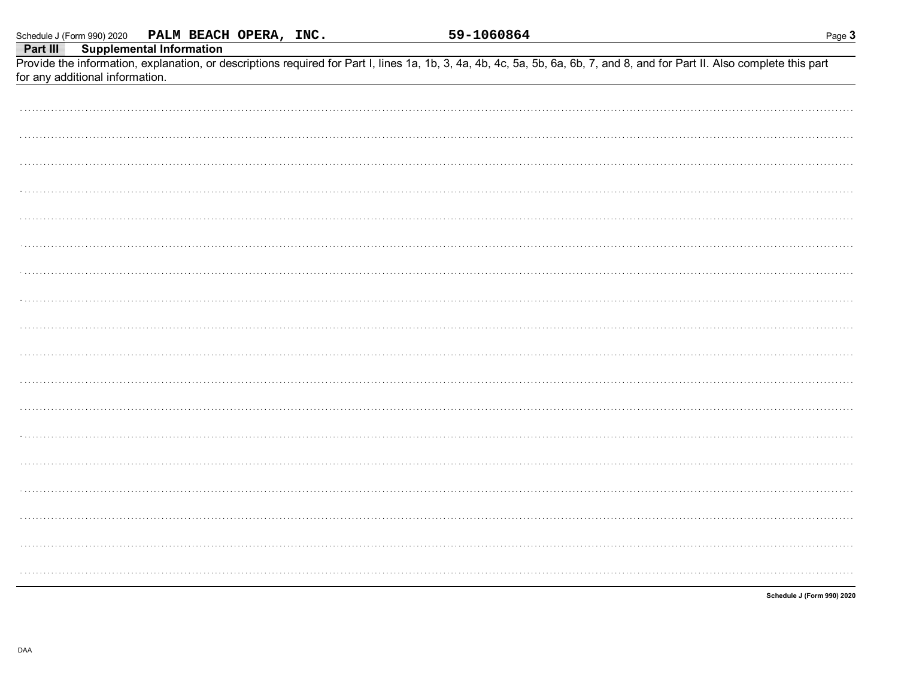|          | Schedule J (Form 990) 2020 PALM BEACH OPERA, INC.                                                                                                                          | <u>59-1060864</u><br>Page 3 |
|----------|----------------------------------------------------------------------------------------------------------------------------------------------------------------------------|-----------------------------|
| Part III | <b>Supplemental Information</b>                                                                                                                                            |                             |
|          | Provide the information, explanation, or descriptions required for Part I, lines 1a, 1b, 3, 4a, 4b, 4c, 5a, 5b, 6a, 6b, 7, and 8, and for Part II. Also complete this part |                             |
|          | for any additional information.                                                                                                                                            |                             |
|          |                                                                                                                                                                            |                             |
|          |                                                                                                                                                                            |                             |
|          |                                                                                                                                                                            |                             |
|          |                                                                                                                                                                            |                             |
|          |                                                                                                                                                                            |                             |
|          |                                                                                                                                                                            |                             |
|          |                                                                                                                                                                            |                             |
|          |                                                                                                                                                                            |                             |
|          |                                                                                                                                                                            |                             |
|          |                                                                                                                                                                            |                             |
|          |                                                                                                                                                                            |                             |
|          |                                                                                                                                                                            |                             |
|          |                                                                                                                                                                            |                             |
|          |                                                                                                                                                                            |                             |
|          |                                                                                                                                                                            |                             |
|          |                                                                                                                                                                            |                             |
|          |                                                                                                                                                                            |                             |
|          |                                                                                                                                                                            |                             |
|          |                                                                                                                                                                            |                             |
|          |                                                                                                                                                                            |                             |
|          |                                                                                                                                                                            |                             |
|          |                                                                                                                                                                            |                             |
|          |                                                                                                                                                                            |                             |
|          |                                                                                                                                                                            |                             |
|          |                                                                                                                                                                            |                             |
|          |                                                                                                                                                                            |                             |
|          |                                                                                                                                                                            |                             |
|          |                                                                                                                                                                            |                             |
|          |                                                                                                                                                                            |                             |
|          |                                                                                                                                                                            |                             |
|          |                                                                                                                                                                            |                             |
|          |                                                                                                                                                                            |                             |
|          |                                                                                                                                                                            |                             |
|          |                                                                                                                                                                            |                             |
|          |                                                                                                                                                                            |                             |
|          |                                                                                                                                                                            |                             |
|          |                                                                                                                                                                            |                             |
|          |                                                                                                                                                                            |                             |
|          |                                                                                                                                                                            |                             |
|          |                                                                                                                                                                            |                             |
|          |                                                                                                                                                                            |                             |
|          |                                                                                                                                                                            |                             |
|          |                                                                                                                                                                            |                             |
|          |                                                                                                                                                                            | Schedule J (Form 990) 2020  |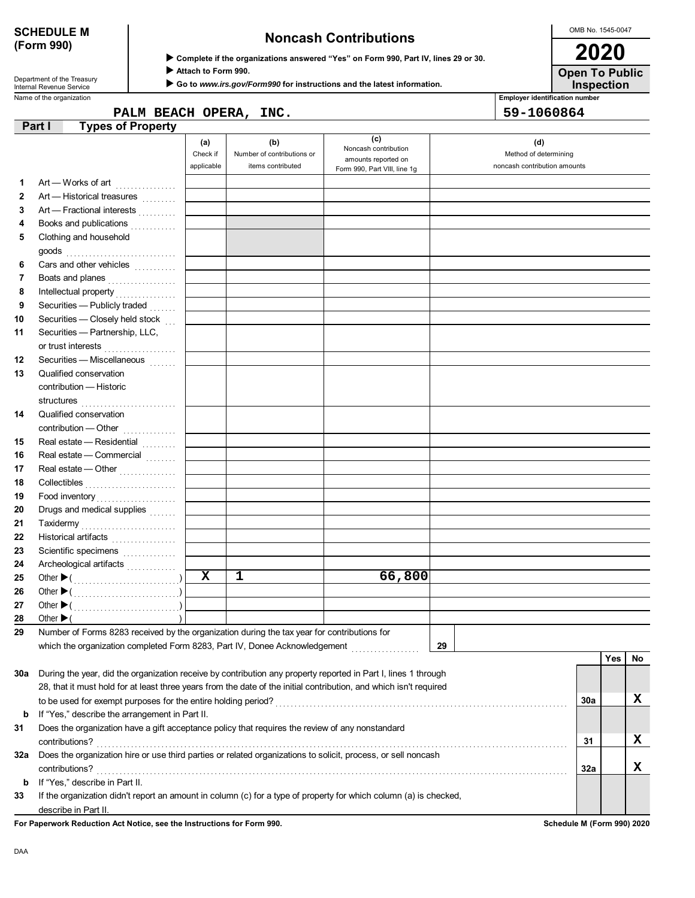Department of the Treasury<br>Internal Revenue Service

# **SCHEDULE M Noncash Contributions**

OMB No. 1545-0047 **2020**

| ▶ Complete if the organizations answered "Yes" on Form 990, Part IV, lines 29 or 30. |
|--------------------------------------------------------------------------------------|
|--------------------------------------------------------------------------------------|

 **Attach to Form 990.**

 **Go to** *www.irs.gov/Form990* **for instructions and the latest information.**

**Inspection Open To Public**

Name of the organization **Employer identification number Employer identification number** 

|        | PALM BEACH OPERA, | INC. | 59-1060864 |
|--------|-------------------|------|------------|
| Part I | Types of Property |      |            |

|          |                                                                                                                                                   | (a)         | (b)                        | (c)                                         | (d)                          |            |    |
|----------|---------------------------------------------------------------------------------------------------------------------------------------------------|-------------|----------------------------|---------------------------------------------|------------------------------|------------|----|
|          |                                                                                                                                                   | Check if    | Number of contributions or | Noncash contribution<br>amounts reported on | Method of determining        |            |    |
|          |                                                                                                                                                   | applicable  | items contributed          | Form 990, Part VIII, line 1g                | noncash contribution amounts |            |    |
| 1.       | Art - Works of art                                                                                                                                |             |                            |                                             |                              |            |    |
| 2        | Art - Historical treasures                                                                                                                        |             |                            |                                             |                              |            |    |
| 3        | Art — Fractional interests                                                                                                                        |             |                            |                                             |                              |            |    |
| 4        | Books and publications<br>                                                                                                                        |             |                            |                                             |                              |            |    |
| 5        | Clothing and household                                                                                                                            |             |                            |                                             |                              |            |    |
|          |                                                                                                                                                   |             |                            |                                             |                              |            |    |
| 6        | Cars and other vehicles                                                                                                                           |             |                            |                                             |                              |            |    |
| 7        | Boats and planes                                                                                                                                  |             |                            |                                             |                              |            |    |
| 8        | Intellectual property                                                                                                                             |             |                            |                                             |                              |            |    |
| 9        | Securities - Publicly traded                                                                                                                      |             |                            |                                             |                              |            |    |
| 10       | Securities - Closely held stock                                                                                                                   |             |                            |                                             |                              |            |    |
| 11       | Securities - Partnership, LLC,                                                                                                                    |             |                            |                                             |                              |            |    |
|          | or trust interests                                                                                                                                |             |                            |                                             |                              |            |    |
| 12       | Securities - Miscellaneous                                                                                                                        |             |                            |                                             |                              |            |    |
| 13       | Qualified conservation                                                                                                                            |             |                            |                                             |                              |            |    |
|          | contribution - Historic                                                                                                                           |             |                            |                                             |                              |            |    |
|          |                                                                                                                                                   |             |                            |                                             |                              |            |    |
| 14       | Qualified conservation                                                                                                                            |             |                            |                                             |                              |            |    |
|          | contribution - Other                                                                                                                              |             |                            |                                             |                              |            |    |
| 15       | Real estate - Residential                                                                                                                         |             |                            |                                             |                              |            |    |
| 16       | Real estate - Commercial                                                                                                                          |             |                            |                                             |                              |            |    |
| 17       | Real estate - Other                                                                                                                               |             |                            |                                             |                              |            |    |
| 18       |                                                                                                                                                   |             |                            |                                             |                              |            |    |
| 19       | Collectibles                                                                                                                                      |             |                            |                                             |                              |            |    |
| 20       | Drugs and medical supplies                                                                                                                        |             |                            |                                             |                              |            |    |
| 21       |                                                                                                                                                   |             |                            |                                             |                              |            |    |
| 22       | Taxidermy                                                                                                                                         |             |                            |                                             |                              |            |    |
| 23       | Historical artifacts                                                                                                                              |             |                            |                                             |                              |            |    |
| 24       | Scientific specimens<br><br>Archeological artifacts                                                                                               |             |                            |                                             |                              |            |    |
| 25       |                                                                                                                                                   | $\mathbf x$ | $\mathbf{1}$               | 66,800                                      |                              |            |    |
| 26       |                                                                                                                                                   |             |                            |                                             |                              |            |    |
| 27       |                                                                                                                                                   |             |                            |                                             |                              |            |    |
|          |                                                                                                                                                   |             |                            |                                             |                              |            |    |
| 28<br>29 | Other $\blacktriangleright$ (<br>Number of Forms 8283 received by the organization during the tax year for contributions for                      |             |                            |                                             |                              |            |    |
|          | which the organization completed Form 8283, Part IV, Donee Acknowledgement [1000000000000000000000000000000000                                    |             |                            |                                             | 29                           |            |    |
|          |                                                                                                                                                   |             |                            |                                             |                              | <b>Yes</b> | No |
| 30a      | During the year, did the organization receive by contribution any property reported in Part I, lines 1 through                                    |             |                            |                                             |                              |            |    |
|          | 28, that it must hold for at least three years from the date of the initial contribution, and which isn't required                                |             |                            |                                             |                              |            |    |
|          |                                                                                                                                                   |             |                            |                                             |                              |            | х  |
|          |                                                                                                                                                   |             |                            |                                             |                              | 30a        |    |
| b        | If "Yes," describe the arrangement in Part II.<br>Does the organization have a gift acceptance policy that requires the review of any nonstandard |             |                            |                                             |                              |            |    |
| 31       |                                                                                                                                                   |             |                            |                                             |                              |            | X  |
|          | contributions?                                                                                                                                    |             |                            |                                             |                              | 31         |    |
| 32a      | Does the organization hire or use third parties or related organizations to solicit, process, or sell noncash                                     |             |                            |                                             |                              |            |    |
|          | contributions?                                                                                                                                    |             |                            |                                             |                              | 32a        | X  |
| b        | If "Yes," describe in Part II.                                                                                                                    |             |                            |                                             |                              |            |    |
| 33       | If the organization didn't report an amount in column (c) for a type of property for which column (a) is checked,                                 |             |                            |                                             |                              |            |    |
|          | describe in Part II.                                                                                                                              |             |                            |                                             |                              |            |    |

**For Paperwork Reduction Act Notice, see the Instructions for Form 990. Schedule M (Form 990) 2020**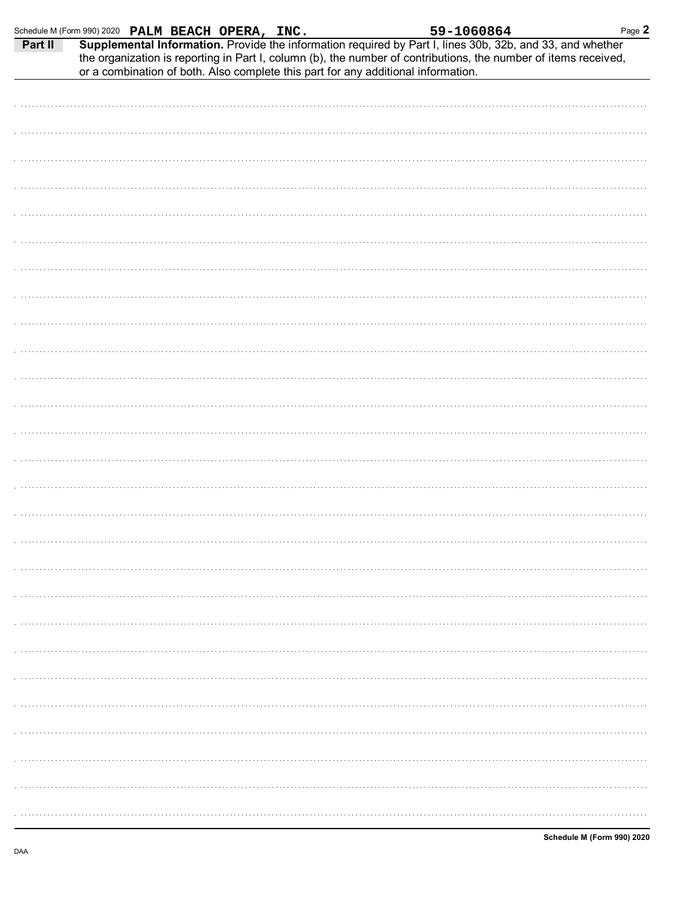DAA

| Part II<br>Supplemental Information. Provide the information required by Part I, lines 30b, 32b, and 33, and whether<br>the organization is reporting in Part I, column (b), the number of contributions, the number of items received,<br>or a combination of both. Also complete this part for any additional information. |
|------------------------------------------------------------------------------------------------------------------------------------------------------------------------------------------------------------------------------------------------------------------------------------------------------------------------------|
|                                                                                                                                                                                                                                                                                                                              |
|                                                                                                                                                                                                                                                                                                                              |
|                                                                                                                                                                                                                                                                                                                              |
|                                                                                                                                                                                                                                                                                                                              |
|                                                                                                                                                                                                                                                                                                                              |
|                                                                                                                                                                                                                                                                                                                              |
|                                                                                                                                                                                                                                                                                                                              |
|                                                                                                                                                                                                                                                                                                                              |
|                                                                                                                                                                                                                                                                                                                              |
|                                                                                                                                                                                                                                                                                                                              |
|                                                                                                                                                                                                                                                                                                                              |
|                                                                                                                                                                                                                                                                                                                              |
|                                                                                                                                                                                                                                                                                                                              |
|                                                                                                                                                                                                                                                                                                                              |
|                                                                                                                                                                                                                                                                                                                              |
|                                                                                                                                                                                                                                                                                                                              |
|                                                                                                                                                                                                                                                                                                                              |
|                                                                                                                                                                                                                                                                                                                              |
|                                                                                                                                                                                                                                                                                                                              |
|                                                                                                                                                                                                                                                                                                                              |
|                                                                                                                                                                                                                                                                                                                              |
|                                                                                                                                                                                                                                                                                                                              |
|                                                                                                                                                                                                                                                                                                                              |
|                                                                                                                                                                                                                                                                                                                              |
|                                                                                                                                                                                                                                                                                                                              |
|                                                                                                                                                                                                                                                                                                                              |
|                                                                                                                                                                                                                                                                                                                              |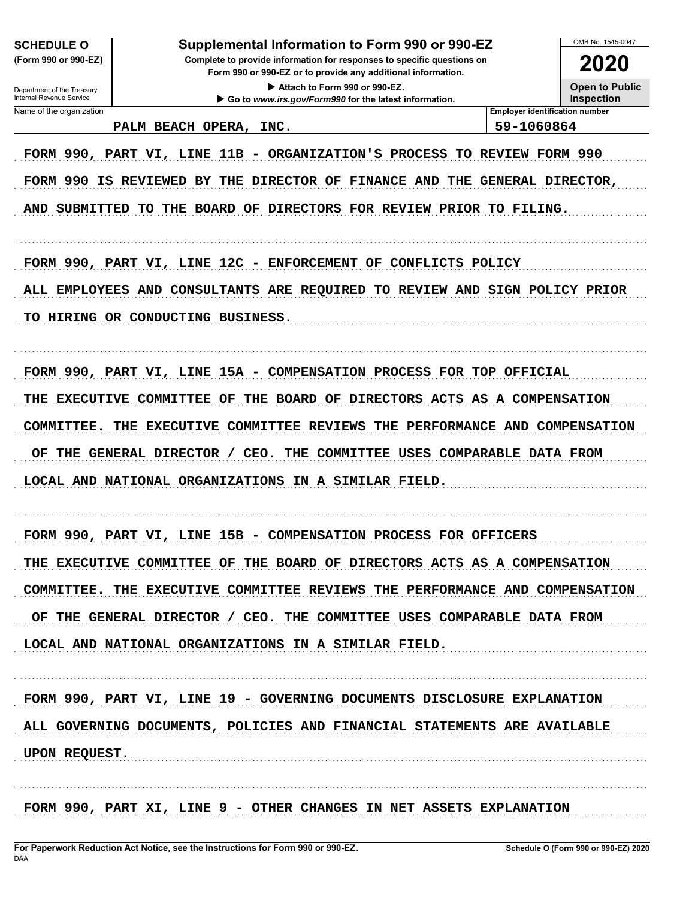| <b>SCHEDULE O</b><br>(Form 990 or 990-EZ)<br>Department of the Treasury | OMB No. 1545-0047<br>Supplemental Information to Form 990 or 990-EZ<br>Complete to provide information for responses to specific questions on<br>Form 990 or 990-EZ or to provide any additional information.<br><b>Open to Public</b><br>Attach to Form 990 or 990-EZ. |                                                     |                   |  |
|-------------------------------------------------------------------------|-------------------------------------------------------------------------------------------------------------------------------------------------------------------------------------------------------------------------------------------------------------------------|-----------------------------------------------------|-------------------|--|
| Internal Revenue Service                                                | Go to www.irs.gov/Form990 for the latest information.                                                                                                                                                                                                                   |                                                     | <b>Inspection</b> |  |
| Name of the organization                                                | PALM BEACH OPERA, INC.                                                                                                                                                                                                                                                  | <b>Employer identification number</b><br>59-1060864 |                   |  |
|                                                                         |                                                                                                                                                                                                                                                                         |                                                     |                   |  |
|                                                                         | FORM 990, PART VI, LINE 11B - ORGANIZATION'S PROCESS TO REVIEW FORM 990                                                                                                                                                                                                 |                                                     |                   |  |
|                                                                         | FORM 990 IS REVIEWED BY THE DIRECTOR OF FINANCE AND THE                                                                                                                                                                                                                 | GENERAL DIRECTOR,                                   |                   |  |
| <b>AND</b>                                                              | SUBMITTED TO THE BOARD OF DIRECTORS FOR REVIEW PRIOR TO FILING.                                                                                                                                                                                                         |                                                     |                   |  |
|                                                                         | FORM 990, PART VI, LINE 12C - ENFORCEMENT OF CONFLICTS POLICY                                                                                                                                                                                                           |                                                     |                   |  |
|                                                                         | ALL EMPLOYEES AND CONSULTANTS ARE REQUIRED TO REVIEW AND SIGN POLICY PRIOR                                                                                                                                                                                              |                                                     |                   |  |
|                                                                         |                                                                                                                                                                                                                                                                         |                                                     |                   |  |
|                                                                         | TO HIRING OR CONDUCTING BUSINESS.                                                                                                                                                                                                                                       |                                                     |                   |  |
|                                                                         | FORM 990, PART VI, LINE 15A - COMPENSATION PROCESS FOR TOP OFFICIAL                                                                                                                                                                                                     |                                                     |                   |  |
|                                                                         | THE EXECUTIVE COMMITTEE<br>THE BOARD OF DIRECTORS ACTS AS A COMPENSATION<br>OF                                                                                                                                                                                          |                                                     |                   |  |
|                                                                         |                                                                                                                                                                                                                                                                         |                                                     |                   |  |
| COMMITTEE.                                                              | THE EXECUTIVE COMMITTEE REVIEWS                                                                                                                                                                                                                                         | THE PERFORMANCE AND COMPENSATION                    |                   |  |
| OF<br>THE                                                               | GENERAL DIRECTOR /<br>CEO.<br>THE COMMITTEE USES COMPARABLE DATA FROM                                                                                                                                                                                                   |                                                     |                   |  |
|                                                                         | LOCAL AND NATIONAL ORGANIZATIONS IN A SIMILAR FIELD.                                                                                                                                                                                                                    |                                                     |                   |  |
|                                                                         |                                                                                                                                                                                                                                                                         |                                                     |                   |  |
|                                                                         | FORM 990, PART VI, LINE 15B - COMPENSATION PROCESS FOR OFFICERS                                                                                                                                                                                                         |                                                     |                   |  |
|                                                                         | THE EXECUTIVE COMMITTEE OF THE BOARD OF DIRECTORS ACTS AS A COMPENSATION                                                                                                                                                                                                |                                                     |                   |  |
|                                                                         | COMMITTEE. THE EXECUTIVE COMMITTEE REVIEWS THE PERFORMANCE AND COMPENSATION                                                                                                                                                                                             |                                                     |                   |  |
|                                                                         | OF THE GENERAL DIRECTOR / CEO. THE COMMITTEE USES COMPARABLE DATA FROM                                                                                                                                                                                                  |                                                     |                   |  |
|                                                                         | LOCAL AND NATIONAL ORGANIZATIONS IN A SIMILAR FIELD.                                                                                                                                                                                                                    |                                                     |                   |  |
|                                                                         | FORM 990, PART VI, LINE 19 - GOVERNING DOCUMENTS DISCLOSURE EXPLANATION                                                                                                                                                                                                 |                                                     |                   |  |
|                                                                         |                                                                                                                                                                                                                                                                         |                                                     |                   |  |
|                                                                         | ALL GOVERNING DOCUMENTS, POLICIES AND FINANCIAL STATEMENTS ARE AVAILABLE                                                                                                                                                                                                |                                                     |                   |  |
| UPON REQUEST.                                                           |                                                                                                                                                                                                                                                                         |                                                     |                   |  |
|                                                                         |                                                                                                                                                                                                                                                                         |                                                     |                   |  |
|                                                                         | FORM 990, PART XI, LINE 9 - OTHER CHANGES IN NET ASSETS EXPLANATION                                                                                                                                                                                                     |                                                     |                   |  |